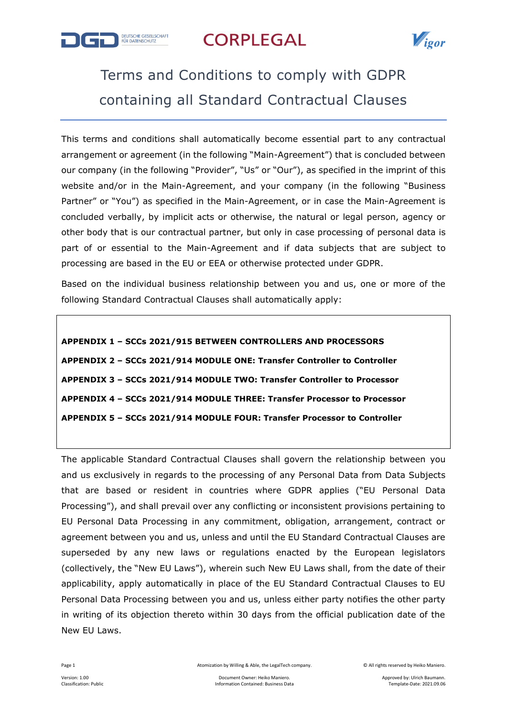



# Terms and Conditions to comply with GDPR containing all Standard Contractual Clauses

This terms and conditions shall automatically become essential part to any contractual arrangement or agreement (in the following "Main-Agreement") that is concluded between our company (in the following "Provider", "Us" or "Our"), as specified in the imprint of this website and/or in the Main-Agreement, and your company (in the following "Business Partner" or "You") as specified in the Main-Agreement, or in case the Main-Agreement is concluded verbally, by implicit acts or otherwise, the natural or legal person, agency or other body that is our contractual partner, but only in case processing of personal data is part of or essential to the Main-Agreement and if data subjects that are subject to processing are based in the EU or EEA or otherwise protected under GDPR.

Based on the individual business relationship between you and us, one or more of the following Standard Contractual Clauses shall automatically apply:

**APPENDIX 1 – SCCs 2021/915 BETWEEN CONTROLLERS AND PROCESSORS APPENDIX 2 – SCCs 2021/914 MODULE ONE: Transfer Controller to Controller APPENDIX 3 – SCCs 2021/914 MODULE TWO: Transfer Controller to Processor APPENDIX 4 – SCCs 2021/914 MODULE THREE: Transfer Processor to Processor APPENDIX 5 – SCCs 2021/914 MODULE FOUR: Transfer Processor to Controller**

The applicable Standard Contractual Clauses shall govern the relationship between you and us exclusively in regards to the processing of any Personal Data from Data Subjects that are based or resident in countries where GDPR applies ("EU Personal Data Processing"), and shall prevail over any conflicting or inconsistent provisions pertaining to EU Personal Data Processing in any commitment, obligation, arrangement, contract or agreement between you and us, unless and until the EU Standard Contractual Clauses are superseded by any new laws or regulations enacted by the European legislators (collectively, the "New EU Laws"), wherein such New EU Laws shall, from the date of their applicability, apply automatically in place of the EU Standard Contractual Clauses to EU Personal Data Processing between you and us, unless either party notifies the other party in writing of its objection thereto within 30 days from the official publication date of the New EU Laws.

Page 1 **Atomization b[y Willing & Able, the LegalTech company.](https://willing-able.com/)** Call rights reserved b[y Heiko Maniero.](https://dg-datenschutz.de/)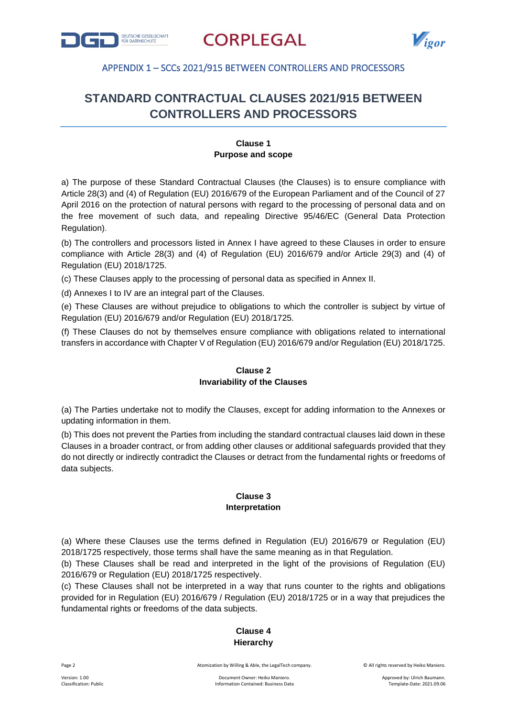



# APPENDIX 1 – SCCs 2021/915 BETWEEN CONTROLLERS AND PROCESSORS

# **STANDARD CONTRACTUAL CLAUSES 2021/915 BETWEEN CONTROLLERS AND PROCESSORS**

### **Clause 1 Purpose and scope**

a) The purpose of these Standard Contractual Clauses (the Clauses) is to ensure compliance with Article 28(3) and (4) of Regulation (EU) 2016/679 of the European Parliament and of the Council of 27 April 2016 on the protection of natural persons with regard to the processing of personal data and on the free movement of such data, and repealing Directive 95/46/EC (General Data Protection Regulation).

(b) The controllers and processors listed in Annex I have agreed to these Clauses in order to ensure compliance with Article 28(3) and (4) of Regulation (EU) 2016/679 and/or Article 29(3) and (4) of Regulation (EU) 2018/1725.

(c) These Clauses apply to the processing of personal data as specified in Annex II.

(d) Annexes I to IV are an integral part of the Clauses.

(e) These Clauses are without prejudice to obligations to which the controller is subject by virtue of Regulation (EU) 2016/679 and/or Regulation (EU) 2018/1725.

(f) These Clauses do not by themselves ensure compliance with obligations related to international transfers in accordance with Chapter V of Regulation (EU) 2016/679 and/or Regulation (EU) 2018/1725.

# **Clause 2 Invariability of the Clauses**

(a) The Parties undertake not to modify the Clauses, except for adding information to the Annexes or updating information in them.

(b) This does not prevent the Parties from including the standard contractual clauses laid down in these Clauses in a broader contract, or from adding other clauses or additional safeguards provided that they do not directly or indirectly contradict the Clauses or detract from the fundamental rights or freedoms of data subjects.

#### **Clause 3 Interpretation**

(a) Where these Clauses use the terms defined in Regulation (EU) 2016/679 or Regulation (EU) 2018/1725 respectively, those terms shall have the same meaning as in that Regulation.

(b) These Clauses shall be read and interpreted in the light of the provisions of Regulation (EU) 2016/679 or Regulation (EU) 2018/1725 respectively.

(c) These Clauses shall not be interpreted in a way that runs counter to the rights and obligations provided for in Regulation (EU) 2016/679 / Regulation (EU) 2018/1725 or in a way that prejudices the fundamental rights or freedoms of the data subjects.

# **Clause 4 Hierarchy**

Page 2 **Atomization b[y Willing & Able, the LegalTech company.](https://willing-able.com/)** Call rights reserved b[y Heiko Maniero.](https://dg-datenschutz.de/)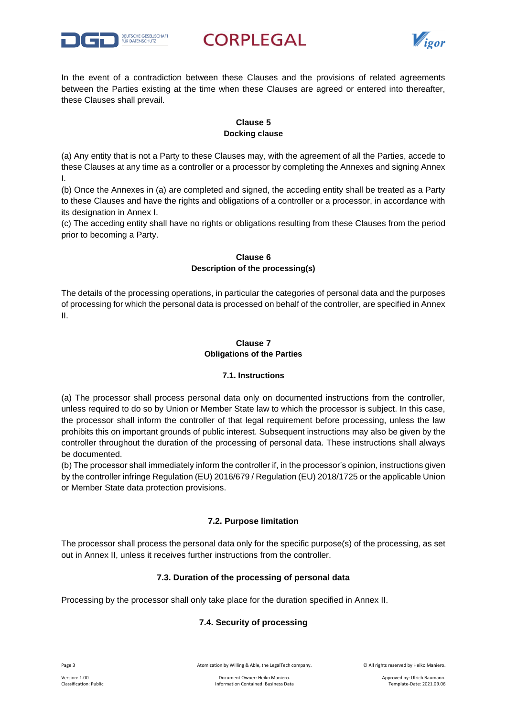



In the event of a contradiction between these Clauses and the provisions of related agreements between the Parties existing at the time when these Clauses are agreed or entered into thereafter, these Clauses shall prevail.

# **Clause 5 Docking clause**

(a) Any entity that is not a Party to these Clauses may, with the agreement of all the Parties, accede to these Clauses at any time as a controller or a processor by completing the Annexes and signing Annex I.

(b) Once the Annexes in (a) are completed and signed, the acceding entity shall be treated as a Party to these Clauses and have the rights and obligations of a controller or a processor, in accordance with its designation in Annex I.

(c) The acceding entity shall have no rights or obligations resulting from these Clauses from the period prior to becoming a Party.

### **Clause 6 Description of the processing(s)**

The details of the processing operations, in particular the categories of personal data and the purposes of processing for which the personal data is processed on behalf of the controller, are specified in Annex II.

# **Clause 7 Obligations of the Parties**

# **7.1. Instructions**

(a) The processor shall process personal data only on documented instructions from the controller, unless required to do so by Union or Member State law to which the processor is subject. In this case, the processor shall inform the controller of that legal requirement before processing, unless the law prohibits this on important grounds of public interest. Subsequent instructions may also be given by the controller throughout the duration of the processing of personal data. These instructions shall always be documented.

(b) The processor shall immediately inform the controller if, in the processor's opinion, instructions given by the controller infringe Regulation (EU) 2016/679 / Regulation (EU) 2018/1725 or the applicable Union or Member State data protection provisions.

# **7.2. Purpose limitation**

The processor shall process the personal data only for the specific purpose(s) of the processing, as set out in Annex II, unless it receives further instructions from the controller.

# **7.3. Duration of the processing of personal data**

Processing by the processor shall only take place for the duration specified in Annex II.

# **7.4. Security of processing**

Page 3 **Atomization b[y Willing & Able, the LegalTech company.](https://willing-able.com/) Call rights reserved b[y Heiko Maniero.](https://dg-datenschutz.de/)** All rights reserved by Heiko Maniero.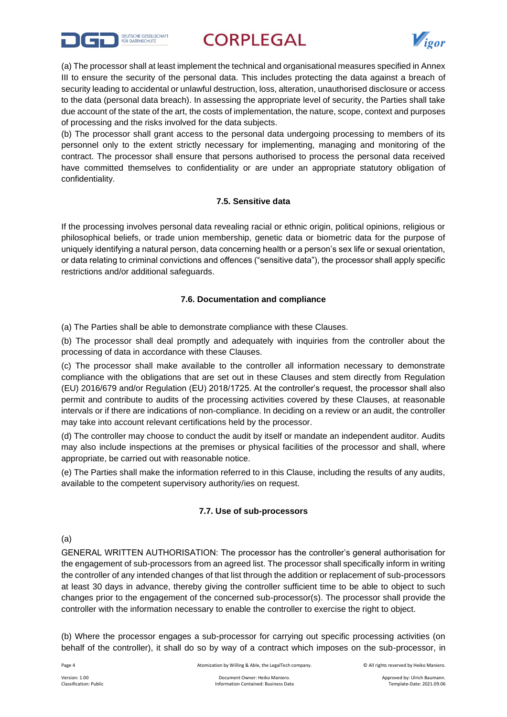



(a) The processor shall at least implement the technical and organisational measures specified in Annex III to ensure the security of the personal data. This includes protecting the data against a breach of security leading to accidental or unlawful destruction, loss, alteration, unauthorised disclosure or access to the data (personal data breach). In assessing the appropriate level of security, the Parties shall take due account of the state of the art, the costs of implementation, the nature, scope, context and purposes of processing and the risks involved for the data subjects.

(b) The processor shall grant access to the personal data undergoing processing to members of its personnel only to the extent strictly necessary for implementing, managing and monitoring of the contract. The processor shall ensure that persons authorised to process the personal data received have committed themselves to confidentiality or are under an appropriate statutory obligation of confidentiality.

# **7.5. Sensitive data**

If the processing involves personal data revealing racial or ethnic origin, political opinions, religious or philosophical beliefs, or trade union membership, genetic data or biometric data for the purpose of uniquely identifying a natural person, data concerning health or a person's sex life or sexual orientation, or data relating to criminal convictions and offences ("sensitive data"), the processor shall apply specific restrictions and/or additional safeguards.

# **7.6. Documentation and compliance**

(a) The Parties shall be able to demonstrate compliance with these Clauses.

(b) The processor shall deal promptly and adequately with inquiries from the controller about the processing of data in accordance with these Clauses.

(c) The processor shall make available to the controller all information necessary to demonstrate compliance with the obligations that are set out in these Clauses and stem directly from Regulation (EU) 2016/679 and/or Regulation (EU) 2018/1725. At the controller's request, the processor shall also permit and contribute to audits of the processing activities covered by these Clauses, at reasonable intervals or if there are indications of non-compliance. In deciding on a review or an audit, the controller may take into account relevant certifications held by the processor.

(d) The controller may choose to conduct the audit by itself or mandate an independent auditor. Audits may also include inspections at the premises or physical facilities of the processor and shall, where appropriate, be carried out with reasonable notice.

(e) The Parties shall make the information referred to in this Clause, including the results of any audits, available to the competent supervisory authority/ies on request.

# **7.7. Use of sub-processors**

#### (a)

GENERAL WRITTEN AUTHORISATION: The processor has the controller's general authorisation for the engagement of sub-processors from an agreed list. The processor shall specifically inform in writing the controller of any intended changes of that list through the addition or replacement of sub-processors at least 30 days in advance, thereby giving the controller sufficient time to be able to object to such changes prior to the engagement of the concerned sub-processor(s). The processor shall provide the controller with the information necessary to enable the controller to exercise the right to object.

(b) Where the processor engages a sub-processor for carrying out specific processing activities (on behalf of the controller), it shall do so by way of a contract which imposes on the sub-processor, in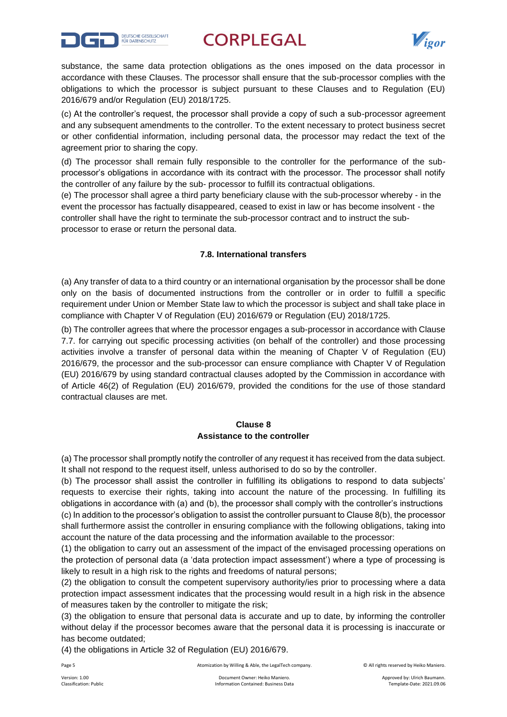



substance, the same data protection obligations as the ones imposed on the data processor in accordance with these Clauses. The processor shall ensure that the sub-processor complies with the obligations to which the processor is subject pursuant to these Clauses and to Regulation (EU) 2016/679 and/or Regulation (EU) 2018/1725.

(c) At the controller's request, the processor shall provide a copy of such a sub-processor agreement and any subsequent amendments to the controller. To the extent necessary to protect business secret or other confidential information, including personal data, the processor may redact the text of the agreement prior to sharing the copy.

(d) The processor shall remain fully responsible to the controller for the performance of the subprocessor's obligations in accordance with its contract with the processor. The processor shall notify the controller of any failure by the sub- processor to fulfill its contractual obligations.

(e) The processor shall agree a third party beneficiary clause with the sub-processor whereby - in the event the processor has factually disappeared, ceased to exist in law or has become insolvent - the controller shall have the right to terminate the sub-processor contract and to instruct the subprocessor to erase or return the personal data.

#### **7.8. International transfers**

(a) Any transfer of data to a third country or an international organisation by the processor shall be done only on the basis of documented instructions from the controller or in order to fulfill a specific requirement under Union or Member State law to which the processor is subject and shall take place in compliance with Chapter V of Regulation (EU) 2016/679 or Regulation (EU) 2018/1725.

(b) The controller agrees that where the processor engages a sub-processor in accordance with Clause 7.7. for carrying out specific processing activities (on behalf of the controller) and those processing activities involve a transfer of personal data within the meaning of Chapter V of Regulation (EU) 2016/679, the processor and the sub-processor can ensure compliance with Chapter V of Regulation (EU) 2016/679 by using standard contractual clauses adopted by the Commission in accordance with of Article 46(2) of Regulation (EU) 2016/679, provided the conditions for the use of those standard contractual clauses are met.

#### **Clause 8 Assistance to the controller**

(a) The processor shall promptly notify the controller of any request it has received from the data subject. It shall not respond to the request itself, unless authorised to do so by the controller.

(b) The processor shall assist the controller in fulfilling its obligations to respond to data subjects' requests to exercise their rights, taking into account the nature of the processing. In fulfilling its obligations in accordance with (a) and (b), the processor shall comply with the controller's instructions (c) In addition to the processor's obligation to assist the controller pursuant to Clause 8(b), the processor shall furthermore assist the controller in ensuring compliance with the following obligations, taking into account the nature of the data processing and the information available to the processor:

(1) the obligation to carry out an assessment of the impact of the envisaged processing operations on the protection of personal data (a 'data protection impact assessment') where a type of processing is likely to result in a high risk to the rights and freedoms of natural persons;

(2) the obligation to consult the competent supervisory authority/ies prior to processing where a data protection impact assessment indicates that the processing would result in a high risk in the absence of measures taken by the controller to mitigate the risk;

(3) the obligation to ensure that personal data is accurate and up to date, by informing the controller without delay if the processor becomes aware that the personal data it is processing is inaccurate or has become outdated;

(4) the obligations in Article 32 of Regulation (EU) 2016/679.

Page 5 **Atomization b[y Willing & Able, the LegalTech company.](https://willing-able.com/) Page 5** All rights reserved b[y Heiko Maniero.](https://dg-datenschutz.de/)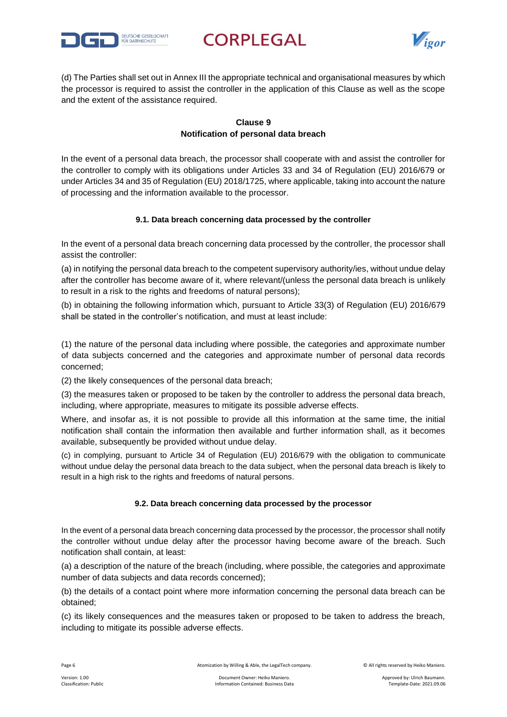



(d) The Parties shall set out in Annex III the appropriate technical and organisational measures by which the processor is required to assist the controller in the application of this Clause as well as the scope and the extent of the assistance required.

#### **Clause 9 Notification of personal data breach**

In the event of a personal data breach, the processor shall cooperate with and assist the controller for the controller to comply with its obligations under Articles 33 and 34 of Regulation (EU) 2016/679 or under Articles 34 and 35 of Regulation (EU) 2018/1725, where applicable, taking into account the nature of processing and the information available to the processor.

# **9.1. Data breach concerning data processed by the controller**

In the event of a personal data breach concerning data processed by the controller, the processor shall assist the controller:

(a) in notifying the personal data breach to the competent supervisory authority/ies, without undue delay after the controller has become aware of it, where relevant/(unless the personal data breach is unlikely to result in a risk to the rights and freedoms of natural persons);

(b) in obtaining the following information which, pursuant to Article 33(3) of Regulation (EU) 2016/679 shall be stated in the controller's notification, and must at least include:

(1) the nature of the personal data including where possible, the categories and approximate number of data subjects concerned and the categories and approximate number of personal data records concerned;

(2) the likely consequences of the personal data breach;

(3) the measures taken or proposed to be taken by the controller to address the personal data breach, including, where appropriate, measures to mitigate its possible adverse effects.

Where, and insofar as, it is not possible to provide all this information at the same time, the initial notification shall contain the information then available and further information shall, as it becomes available, subsequently be provided without undue delay.

(c) in complying, pursuant to Article 34 of Regulation (EU) 2016/679 with the obligation to communicate without undue delay the personal data breach to the data subject, when the personal data breach is likely to result in a high risk to the rights and freedoms of natural persons.

#### **9.2. Data breach concerning data processed by the processor**

In the event of a personal data breach concerning data processed by the processor, the processor shall notify the controller without undue delay after the processor having become aware of the breach. Such notification shall contain, at least:

(a) a description of the nature of the breach (including, where possible, the categories and approximate number of data subjects and data records concerned);

(b) the details of a contact point where more information concerning the personal data breach can be obtained;

(c) its likely consequences and the measures taken or proposed to be taken to address the breach, including to mitigate its possible adverse effects.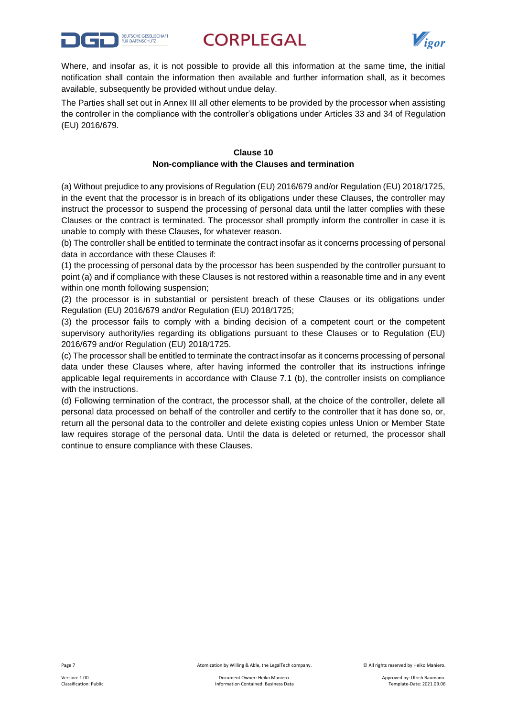



Where, and insofar as, it is not possible to provide all this information at the same time, the initial notification shall contain the information then available and further information shall, as it becomes available, subsequently be provided without undue delay.

The Parties shall set out in Annex III all other elements to be provided by the processor when assisting the controller in the compliance with the controller's obligations under Articles 33 and 34 of Regulation (EU) 2016/679.

#### **Clause 10 Non-compliance with the Clauses and termination**

(a) Without prejudice to any provisions of Regulation (EU) 2016/679 and/or Regulation (EU) 2018/1725, in the event that the processor is in breach of its obligations under these Clauses, the controller may instruct the processor to suspend the processing of personal data until the latter complies with these Clauses or the contract is terminated. The processor shall promptly inform the controller in case it is unable to comply with these Clauses, for whatever reason.

(b) The controller shall be entitled to terminate the contract insofar as it concerns processing of personal data in accordance with these Clauses if:

(1) the processing of personal data by the processor has been suspended by the controller pursuant to point (a) and if compliance with these Clauses is not restored within a reasonable time and in any event within one month following suspension;

(2) the processor is in substantial or persistent breach of these Clauses or its obligations under Regulation (EU) 2016/679 and/or Regulation (EU) 2018/1725;

(3) the processor fails to comply with a binding decision of a competent court or the competent supervisory authority/ies regarding its obligations pursuant to these Clauses or to Regulation (EU) 2016/679 and/or Regulation (EU) 2018/1725.

(c) The processor shall be entitled to terminate the contract insofar as it concerns processing of personal data under these Clauses where, after having informed the controller that its instructions infringe applicable legal requirements in accordance with Clause 7.1 (b), the controller insists on compliance with the instructions.

(d) Following termination of the contract, the processor shall, at the choice of the controller, delete all personal data processed on behalf of the controller and certify to the controller that it has done so, or, return all the personal data to the controller and delete existing copies unless Union or Member State law requires storage of the personal data. Until the data is deleted or returned, the processor shall continue to ensure compliance with these Clauses.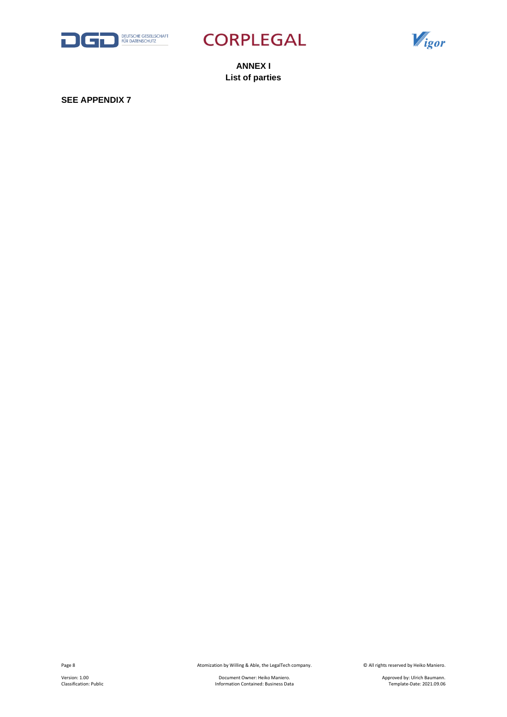



**ANNEX I List of parties**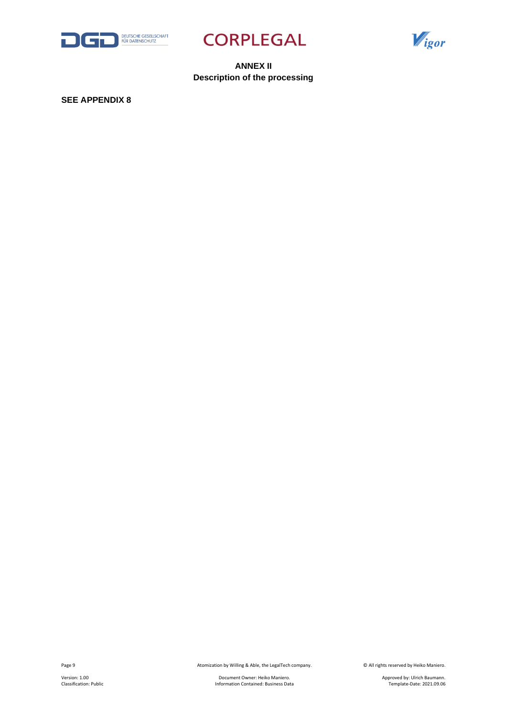



**ANNEX II Description of the processing**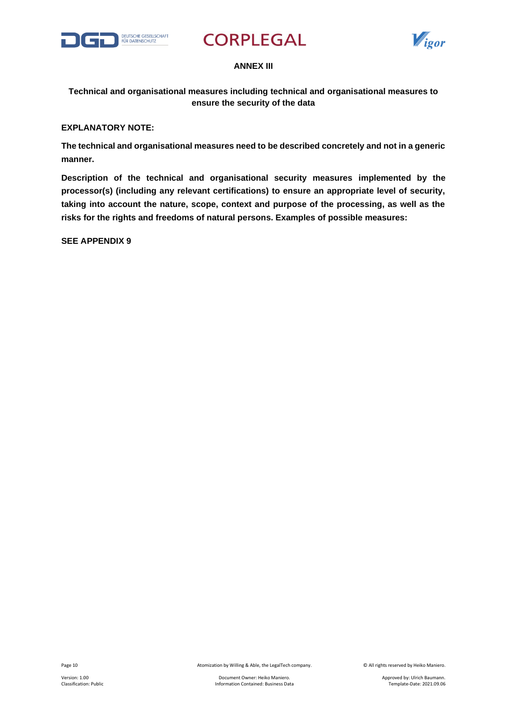



### **ANNEX III**

# **Technical and organisational measures including technical and organisational measures to ensure the security of the data**

# **EXPLANATORY NOTE:**

**The technical and organisational measures need to be described concretely and not in a generic manner.**

**Description of the technical and organisational security measures implemented by the processor(s) (including any relevant certifications) to ensure an appropriate level of security, taking into account the nature, scope, context and purpose of the processing, as well as the risks for the rights and freedoms of natural persons. Examples of possible measures:**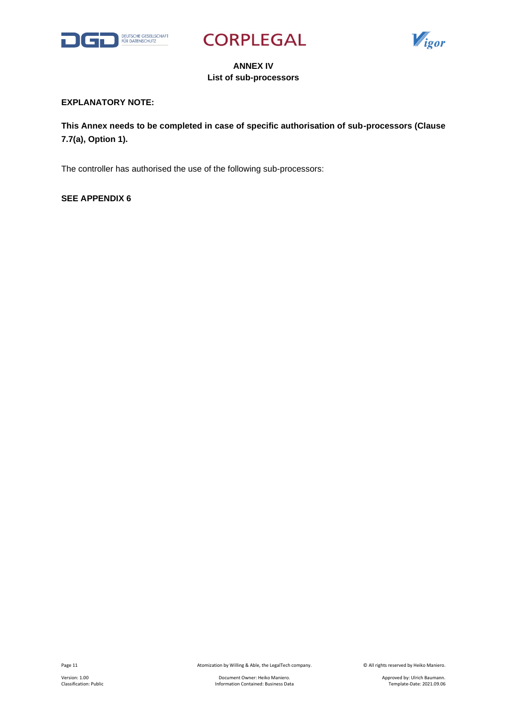



### **ANNEX IV List of sub-processors**

# **EXPLANATORY NOTE:**

**This Annex needs to be completed in case of specific authorisation of sub-processors (Clause 7.7(a), Option 1).**

The controller has authorised the use of the following sub-processors: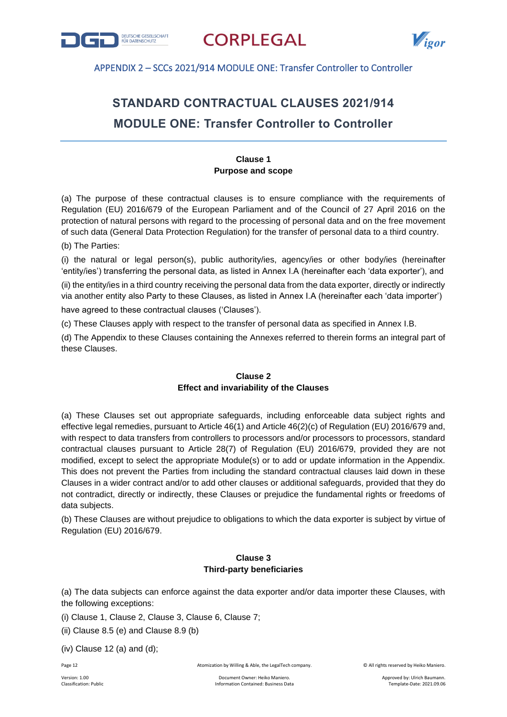



APPENDIX 2 – SCCs 2021/914 MODULE ONE: Transfer Controller to Controller

# **STANDARD CONTRACTUAL CLAUSES 2021/914 MODULE ONE: Transfer Controller to Controller**

#### **Clause 1 Purpose and scope**

(a) The purpose of these contractual clauses is to ensure compliance with the requirements of Regulation (EU) 2016/679 of the European Parliament and of the Council of 27 April 2016 on the protection of natural persons with regard to the processing of personal data and on the free movement of such data (General Data Protection Regulation) for the transfer of personal data to a third country.

(b) The Parties:

(i) the natural or legal person(s), public authority/ies, agency/ies or other body/ies (hereinafter 'entity/ies') transferring the personal data, as listed in Annex I.A (hereinafter each 'data exporter'), and

(ii) the entity/ies in a third country receiving the personal data from the data exporter, directly or indirectly via another entity also Party to these Clauses, as listed in Annex I.A (hereinafter each 'data importer')

have agreed to these contractual clauses ('Clauses').

(c) These Clauses apply with respect to the transfer of personal data as specified in Annex I.B.

(d) The Appendix to these Clauses containing the Annexes referred to therein forms an integral part of these Clauses.

### **Clause 2 Effect and invariability of the Clauses**

(a) These Clauses set out appropriate safeguards, including enforceable data subject rights and effective legal remedies, pursuant to Article 46(1) and Article 46(2)(c) of Regulation (EU) 2016/679 and, with respect to data transfers from controllers to processors and/or processors to processors, standard contractual clauses pursuant to Article 28(7) of Regulation (EU) 2016/679, provided they are not modified, except to select the appropriate Module(s) or to add or update information in the Appendix. This does not prevent the Parties from including the standard contractual clauses laid down in these Clauses in a wider contract and/or to add other clauses or additional safeguards, provided that they do not contradict, directly or indirectly, these Clauses or prejudice the fundamental rights or freedoms of data subjects.

(b) These Clauses are without prejudice to obligations to which the data exporter is subject by virtue of Regulation (EU) 2016/679.

#### **Clause 3 Third-party beneficiaries**

(a) The data subjects can enforce against the data exporter and/or data importer these Clauses, with the following exceptions:

(i) Clause 1, Clause 2, Clause 3, Clause 6, Clause 7;

(ii) Clause 8.5 (e) and Clause 8.9 (b)

(iv) Clause 12 (a) and (d);

Page 12 **Atomization b[y Willing & Able, the LegalTech company.](https://willing-able.com/) Call rights reserved b[y Heiko Maniero.](https://dg-datenschutz.de/)** All rights reserved by Heiko Maniero.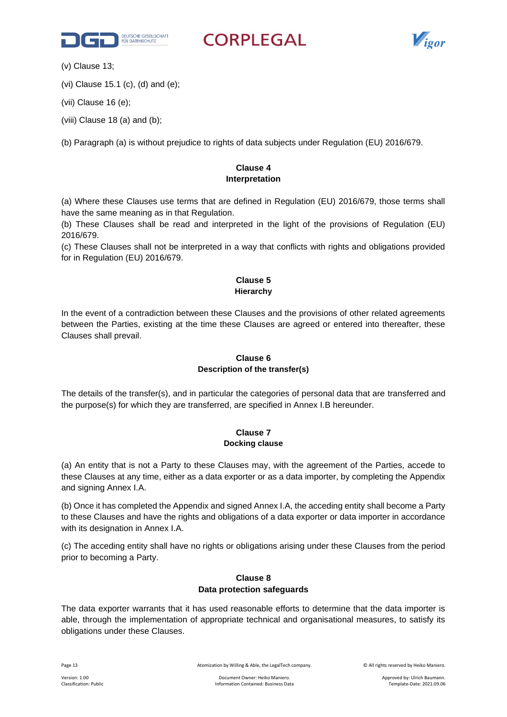



(v) Clause 13;

(vi) Clause 15.1 (c), (d) and (e);

(vii) Clause 16 (e);

(viii) Clause 18 (a) and (b);

(b) Paragraph (a) is without prejudice to rights of data subjects under Regulation (EU) 2016/679.

### **Clause 4 Interpretation**

(a) Where these Clauses use terms that are defined in Regulation (EU) 2016/679, those terms shall have the same meaning as in that Regulation.

(b) These Clauses shall be read and interpreted in the light of the provisions of Regulation (EU) 2016/679.

(c) These Clauses shall not be interpreted in a way that conflicts with rights and obligations provided for in Regulation (EU) 2016/679.

# **Clause 5 Hierarchy**

In the event of a contradiction between these Clauses and the provisions of other related agreements between the Parties, existing at the time these Clauses are agreed or entered into thereafter, these Clauses shall prevail.

**Clause 6 Description of the transfer(s)**

The details of the transfer(s), and in particular the categories of personal data that are transferred and the purpose(s) for which they are transferred, are specified in Annex I.B hereunder.

# **Clause 7 Docking clause**

(a) An entity that is not a Party to these Clauses may, with the agreement of the Parties, accede to these Clauses at any time, either as a data exporter or as a data importer, by completing the Appendix and signing Annex I.A.

(b) Once it has completed the Appendix and signed Annex I.A, the acceding entity shall become a Party to these Clauses and have the rights and obligations of a data exporter or data importer in accordance with its designation in Annex I.A.

(c) The acceding entity shall have no rights or obligations arising under these Clauses from the period prior to becoming a Party.

#### **Clause 8 Data protection safeguards**

The data exporter warrants that it has used reasonable efforts to determine that the data importer is able, through the implementation of appropriate technical and organisational measures, to satisfy its obligations under these Clauses.

Page 13 **Atomization b[y Willing & Able, the LegalTech company.](https://willing-able.com/) Call rights reserved b[y Heiko Maniero.](https://dg-datenschutz.de/)** All rights reserved by Heiko Maniero.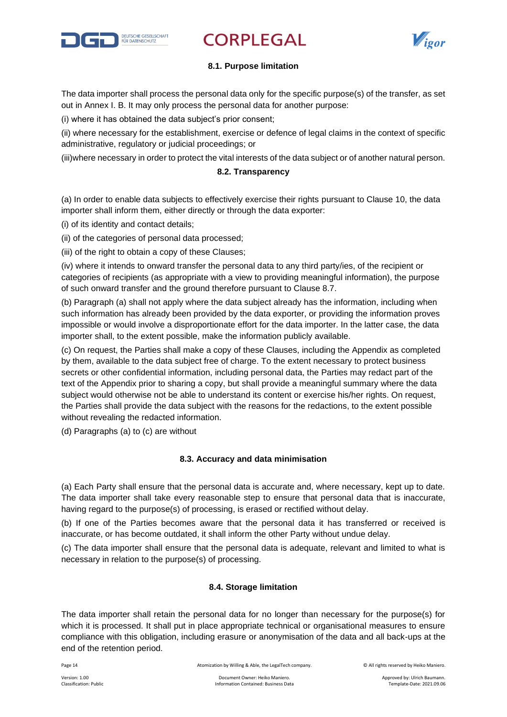



### **8.1. Purpose limitation**

The data importer shall process the personal data only for the specific purpose(s) of the transfer, as set out in Annex I. B. It may only process the personal data for another purpose:

(i) where it has obtained the data subject's prior consent;

(ii) where necessary for the establishment, exercise or defence of legal claims in the context of specific administrative, regulatory or judicial proceedings; or

(iii)where necessary in order to protect the vital interests of the data subject or of another natural person.

# **8.2. Transparency**

(a) In order to enable data subjects to effectively exercise their rights pursuant to Clause 10, the data importer shall inform them, either directly or through the data exporter:

(i) of its identity and contact details;

(ii) of the categories of personal data processed;

(iii) of the right to obtain a copy of these Clauses;

(iv) where it intends to onward transfer the personal data to any third party/ies, of the recipient or categories of recipients (as appropriate with a view to providing meaningful information), the purpose of such onward transfer and the ground therefore pursuant to Clause 8.7.

(b) Paragraph (a) shall not apply where the data subject already has the information, including when such information has already been provided by the data exporter, or providing the information proves impossible or would involve a disproportionate effort for the data importer. In the latter case, the data importer shall, to the extent possible, make the information publicly available.

(c) On request, the Parties shall make a copy of these Clauses, including the Appendix as completed by them, available to the data subject free of charge. To the extent necessary to protect business secrets or other confidential information, including personal data, the Parties may redact part of the text of the Appendix prior to sharing a copy, but shall provide a meaningful summary where the data subject would otherwise not be able to understand its content or exercise his/her rights. On request, the Parties shall provide the data subject with the reasons for the redactions, to the extent possible without revealing the redacted information.

(d) Paragraphs (a) to (c) are without

#### **8.3. Accuracy and data minimisation**

(a) Each Party shall ensure that the personal data is accurate and, where necessary, kept up to date. The data importer shall take every reasonable step to ensure that personal data that is inaccurate, having regard to the purpose(s) of processing, is erased or rectified without delay.

(b) If one of the Parties becomes aware that the personal data it has transferred or received is inaccurate, or has become outdated, it shall inform the other Party without undue delay.

(c) The data importer shall ensure that the personal data is adequate, relevant and limited to what is necessary in relation to the purpose(s) of processing.

#### **8.4. Storage limitation**

The data importer shall retain the personal data for no longer than necessary for the purpose(s) for which it is processed. It shall put in place appropriate technical or organisational measures to ensure compliance with this obligation, including erasure or anonymisation of the data and all back-ups at the end of the retention period.

Page 14 **Atomization b[y Willing & Able, the LegalTech company.](https://willing-able.com/) Call rights reserved b[y Heiko Maniero.](https://dg-datenschutz.de/)** All rights reserved by Heiko Maniero.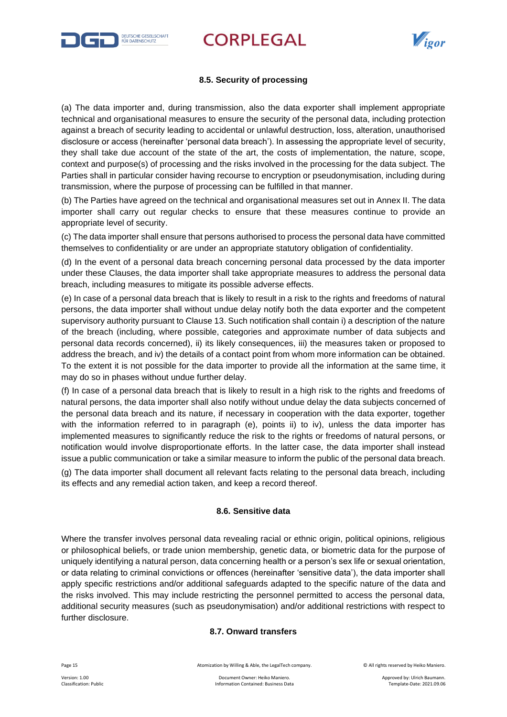



#### **8.5. Security of processing**

(a) The data importer and, during transmission, also the data exporter shall implement appropriate technical and organisational measures to ensure the security of the personal data, including protection against a breach of security leading to accidental or unlawful destruction, loss, alteration, unauthorised disclosure or access (hereinafter 'personal data breach'). In assessing the appropriate level of security, they shall take due account of the state of the art, the costs of implementation, the nature, scope, context and purpose(s) of processing and the risks involved in the processing for the data subject. The Parties shall in particular consider having recourse to encryption or pseudonymisation, including during transmission, where the purpose of processing can be fulfilled in that manner.

(b) The Parties have agreed on the technical and organisational measures set out in Annex II. The data importer shall carry out regular checks to ensure that these measures continue to provide an appropriate level of security.

(c) The data importer shall ensure that persons authorised to process the personal data have committed themselves to confidentiality or are under an appropriate statutory obligation of confidentiality.

(d) In the event of a personal data breach concerning personal data processed by the data importer under these Clauses, the data importer shall take appropriate measures to address the personal data breach, including measures to mitigate its possible adverse effects.

(e) In case of a personal data breach that is likely to result in a risk to the rights and freedoms of natural persons, the data importer shall without undue delay notify both the data exporter and the competent supervisory authority pursuant to Clause 13. Such notification shall contain i) a description of the nature of the breach (including, where possible, categories and approximate number of data subjects and personal data records concerned), ii) its likely consequences, iii) the measures taken or proposed to address the breach, and iv) the details of a contact point from whom more information can be obtained. To the extent it is not possible for the data importer to provide all the information at the same time, it may do so in phases without undue further delay.

(f) In case of a personal data breach that is likely to result in a high risk to the rights and freedoms of natural persons, the data importer shall also notify without undue delay the data subjects concerned of the personal data breach and its nature, if necessary in cooperation with the data exporter, together with the information referred to in paragraph (e), points ii) to iv), unless the data importer has implemented measures to significantly reduce the risk to the rights or freedoms of natural persons, or notification would involve disproportionate efforts. In the latter case, the data importer shall instead issue a public communication or take a similar measure to inform the public of the personal data breach.

(g) The data importer shall document all relevant facts relating to the personal data breach, including its effects and any remedial action taken, and keep a record thereof.

#### **8.6. Sensitive data**

Where the transfer involves personal data revealing racial or ethnic origin, political opinions, religious or philosophical beliefs, or trade union membership, genetic data, or biometric data for the purpose of uniquely identifying a natural person, data concerning health or a person's sex life or sexual orientation, or data relating to criminal convictions or offences (hereinafter 'sensitive data'), the data importer shall apply specific restrictions and/or additional safeguards adapted to the specific nature of the data and the risks involved. This may include restricting the personnel permitted to access the personal data, additional security measures (such as pseudonymisation) and/or additional restrictions with respect to further disclosure.

#### **8.7. Onward transfers**

Page 15 **Atomization b[y Willing & Able, the LegalTech company.](https://willing-able.com/) Call rights reserved b[y Heiko Maniero.](https://dg-datenschutz.de/)** All rights reserved by Heiko Maniero.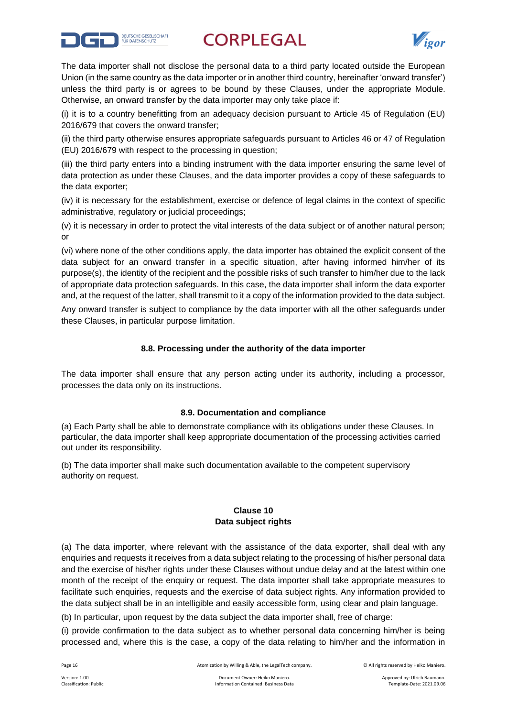



The data importer shall not disclose the personal data to a third party located outside the European Union (in the same country as the data importer or in another third country, hereinafter 'onward transfer') unless the third party is or agrees to be bound by these Clauses, under the appropriate Module. Otherwise, an onward transfer by the data importer may only take place if:

(i) it is to a country benefitting from an adequacy decision pursuant to Article 45 of Regulation (EU) 2016/679 that covers the onward transfer;

(ii) the third party otherwise ensures appropriate safeguards pursuant to Articles 46 or 47 of Regulation (EU) 2016/679 with respect to the processing in question;

(iii) the third party enters into a binding instrument with the data importer ensuring the same level of data protection as under these Clauses, and the data importer provides a copy of these safeguards to the data exporter;

(iv) it is necessary for the establishment, exercise or defence of legal claims in the context of specific administrative, regulatory or judicial proceedings;

(v) it is necessary in order to protect the vital interests of the data subject or of another natural person; or

(vi) where none of the other conditions apply, the data importer has obtained the explicit consent of the data subject for an onward transfer in a specific situation, after having informed him/her of its purpose(s), the identity of the recipient and the possible risks of such transfer to him/her due to the lack of appropriate data protection safeguards. In this case, the data importer shall inform the data exporter and, at the request of the latter, shall transmit to it a copy of the information provided to the data subject.

Any onward transfer is subject to compliance by the data importer with all the other safeguards under these Clauses, in particular purpose limitation.

#### **8.8. Processing under the authority of the data importer**

The data importer shall ensure that any person acting under its authority, including a processor, processes the data only on its instructions.

#### **8.9. Documentation and compliance**

(a) Each Party shall be able to demonstrate compliance with its obligations under these Clauses. In particular, the data importer shall keep appropriate documentation of the processing activities carried out under its responsibility.

(b) The data importer shall make such documentation available to the competent supervisory authority on request.

#### **Clause 10 Data subject rights**

(a) The data importer, where relevant with the assistance of the data exporter, shall deal with any enquiries and requests it receives from a data subject relating to the processing of his/her personal data and the exercise of his/her rights under these Clauses without undue delay and at the latest within one month of the receipt of the enquiry or request. The data importer shall take appropriate measures to facilitate such enquiries, requests and the exercise of data subject rights. Any information provided to the data subject shall be in an intelligible and easily accessible form, using clear and plain language.

(b) In particular, upon request by the data subject the data importer shall, free of charge:

(i) provide confirmation to the data subject as to whether personal data concerning him/her is being processed and, where this is the case, a copy of the data relating to him/her and the information in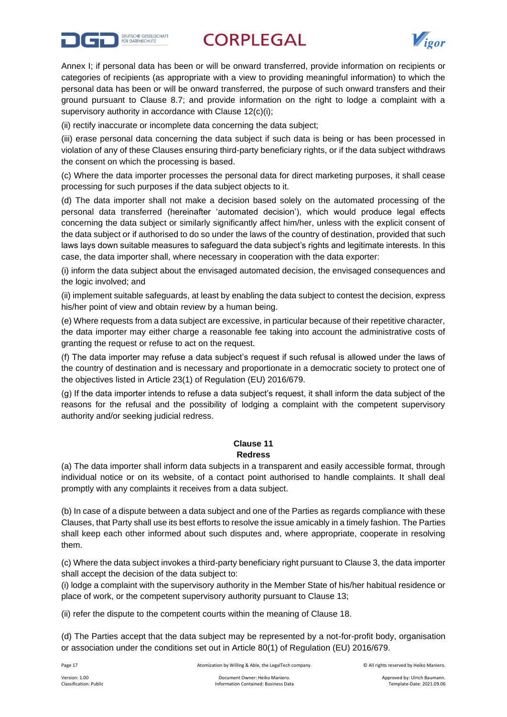



Annex I; if personal data has been or will be onward transferred, provide information on recipients or categories of recipients (as appropriate with a view to providing meaningful information) to which the personal data has been or will be onward transferred, the purpose of such onward transfers and their ground pursuant to Clause 8.7; and provide information on the right to lodge a complaint with a supervisory authority in accordance with Clause 12(c)(i);

(ii) rectify inaccurate or incomplete data concerning the data subject;

(iii) erase personal data concerning the data subject if such data is being or has been processed in violation of any of these Clauses ensuring third-party beneficiary rights, or if the data subject withdraws the consent on which the processing is based.

(c) Where the data importer processes the personal data for direct marketing purposes, it shall cease processing for such purposes if the data subject objects to it.

(d) The data importer shall not make a decision based solely on the automated processing of the personal data transferred (hereinafter 'automated decision'), which would produce legal effects concerning the data subject or similarly significantly affect him/her, unless with the explicit consent of the data subject or if authorised to do so under the laws of the country of destination, provided that such laws lays down suitable measures to safeguard the data subject's rights and legitimate interests. In this case, the data importer shall, where necessary in cooperation with the data exporter:

(i) inform the data subject about the envisaged automated decision, the envisaged consequences and the logic involved; and

(ii) implement suitable safeguards, at least by enabling the data subject to contest the decision, express his/her point of view and obtain review by a human being.

(e) Where requests from a data subject are excessive, in particular because of their repetitive character, the data importer may either charge a reasonable fee taking into account the administrative costs of granting the request or refuse to act on the request.

(f) The data importer may refuse a data subject's request if such refusal is allowed under the laws of the country of destination and is necessary and proportionate in a democratic society to protect one of the objectives listed in Article 23(1) of Regulation (EU) 2016/679.

(g) If the data importer intends to refuse a data subject's request, it shall inform the data subject of the reasons for the refusal and the possibility of lodging a complaint with the competent supervisory authority and/or seeking judicial redress.

# **Clause 11**

### **Redress**

(a) The data importer shall inform data subjects in a transparent and easily accessible format, through individual notice or on its website, of a contact point authorised to handle complaints. It shall deal promptly with any complaints it receives from a data subject.

(b) In case of a dispute between a data subject and one of the Parties as regards compliance with these Clauses, that Party shall use its best efforts to resolve the issue amicably in a timely fashion. The Parties shall keep each other informed about such disputes and, where appropriate, cooperate in resolving them.

(c) Where the data subject invokes a third-party beneficiary right pursuant to Clause 3, the data importer shall accept the decision of the data subject to:

(i) lodge a complaint with the supervisory authority in the Member State of his/her habitual residence or place of work, or the competent supervisory authority pursuant to Clause 13;

(ii) refer the dispute to the competent courts within the meaning of Clause 18.

(d) The Parties accept that the data subject may be represented by a not-for-profit body, organisation or association under the conditions set out in Article 80(1) of Regulation (EU) 2016/679.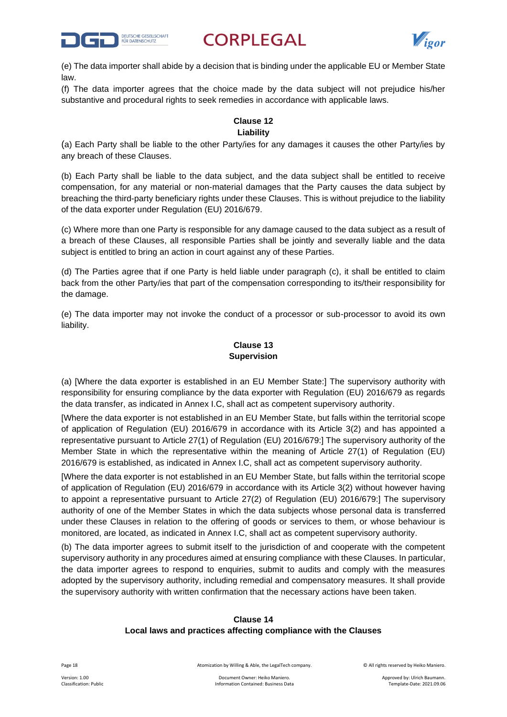



(e) The data importer shall abide by a decision that is binding under the applicable EU or Member State law.

(f) The data importer agrees that the choice made by the data subject will not prejudice his/her substantive and procedural rights to seek remedies in accordance with applicable laws.

#### **Clause 12 Liability**

(a) Each Party shall be liable to the other Party/ies for any damages it causes the other Party/ies by any breach of these Clauses.

(b) Each Party shall be liable to the data subject, and the data subject shall be entitled to receive compensation, for any material or non-material damages that the Party causes the data subject by breaching the third-party beneficiary rights under these Clauses. This is without prejudice to the liability of the data exporter under Regulation (EU) 2016/679.

(c) Where more than one Party is responsible for any damage caused to the data subject as a result of a breach of these Clauses, all responsible Parties shall be jointly and severally liable and the data subject is entitled to bring an action in court against any of these Parties.

(d) The Parties agree that if one Party is held liable under paragraph (c), it shall be entitled to claim back from the other Party/ies that part of the compensation corresponding to its/their responsibility for the damage.

(e) The data importer may not invoke the conduct of a processor or sub-processor to avoid its own liability.

# **Clause 13 Supervision**

(a) [Where the data exporter is established in an EU Member State:] The supervisory authority with responsibility for ensuring compliance by the data exporter with Regulation (EU) 2016/679 as regards the data transfer, as indicated in Annex I.C, shall act as competent supervisory authority.

[Where the data exporter is not established in an EU Member State, but falls within the territorial scope of application of Regulation (EU) 2016/679 in accordance with its Article 3(2) and has appointed a representative pursuant to Article 27(1) of Regulation (EU) 2016/679:] The supervisory authority of the Member State in which the representative within the meaning of Article 27(1) of Regulation (EU) 2016/679 is established, as indicated in Annex I.C, shall act as competent supervisory authority.

[Where the data exporter is not established in an EU Member State, but falls within the territorial scope of application of Regulation (EU) 2016/679 in accordance with its Article 3(2) without however having to appoint a representative pursuant to Article 27(2) of Regulation (EU) 2016/679:] The supervisory authority of one of the Member States in which the data subjects whose personal data is transferred under these Clauses in relation to the offering of goods or services to them, or whose behaviour is monitored, are located, as indicated in Annex I.C, shall act as competent supervisory authority.

(b) The data importer agrees to submit itself to the jurisdiction of and cooperate with the competent supervisory authority in any procedures aimed at ensuring compliance with these Clauses. In particular, the data importer agrees to respond to enquiries, submit to audits and comply with the measures adopted by the supervisory authority, including remedial and compensatory measures. It shall provide the supervisory authority with written confirmation that the necessary actions have been taken.

#### **Clause 14 Local laws and practices affecting compliance with the Clauses**

Page 18 Atomization b[y Willing & Able, the LegalTech company.](https://willing-able.com/) © All rights reserved b[y Heiko Maniero.](https://dg-datenschutz.de/)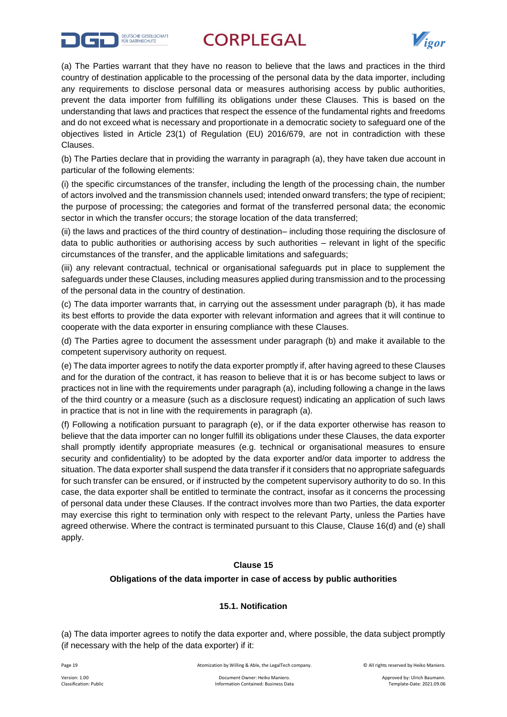



(a) The Parties warrant that they have no reason to believe that the laws and practices in the third country of destination applicable to the processing of the personal data by the data importer, including any requirements to disclose personal data or measures authorising access by public authorities, prevent the data importer from fulfilling its obligations under these Clauses. This is based on the understanding that laws and practices that respect the essence of the fundamental rights and freedoms and do not exceed what is necessary and proportionate in a democratic society to safeguard one of the objectives listed in Article 23(1) of Regulation (EU) 2016/679, are not in contradiction with these Clauses.

(b) The Parties declare that in providing the warranty in paragraph (a), they have taken due account in particular of the following elements:

(i) the specific circumstances of the transfer, including the length of the processing chain, the number of actors involved and the transmission channels used; intended onward transfers; the type of recipient; the purpose of processing; the categories and format of the transferred personal data; the economic sector in which the transfer occurs; the storage location of the data transferred;

(ii) the laws and practices of the third country of destination– including those requiring the disclosure of data to public authorities or authorising access by such authorities – relevant in light of the specific circumstances of the transfer, and the applicable limitations and safeguards;

(iii) any relevant contractual, technical or organisational safeguards put in place to supplement the safeguards under these Clauses, including measures applied during transmission and to the processing of the personal data in the country of destination.

(c) The data importer warrants that, in carrying out the assessment under paragraph (b), it has made its best efforts to provide the data exporter with relevant information and agrees that it will continue to cooperate with the data exporter in ensuring compliance with these Clauses.

(d) The Parties agree to document the assessment under paragraph (b) and make it available to the competent supervisory authority on request.

(e) The data importer agrees to notify the data exporter promptly if, after having agreed to these Clauses and for the duration of the contract, it has reason to believe that it is or has become subject to laws or practices not in line with the requirements under paragraph (a), including following a change in the laws of the third country or a measure (such as a disclosure request) indicating an application of such laws in practice that is not in line with the requirements in paragraph (a).

(f) Following a notification pursuant to paragraph (e), or if the data exporter otherwise has reason to believe that the data importer can no longer fulfill its obligations under these Clauses, the data exporter shall promptly identify appropriate measures (e.g. technical or organisational measures to ensure security and confidentiality) to be adopted by the data exporter and/or data importer to address the situation. The data exporter shall suspend the data transfer if it considers that no appropriate safeguards for such transfer can be ensured, or if instructed by the competent supervisory authority to do so. In this case, the data exporter shall be entitled to terminate the contract, insofar as it concerns the processing of personal data under these Clauses. If the contract involves more than two Parties, the data exporter may exercise this right to termination only with respect to the relevant Party, unless the Parties have agreed otherwise. Where the contract is terminated pursuant to this Clause, Clause 16(d) and (e) shall apply.

### **Clause 15**

#### **Obligations of the data importer in case of access by public authorities**

#### **15.1. Notification**

(a) The data importer agrees to notify the data exporter and, where possible, the data subject promptly (if necessary with the help of the data exporter) if it:

Page 19 **Atomization b[y Willing & Able, the LegalTech company.](https://willing-able.com/) Call rights reserved b[y Heiko Maniero.](https://dg-datenschutz.de/)** All rights reserved by Heiko Maniero.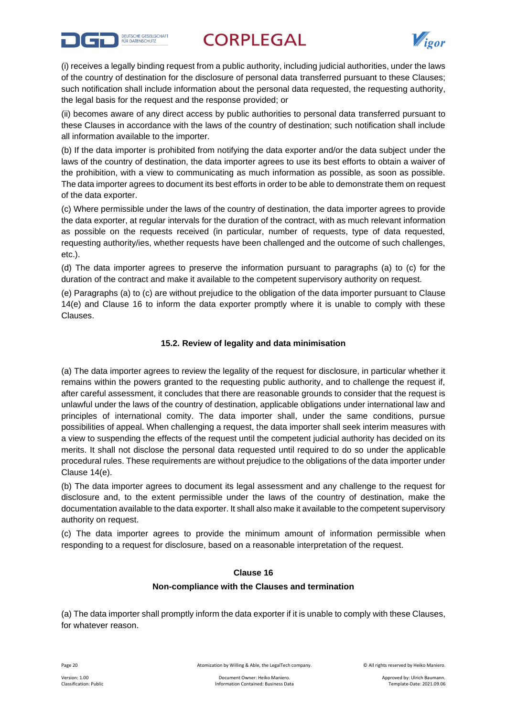DEUTSCHE GESELLSCHAFT<br>FÜR DATENSCHUTZ



(i) receives a legally binding request from a public authority, including judicial authorities, under the laws of the country of destination for the disclosure of personal data transferred pursuant to these Clauses; such notification shall include information about the personal data requested, the requesting authority, the legal basis for the request and the response provided; or

(ii) becomes aware of any direct access by public authorities to personal data transferred pursuant to these Clauses in accordance with the laws of the country of destination; such notification shall include all information available to the importer.

(b) If the data importer is prohibited from notifying the data exporter and/or the data subject under the laws of the country of destination, the data importer agrees to use its best efforts to obtain a waiver of the prohibition, with a view to communicating as much information as possible, as soon as possible. The data importer agrees to document its best efforts in order to be able to demonstrate them on request of the data exporter.

(c) Where permissible under the laws of the country of destination, the data importer agrees to provide the data exporter, at regular intervals for the duration of the contract, with as much relevant information as possible on the requests received (in particular, number of requests, type of data requested, requesting authority/ies, whether requests have been challenged and the outcome of such challenges, etc.).

(d) The data importer agrees to preserve the information pursuant to paragraphs (a) to (c) for the duration of the contract and make it available to the competent supervisory authority on request.

(e) Paragraphs (a) to (c) are without prejudice to the obligation of the data importer pursuant to Clause 14(e) and Clause 16 to inform the data exporter promptly where it is unable to comply with these Clauses.

# **15.2. Review of legality and data minimisation**

(a) The data importer agrees to review the legality of the request for disclosure, in particular whether it remains within the powers granted to the requesting public authority, and to challenge the request if, after careful assessment, it concludes that there are reasonable grounds to consider that the request is unlawful under the laws of the country of destination, applicable obligations under international law and principles of international comity. The data importer shall, under the same conditions, pursue possibilities of appeal. When challenging a request, the data importer shall seek interim measures with a view to suspending the effects of the request until the competent judicial authority has decided on its merits. It shall not disclose the personal data requested until required to do so under the applicable procedural rules. These requirements are without prejudice to the obligations of the data importer under Clause 14(e).

(b) The data importer agrees to document its legal assessment and any challenge to the request for disclosure and, to the extent permissible under the laws of the country of destination, make the documentation available to the data exporter. It shall also make it available to the competent supervisory authority on request.

(c) The data importer agrees to provide the minimum amount of information permissible when responding to a request for disclosure, based on a reasonable interpretation of the request.

#### **Clause 16**

#### **Non-compliance with the Clauses and termination**

(a) The data importer shall promptly inform the data exporter if it is unable to comply with these Clauses, for whatever reason.

Page 20 **Atomization b[y Willing & Able, the LegalTech company.](https://willing-able.com/) Call rights reserved b[y Heiko Maniero.](https://dg-datenschutz.de/)** All rights reserved by Heiko Maniero.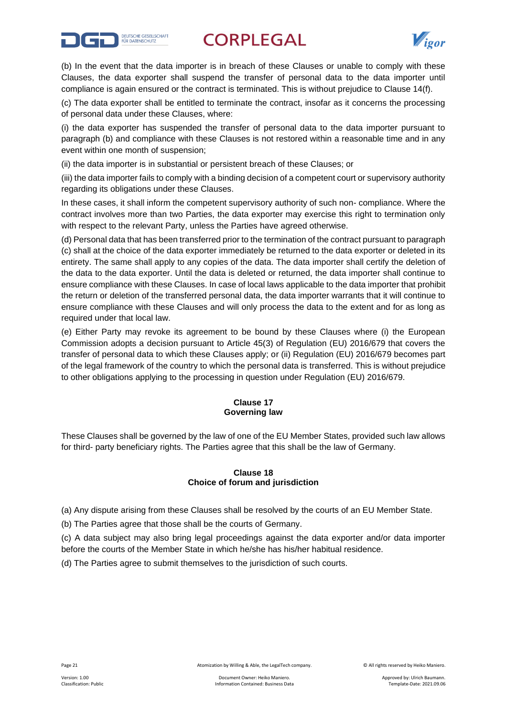



(b) In the event that the data importer is in breach of these Clauses or unable to comply with these Clauses, the data exporter shall suspend the transfer of personal data to the data importer until compliance is again ensured or the contract is terminated. This is without prejudice to Clause 14(f).

(c) The data exporter shall be entitled to terminate the contract, insofar as it concerns the processing of personal data under these Clauses, where:

(i) the data exporter has suspended the transfer of personal data to the data importer pursuant to paragraph (b) and compliance with these Clauses is not restored within a reasonable time and in any event within one month of suspension;

(ii) the data importer is in substantial or persistent breach of these Clauses; or

(iii) the data importer fails to comply with a binding decision of a competent court or supervisory authority regarding its obligations under these Clauses.

In these cases, it shall inform the competent supervisory authority of such non- compliance. Where the contract involves more than two Parties, the data exporter may exercise this right to termination only with respect to the relevant Party, unless the Parties have agreed otherwise.

(d) Personal data that has been transferred prior to the termination of the contract pursuant to paragraph (c) shall at the choice of the data exporter immediately be returned to the data exporter or deleted in its entirety. The same shall apply to any copies of the data. The data importer shall certify the deletion of the data to the data exporter. Until the data is deleted or returned, the data importer shall continue to ensure compliance with these Clauses. In case of local laws applicable to the data importer that prohibit the return or deletion of the transferred personal data, the data importer warrants that it will continue to ensure compliance with these Clauses and will only process the data to the extent and for as long as required under that local law.

(e) Either Party may revoke its agreement to be bound by these Clauses where (i) the European Commission adopts a decision pursuant to Article 45(3) of Regulation (EU) 2016/679 that covers the transfer of personal data to which these Clauses apply; or (ii) Regulation (EU) 2016/679 becomes part of the legal framework of the country to which the personal data is transferred. This is without prejudice to other obligations applying to the processing in question under Regulation (EU) 2016/679.

#### **Clause 17 Governing law**

These Clauses shall be governed by the law of one of the EU Member States, provided such law allows for third- party beneficiary rights. The Parties agree that this shall be the law of Germany.

#### **Clause 18 Choice of forum and jurisdiction**

(a) Any dispute arising from these Clauses shall be resolved by the courts of an EU Member State.

(b) The Parties agree that those shall be the courts of Germany.

(c) A data subject may also bring legal proceedings against the data exporter and/or data importer before the courts of the Member State in which he/she has his/her habitual residence.

(d) The Parties agree to submit themselves to the jurisdiction of such courts.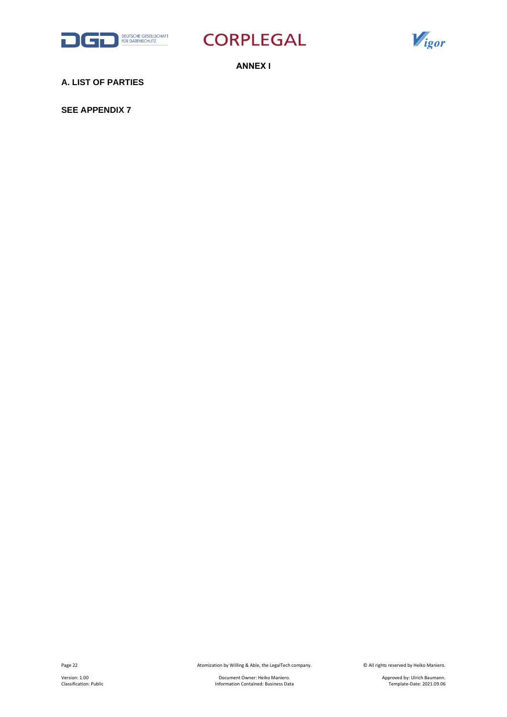



**ΑΝΝΕΧ I** 

**A. LIST OF PARTIES**

**SEE APPENDIX 7**

Page 22 **Atomization b[y Willing & Able, the LegalTech company.](https://willing-able.com/)** © All rights reserved b[y Heiko Maniero.](https://dg-datenschutz.de/)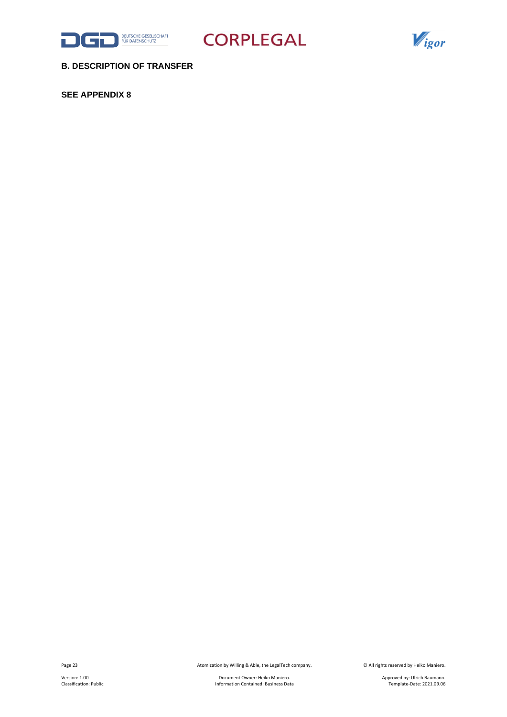



# **B. DESCRIPTION OF TRANSFER**

**SEE APPENDIX 8**

Page 23 **Atomization b[y Willing & Able, the LegalTech company.](https://willing-able.com/)** © All rights reserved b[y Heiko Maniero.](https://dg-datenschutz.de/)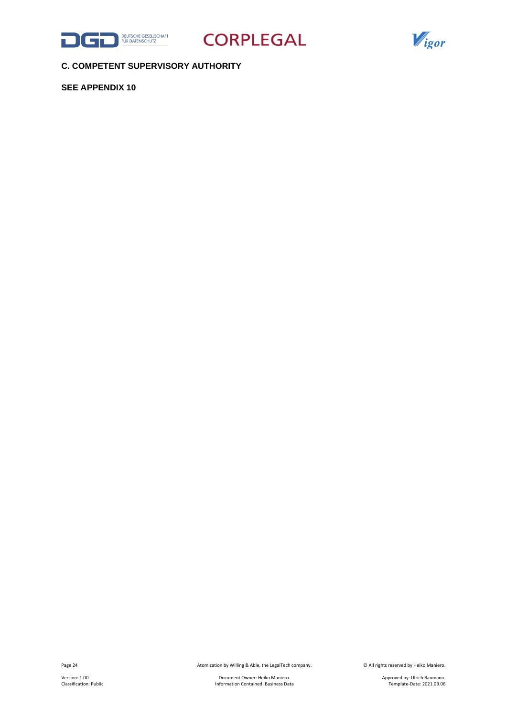



# **C. COMPETENT SUPERVISORY AUTHORITY**

**SEE APPENDIX 10**

Page 24 Atomization b[y Willing & Able, the LegalTech company.](https://willing-able.com/) © All rights reserved b[y Heiko Maniero.](https://dg-datenschutz.de/)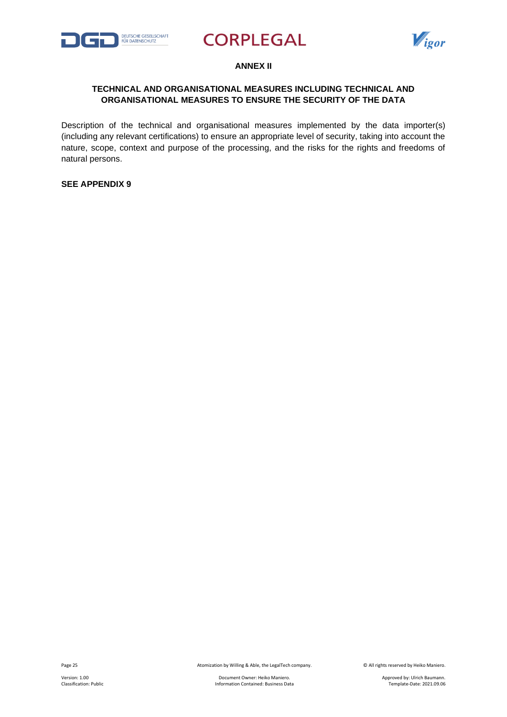



#### **ANNEX II**

# **TECHNICAL AND ORGANISATIONAL MEASURES INCLUDING TECHNICAL AND ORGANISATIONAL MEASURES TO ENSURE THE SECURITY OF THE DATA**

Description of the technical and organisational measures implemented by the data importer(s) (including any relevant certifications) to ensure an appropriate level of security, taking into account the nature, scope, context and purpose of the processing, and the risks for the rights and freedoms of natural persons.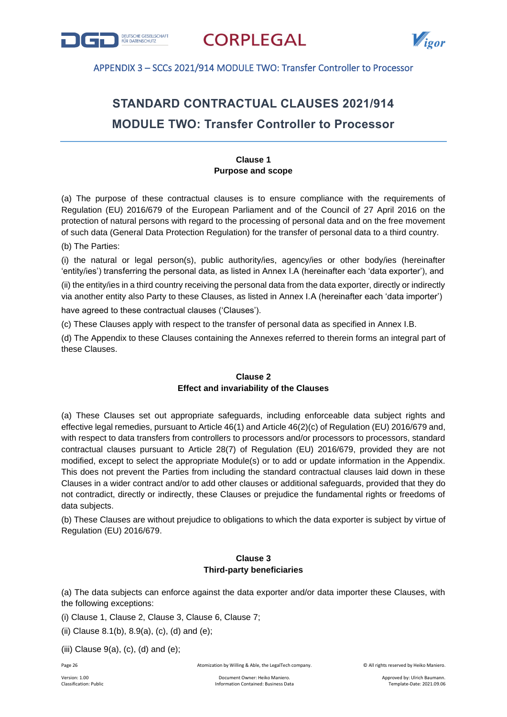



APPENDIX 3 – SCCs 2021/914 MODULE TWO: Transfer Controller to Processor

# **STANDARD CONTRACTUAL CLAUSES 2021/914 MODULE TWO: Transfer Controller to Processor**

#### **Clause 1 Purpose and scope**

(a) The purpose of these contractual clauses is to ensure compliance with the requirements of Regulation (EU) 2016/679 of the European Parliament and of the Council of 27 April 2016 on the protection of natural persons with regard to the processing of personal data and on the free movement of such data (General Data Protection Regulation) for the transfer of personal data to a third country.

(b) The Parties:

(i) the natural or legal person(s), public authority/ies, agency/ies or other body/ies (hereinafter 'entity/ies') transferring the personal data, as listed in Annex I.A (hereinafter each 'data exporter'), and (ii) the entity/ies in a third country receiving the personal data from the data exporter, directly or indirectly via another entity also Party to these Clauses, as listed in Annex I.A (hereinafter each 'data importer') have agreed to these contractual clauses ('Clauses').

(c) These Clauses apply with respect to the transfer of personal data as specified in Annex I.B.

(d) The Appendix to these Clauses containing the Annexes referred to therein forms an integral part of these Clauses.

#### **Clause 2 Effect and invariability of the Clauses**

(a) These Clauses set out appropriate safeguards, including enforceable data subject rights and effective legal remedies, pursuant to Article 46(1) and Article 46(2)(c) of Regulation (EU) 2016/679 and, with respect to data transfers from controllers to processors and/or processors to processors, standard contractual clauses pursuant to Article 28(7) of Regulation (EU) 2016/679, provided they are not modified, except to select the appropriate Module(s) or to add or update information in the Appendix. This does not prevent the Parties from including the standard contractual clauses laid down in these Clauses in a wider contract and/or to add other clauses or additional safeguards, provided that they do not contradict, directly or indirectly, these Clauses or prejudice the fundamental rights or freedoms of data subjects.

(b) These Clauses are without prejudice to obligations to which the data exporter is subject by virtue of Regulation (EU) 2016/679.

# **Clause 3 Third-party beneficiaries**

(a) The data subjects can enforce against the data exporter and/or data importer these Clauses, with the following exceptions:

(i) Clause 1, Clause 2, Clause 3, Clause 6, Clause 7;

(ii) Clause  $8.1(b)$ ,  $8.9(a)$ ,  $(c)$ ,  $(d)$  and  $(e)$ ;

(iii) Clause  $9(a)$ ,  $(c)$ ,  $(d)$  and  $(e)$ ;

Page 26 **Atomization b[y Willing & Able, the LegalTech company.](https://willing-able.com/) Call rights reserved b[y Heiko Maniero.](https://dg-datenschutz.de/)** All rights reserved by Heiko Maniero.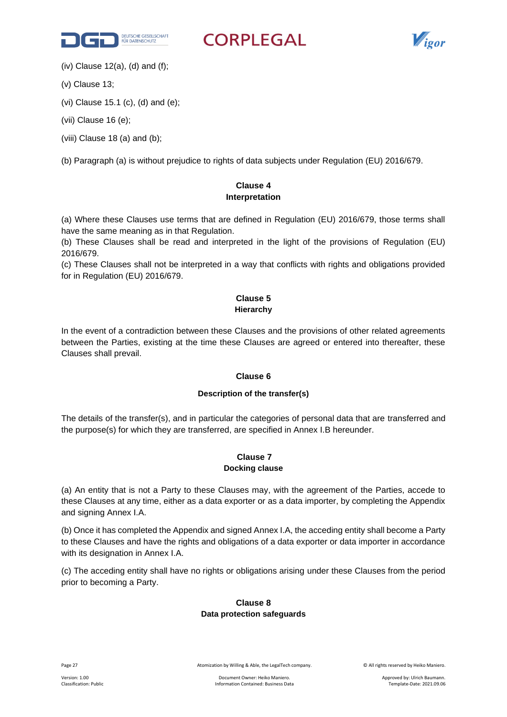



(iv) Clause  $12(a)$ , (d) and (f);

(v) Clause 13;

(vi) Clause 15.1 (c), (d) and (e);

(vii) Clause 16 (e);

(viii) Clause 18 (a) and (b);

(b) Paragraph (a) is without prejudice to rights of data subjects under Regulation (EU) 2016/679.

# **Clause 4 Interpretation**

(a) Where these Clauses use terms that are defined in Regulation (EU) 2016/679, those terms shall have the same meaning as in that Regulation.

(b) These Clauses shall be read and interpreted in the light of the provisions of Regulation (EU) 2016/679.

(c) These Clauses shall not be interpreted in a way that conflicts with rights and obligations provided for in Regulation (EU) 2016/679.

#### **Clause 5 Hierarchy**

In the event of a contradiction between these Clauses and the provisions of other related agreements between the Parties, existing at the time these Clauses are agreed or entered into thereafter, these Clauses shall prevail.

#### **Clause 6**

#### **Description of the transfer(s)**

The details of the transfer(s), and in particular the categories of personal data that are transferred and the purpose(s) for which they are transferred, are specified in Annex I.B hereunder.

#### **Clause 7 Docking clause**

(a) An entity that is not a Party to these Clauses may, with the agreement of the Parties, accede to these Clauses at any time, either as a data exporter or as a data importer, by completing the Appendix and signing Annex I.A.

(b) Once it has completed the Appendix and signed Annex I.A, the acceding entity shall become a Party to these Clauses and have the rights and obligations of a data exporter or data importer in accordance with its designation in Annex I.A.

(c) The acceding entity shall have no rights or obligations arising under these Clauses from the period prior to becoming a Party.

#### **Clause 8 Data protection safeguards**

Page 27 **Atomization b[y Willing & Able, the LegalTech company.](https://willing-able.com/)** Call rights reserved b[y Heiko Maniero.](https://dg-datenschutz.de/)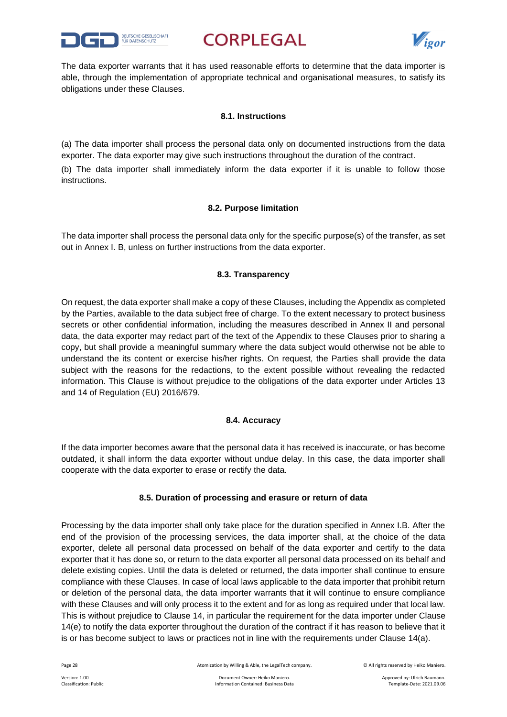



The data exporter warrants that it has used reasonable efforts to determine that the data importer is able, through the implementation of appropriate technical and organisational measures, to satisfy its obligations under these Clauses.

### **8.1. Instructions**

(a) The data importer shall process the personal data only on documented instructions from the data exporter. The data exporter may give such instructions throughout the duration of the contract.

(b) The data importer shall immediately inform the data exporter if it is unable to follow those instructions.

#### **8.2. Purpose limitation**

The data importer shall process the personal data only for the specific purpose(s) of the transfer, as set out in Annex I. B, unless on further instructions from the data exporter.

# **8.3. Transparency**

On request, the data exporter shall make a copy of these Clauses, including the Appendix as completed by the Parties, available to the data subject free of charge. To the extent necessary to protect business secrets or other confidential information, including the measures described in Annex II and personal data, the data exporter may redact part of the text of the Appendix to these Clauses prior to sharing a copy, but shall provide a meaningful summary where the data subject would otherwise not be able to understand the its content or exercise his/her rights. On request, the Parties shall provide the data subject with the reasons for the redactions, to the extent possible without revealing the redacted information. This Clause is without prejudice to the obligations of the data exporter under Articles 13 and 14 of Regulation (EU) 2016/679.

#### **8.4. Accuracy**

If the data importer becomes aware that the personal data it has received is inaccurate, or has become outdated, it shall inform the data exporter without undue delay. In this case, the data importer shall cooperate with the data exporter to erase or rectify the data.

#### **8.5. Duration of processing and erasure or return of data**

Processing by the data importer shall only take place for the duration specified in Annex I.B. After the end of the provision of the processing services, the data importer shall, at the choice of the data exporter, delete all personal data processed on behalf of the data exporter and certify to the data exporter that it has done so, or return to the data exporter all personal data processed on its behalf and delete existing copies. Until the data is deleted or returned, the data importer shall continue to ensure compliance with these Clauses. In case of local laws applicable to the data importer that prohibit return or deletion of the personal data, the data importer warrants that it will continue to ensure compliance with these Clauses and will only process it to the extent and for as long as required under that local law. This is without prejudice to Clause 14, in particular the requirement for the data importer under Clause 14(e) to notify the data exporter throughout the duration of the contract if it has reason to believe that it is or has become subject to laws or practices not in line with the requirements under Clause 14(a).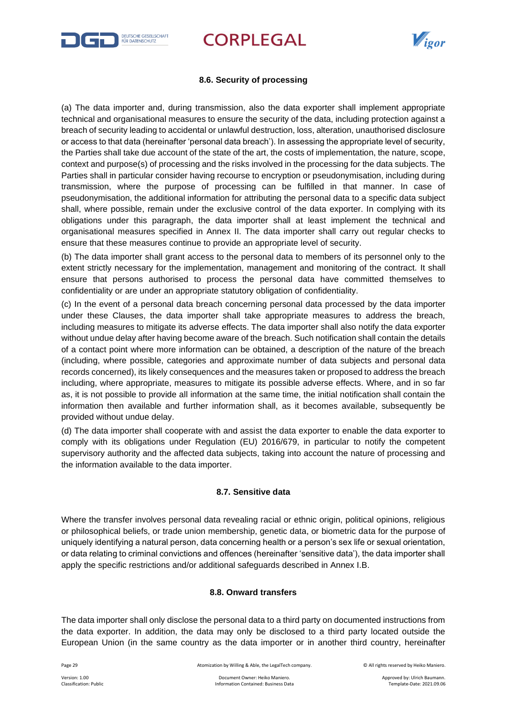



#### **8.6. Security of processing**

(a) The data importer and, during transmission, also the data exporter shall implement appropriate technical and organisational measures to ensure the security of the data, including protection against a breach of security leading to accidental or unlawful destruction, loss, alteration, unauthorised disclosure or access to that data (hereinafter 'personal data breach'). In assessing the appropriate level of security, the Parties shall take due account of the state of the art, the costs of implementation, the nature, scope, context and purpose(s) of processing and the risks involved in the processing for the data subjects. The Parties shall in particular consider having recourse to encryption or pseudonymisation, including during transmission, where the purpose of processing can be fulfilled in that manner. In case of pseudonymisation, the additional information for attributing the personal data to a specific data subject shall, where possible, remain under the exclusive control of the data exporter. In complying with its obligations under this paragraph, the data importer shall at least implement the technical and organisational measures specified in Annex II. The data importer shall carry out regular checks to ensure that these measures continue to provide an appropriate level of security.

(b) The data importer shall grant access to the personal data to members of its personnel only to the extent strictly necessary for the implementation, management and monitoring of the contract. It shall ensure that persons authorised to process the personal data have committed themselves to confidentiality or are under an appropriate statutory obligation of confidentiality.

(c) In the event of a personal data breach concerning personal data processed by the data importer under these Clauses, the data importer shall take appropriate measures to address the breach, including measures to mitigate its adverse effects. The data importer shall also notify the data exporter without undue delay after having become aware of the breach. Such notification shall contain the details of a contact point where more information can be obtained, a description of the nature of the breach (including, where possible, categories and approximate number of data subjects and personal data records concerned), its likely consequences and the measures taken or proposed to address the breach including, where appropriate, measures to mitigate its possible adverse effects. Where, and in so far as, it is not possible to provide all information at the same time, the initial notification shall contain the information then available and further information shall, as it becomes available, subsequently be provided without undue delay.

(d) The data importer shall cooperate with and assist the data exporter to enable the data exporter to comply with its obligations under Regulation (EU) 2016/679, in particular to notify the competent supervisory authority and the affected data subjects, taking into account the nature of processing and the information available to the data importer.

#### **8.7. Sensitive data**

Where the transfer involves personal data revealing racial or ethnic origin, political opinions, religious or philosophical beliefs, or trade union membership, genetic data, or biometric data for the purpose of uniquely identifying a natural person, data concerning health or a person's sex life or sexual orientation, or data relating to criminal convictions and offences (hereinafter 'sensitive data'), the data importer shall apply the specific restrictions and/or additional safeguards described in Annex I.B.

#### **8.8. Onward transfers**

The data importer shall only disclose the personal data to a third party on documented instructions from the data exporter. In addition, the data may only be disclosed to a third party located outside the European Union (in the same country as the data importer or in another third country, hereinafter

Page 29 **Atomization b[y Willing & Able, the LegalTech company.](https://willing-able.com/) Call rights reserved b[y Heiko Maniero.](https://dg-datenschutz.de/)** All rights reserved by Heiko Maniero.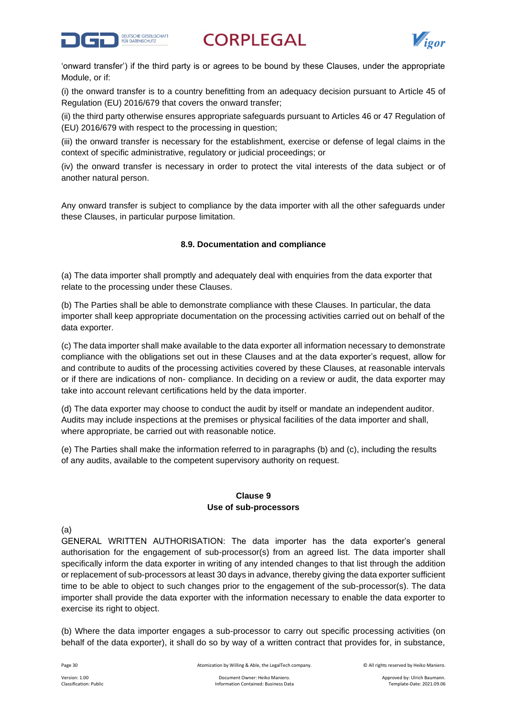



'onward transfer') if the third party is or agrees to be bound by these Clauses, under the appropriate Module, or if:

(i) the onward transfer is to a country benefitting from an adequacy decision pursuant to Article 45 of Regulation (EU) 2016/679 that covers the onward transfer;

(ii) the third party otherwise ensures appropriate safeguards pursuant to Articles 46 or 47 Regulation of (EU) 2016/679 with respect to the processing in question;

(iii) the onward transfer is necessary for the establishment, exercise or defense of legal claims in the context of specific administrative, regulatory or judicial proceedings; or

(iv) the onward transfer is necessary in order to protect the vital interests of the data subject or of another natural person.

Any onward transfer is subject to compliance by the data importer with all the other safeguards under these Clauses, in particular purpose limitation.

# **8.9. Documentation and compliance**

(a) The data importer shall promptly and adequately deal with enquiries from the data exporter that relate to the processing under these Clauses.

(b) The Parties shall be able to demonstrate compliance with these Clauses. In particular, the data importer shall keep appropriate documentation on the processing activities carried out on behalf of the data exporter.

(c) The data importer shall make available to the data exporter all information necessary to demonstrate compliance with the obligations set out in these Clauses and at the data exporter's request, allow for and contribute to audits of the processing activities covered by these Clauses, at reasonable intervals or if there are indications of non- compliance. In deciding on a review or audit, the data exporter may take into account relevant certifications held by the data importer.

(d) The data exporter may choose to conduct the audit by itself or mandate an independent auditor. Audits may include inspections at the premises or physical facilities of the data importer and shall, where appropriate, be carried out with reasonable notice.

(e) The Parties shall make the information referred to in paragraphs (b) and (c), including the results of any audits, available to the competent supervisory authority on request.

#### **Clause 9 Use of sub-processors**

(a)

GENERAL WRITTEN AUTHORISATION: The data importer has the data exporter's general authorisation for the engagement of sub-processor(s) from an agreed list. The data importer shall specifically inform the data exporter in writing of any intended changes to that list through the addition or replacement of sub-processors at least 30 days in advance, thereby giving the data exporter sufficient time to be able to object to such changes prior to the engagement of the sub-processor(s). The data importer shall provide the data exporter with the information necessary to enable the data exporter to exercise its right to object.

(b) Where the data importer engages a sub-processor to carry out specific processing activities (on behalf of the data exporter), it shall do so by way of a written contract that provides for, in substance,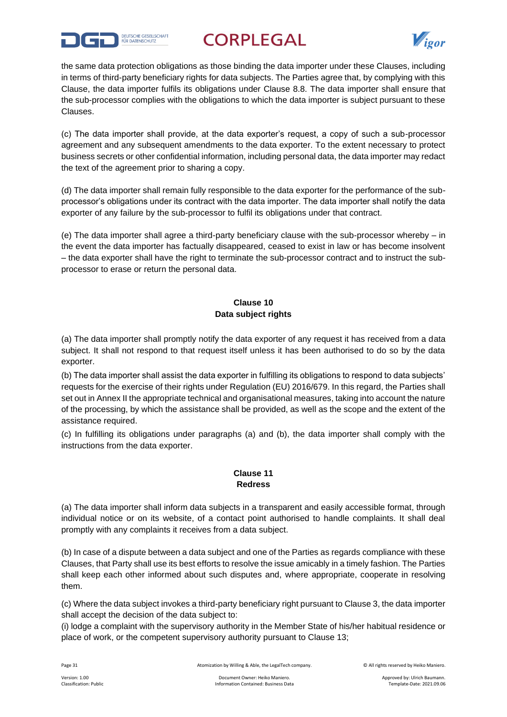



the same data protection obligations as those binding the data importer under these Clauses, including in terms of third-party beneficiary rights for data subjects. The Parties agree that, by complying with this Clause, the data importer fulfils its obligations under Clause 8.8. The data importer shall ensure that the sub-processor complies with the obligations to which the data importer is subject pursuant to these Clauses.

(c) The data importer shall provide, at the data exporter's request, a copy of such a sub-processor agreement and any subsequent amendments to the data exporter. To the extent necessary to protect business secrets or other confidential information, including personal data, the data importer may redact the text of the agreement prior to sharing a copy.

(d) The data importer shall remain fully responsible to the data exporter for the performance of the subprocessor's obligations under its contract with the data importer. The data importer shall notify the data exporter of any failure by the sub-processor to fulfil its obligations under that contract.

(e) The data importer shall agree a third-party beneficiary clause with the sub-processor whereby – in the event the data importer has factually disappeared, ceased to exist in law or has become insolvent – the data exporter shall have the right to terminate the sub-processor contract and to instruct the subprocessor to erase or return the personal data.

# **Clause 10 Data subject rights**

(a) The data importer shall promptly notify the data exporter of any request it has received from a data subject. It shall not respond to that request itself unless it has been authorised to do so by the data exporter.

(b) The data importer shall assist the data exporter in fulfilling its obligations to respond to data subjects' requests for the exercise of their rights under Regulation (EU) 2016/679. In this regard, the Parties shall set out in Annex II the appropriate technical and organisational measures, taking into account the nature of the processing, by which the assistance shall be provided, as well as the scope and the extent of the assistance required.

(c) In fulfilling its obligations under paragraphs (a) and (b), the data importer shall comply with the instructions from the data exporter.

# **Clause 11 Redress**

(a) The data importer shall inform data subjects in a transparent and easily accessible format, through individual notice or on its website, of a contact point authorised to handle complaints. It shall deal promptly with any complaints it receives from a data subject.

(b) In case of a dispute between a data subject and one of the Parties as regards compliance with these Clauses, that Party shall use its best efforts to resolve the issue amicably in a timely fashion. The Parties shall keep each other informed about such disputes and, where appropriate, cooperate in resolving them.

(c) Where the data subject invokes a third-party beneficiary right pursuant to Clause 3, the data importer shall accept the decision of the data subject to:

(i) lodge a complaint with the supervisory authority in the Member State of his/her habitual residence or place of work, or the competent supervisory authority pursuant to Clause 13;

Page 31 **Atomization b[y Willing & Able, the LegalTech company.](https://willing-able.com/)** Call rights reserved b[y Heiko Maniero.](https://dg-datenschutz.de/)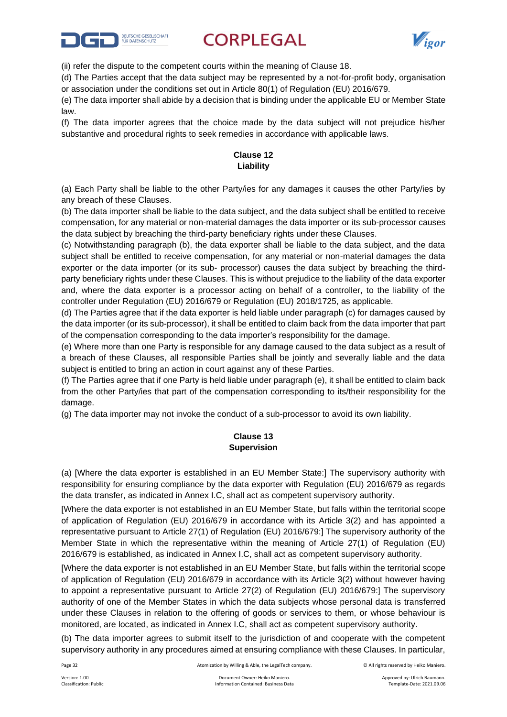



(ii) refer the dispute to the competent courts within the meaning of Clause 18.

(d) The Parties accept that the data subject may be represented by a not-for-profit body, organisation or association under the conditions set out in Article 80(1) of Regulation (EU) 2016/679.

(e) The data importer shall abide by a decision that is binding under the applicable EU or Member State law.

(f) The data importer agrees that the choice made by the data subject will not prejudice his/her substantive and procedural rights to seek remedies in accordance with applicable laws.

# **Clause 12 Liability**

(a) Each Party shall be liable to the other Party/ies for any damages it causes the other Party/ies by any breach of these Clauses.

(b) The data importer shall be liable to the data subject, and the data subject shall be entitled to receive compensation, for any material or non-material damages the data importer or its sub-processor causes the data subject by breaching the third-party beneficiary rights under these Clauses.

(c) Notwithstanding paragraph (b), the data exporter shall be liable to the data subject, and the data subject shall be entitled to receive compensation, for any material or non-material damages the data exporter or the data importer (or its sub- processor) causes the data subject by breaching the thirdparty beneficiary rights under these Clauses. This is without prejudice to the liability of the data exporter and, where the data exporter is a processor acting on behalf of a controller, to the liability of the controller under Regulation (EU) 2016/679 or Regulation (EU) 2018/1725, as applicable.

(d) The Parties agree that if the data exporter is held liable under paragraph (c) for damages caused by the data importer (or its sub-processor), it shall be entitled to claim back from the data importer that part of the compensation corresponding to the data importer's responsibility for the damage.

(e) Where more than one Party is responsible for any damage caused to the data subject as a result of a breach of these Clauses, all responsible Parties shall be jointly and severally liable and the data subject is entitled to bring an action in court against any of these Parties.

(f) The Parties agree that if one Party is held liable under paragraph (e), it shall be entitled to claim back from the other Party/ies that part of the compensation corresponding to its/their responsibility for the damage.

(g) The data importer may not invoke the conduct of a sub-processor to avoid its own liability.

# **Clause 13 Supervision**

(a) [Where the data exporter is established in an EU Member State:] The supervisory authority with responsibility for ensuring compliance by the data exporter with Regulation (EU) 2016/679 as regards the data transfer, as indicated in Annex I.C, shall act as competent supervisory authority.

[Where the data exporter is not established in an EU Member State, but falls within the territorial scope of application of Regulation (EU) 2016/679 in accordance with its Article 3(2) and has appointed a representative pursuant to Article 27(1) of Regulation (EU) 2016/679:] The supervisory authority of the Member State in which the representative within the meaning of Article 27(1) of Regulation (EU) 2016/679 is established, as indicated in Annex I.C, shall act as competent supervisory authority.

[Where the data exporter is not established in an EU Member State, but falls within the territorial scope of application of Regulation (EU) 2016/679 in accordance with its Article 3(2) without however having to appoint a representative pursuant to Article 27(2) of Regulation (EU) 2016/679:] The supervisory authority of one of the Member States in which the data subjects whose personal data is transferred under these Clauses in relation to the offering of goods or services to them, or whose behaviour is monitored, are located, as indicated in Annex I.C, shall act as competent supervisory authority.

(b) The data importer agrees to submit itself to the jurisdiction of and cooperate with the competent supervisory authority in any procedures aimed at ensuring compliance with these Clauses. In particular,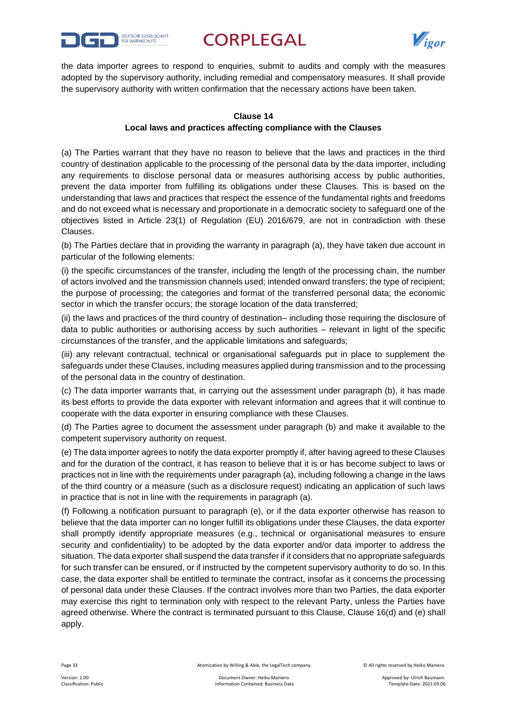



the data importer agrees to respond to enquiries, submit to audits and comply with the measures adopted by the supervisory authority, including remedial and compensatory measures. It shall provide the supervisory authority with written confirmation that the necessary actions have been taken.

#### **Clause 14**

#### **Local laws and practices affecting compliance with the Clauses**

(a) The Parties warrant that they have no reason to believe that the laws and practices in the third country of destination applicable to the processing of the personal data by the data importer, including any requirements to disclose personal data or measures authorising access by public authorities, prevent the data importer from fulfilling its obligations under these Clauses. This is based on the understanding that laws and practices that respect the essence of the fundamental rights and freedoms and do not exceed what is necessary and proportionate in a democratic society to safeguard one of the objectives listed in Article 23(1) of Regulation (EU) 2016/679, are not in contradiction with these Clauses.

(b) The Parties declare that in providing the warranty in paragraph (a), they have taken due account in particular of the following elements:

(i) the specific circumstances of the transfer, including the length of the processing chain, the number of actors involved and the transmission channels used; intended onward transfers; the type of recipient; the purpose of processing; the categories and format of the transferred personal data; the economic sector in which the transfer occurs; the storage location of the data transferred;

(ii) the laws and practices of the third country of destination– including those requiring the disclosure of data to public authorities or authorising access by such authorities – relevant in light of the specific circumstances of the transfer, and the applicable limitations and safeguards;

(iii) any relevant contractual, technical or organisational safeguards put in place to supplement the safeguards under these Clauses, including measures applied during transmission and to the processing of the personal data in the country of destination.

(c) The data importer warrants that, in carrying out the assessment under paragraph (b), it has made its best efforts to provide the data exporter with relevant information and agrees that it will continue to cooperate with the data exporter in ensuring compliance with these Clauses.

(d) The Parties agree to document the assessment under paragraph (b) and make it available to the competent supervisory authority on request.

(e) The data importer agrees to notify the data exporter promptly if, after having agreed to these Clauses and for the duration of the contract, it has reason to believe that it is or has become subject to laws or practices not in line with the requirements under paragraph (a), including following a change in the laws of the third country or a measure (such as a disclosure request) indicating an application of such laws in practice that is not in line with the requirements in paragraph (a).

(f) Following a notification pursuant to paragraph (e), or if the data exporter otherwise has reason to believe that the data importer can no longer fulfill its obligations under these Clauses, the data exporter shall promptly identify appropriate measures (e.g., technical or organisational measures to ensure security and confidentiality) to be adopted by the data exporter and/or data importer to address the situation. The data exporter shall suspend the data transfer if it considers that no appropriate safeguards for such transfer can be ensured, or if instructed by the competent supervisory authority to do so. In this case, the data exporter shall be entitled to terminate the contract, insofar as it concerns the processing of personal data under these Clauses. If the contract involves more than two Parties, the data exporter may exercise this right to termination only with respect to the relevant Party, unless the Parties have agreed otherwise. Where the contract is terminated pursuant to this Clause, Clause 16(d) and (e) shall apply.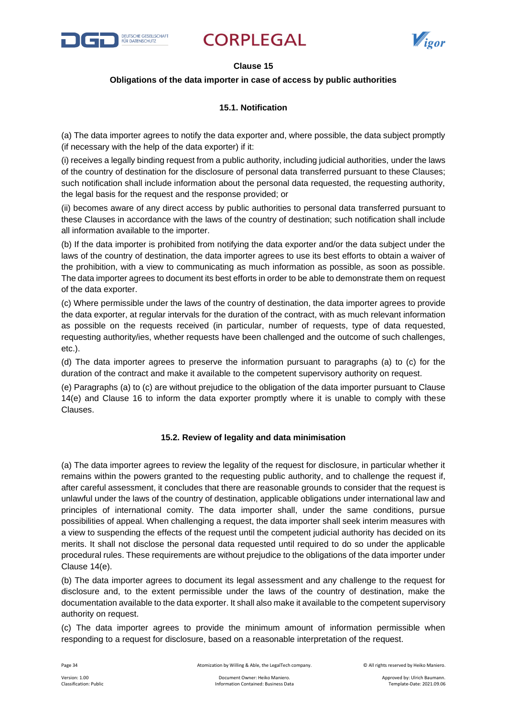



#### **Clause 15**

#### **Obligations of the data importer in case of access by public authorities**

#### **15.1. Notification**

(a) The data importer agrees to notify the data exporter and, where possible, the data subject promptly (if necessary with the help of the data exporter) if it:

(i) receives a legally binding request from a public authority, including judicial authorities, under the laws of the country of destination for the disclosure of personal data transferred pursuant to these Clauses; such notification shall include information about the personal data requested, the requesting authority, the legal basis for the request and the response provided; or

(ii) becomes aware of any direct access by public authorities to personal data transferred pursuant to these Clauses in accordance with the laws of the country of destination; such notification shall include all information available to the importer.

(b) If the data importer is prohibited from notifying the data exporter and/or the data subject under the laws of the country of destination, the data importer agrees to use its best efforts to obtain a waiver of the prohibition, with a view to communicating as much information as possible, as soon as possible. The data importer agrees to document its best efforts in order to be able to demonstrate them on request of the data exporter.

(c) Where permissible under the laws of the country of destination, the data importer agrees to provide the data exporter, at regular intervals for the duration of the contract, with as much relevant information as possible on the requests received (in particular, number of requests, type of data requested, requesting authority/ies, whether requests have been challenged and the outcome of such challenges, etc.).

(d) The data importer agrees to preserve the information pursuant to paragraphs (a) to (c) for the duration of the contract and make it available to the competent supervisory authority on request.

(e) Paragraphs (a) to (c) are without prejudice to the obligation of the data importer pursuant to Clause 14(e) and Clause 16 to inform the data exporter promptly where it is unable to comply with these Clauses.

#### **15.2. Review of legality and data minimisation**

(a) The data importer agrees to review the legality of the request for disclosure, in particular whether it remains within the powers granted to the requesting public authority, and to challenge the request if, after careful assessment, it concludes that there are reasonable grounds to consider that the request is unlawful under the laws of the country of destination, applicable obligations under international law and principles of international comity. The data importer shall, under the same conditions, pursue possibilities of appeal. When challenging a request, the data importer shall seek interim measures with a view to suspending the effects of the request until the competent judicial authority has decided on its merits. It shall not disclose the personal data requested until required to do so under the applicable procedural rules. These requirements are without prejudice to the obligations of the data importer under Clause 14(e).

(b) The data importer agrees to document its legal assessment and any challenge to the request for disclosure and, to the extent permissible under the laws of the country of destination, make the documentation available to the data exporter. It shall also make it available to the competent supervisory authority on request.

(c) The data importer agrees to provide the minimum amount of information permissible when responding to a request for disclosure, based on a reasonable interpretation of the request.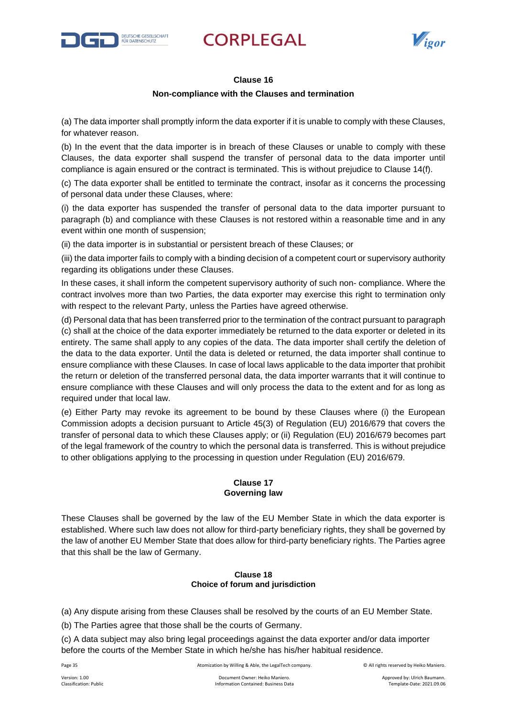



#### **Clause 16**

#### **Non-compliance with the Clauses and termination**

(a) The data importer shall promptly inform the data exporter if it is unable to comply with these Clauses, for whatever reason.

(b) In the event that the data importer is in breach of these Clauses or unable to comply with these Clauses, the data exporter shall suspend the transfer of personal data to the data importer until compliance is again ensured or the contract is terminated. This is without prejudice to Clause 14(f).

(c) The data exporter shall be entitled to terminate the contract, insofar as it concerns the processing of personal data under these Clauses, where:

(i) the data exporter has suspended the transfer of personal data to the data importer pursuant to paragraph (b) and compliance with these Clauses is not restored within a reasonable time and in any event within one month of suspension;

(ii) the data importer is in substantial or persistent breach of these Clauses; or

(iii) the data importer fails to comply with a binding decision of a competent court or supervisory authority regarding its obligations under these Clauses.

In these cases, it shall inform the competent supervisory authority of such non- compliance. Where the contract involves more than two Parties, the data exporter may exercise this right to termination only with respect to the relevant Party, unless the Parties have agreed otherwise.

(d) Personal data that has been transferred prior to the termination of the contract pursuant to paragraph (c) shall at the choice of the data exporter immediately be returned to the data exporter or deleted in its entirety. The same shall apply to any copies of the data. The data importer shall certify the deletion of the data to the data exporter. Until the data is deleted or returned, the data importer shall continue to ensure compliance with these Clauses. In case of local laws applicable to the data importer that prohibit the return or deletion of the transferred personal data, the data importer warrants that it will continue to ensure compliance with these Clauses and will only process the data to the extent and for as long as required under that local law.

(e) Either Party may revoke its agreement to be bound by these Clauses where (i) the European Commission adopts a decision pursuant to Article 45(3) of Regulation (EU) 2016/679 that covers the transfer of personal data to which these Clauses apply; or (ii) Regulation (EU) 2016/679 becomes part of the legal framework of the country to which the personal data is transferred. This is without prejudice to other obligations applying to the processing in question under Regulation (EU) 2016/679.

#### **Clause 17 Governing law**

These Clauses shall be governed by the law of the EU Member State in which the data exporter is established. Where such law does not allow for third-party beneficiary rights, they shall be governed by the law of another EU Member State that does allow for third-party beneficiary rights. The Parties agree that this shall be the law of Germany.

#### **Clause 18 Choice of forum and jurisdiction**

(a) Any dispute arising from these Clauses shall be resolved by the courts of an EU Member State.

(b) The Parties agree that those shall be the courts of Germany.

(c) A data subject may also bring legal proceedings against the data exporter and/or data importer before the courts of the Member State in which he/she has his/her habitual residence.

Page 35 **Atomization b[y Willing & Able, the LegalTech company.](https://willing-able.com/) Call rights reserved b[y Heiko Maniero.](https://dg-datenschutz.de/)** All rights reserved by Heiko Maniero.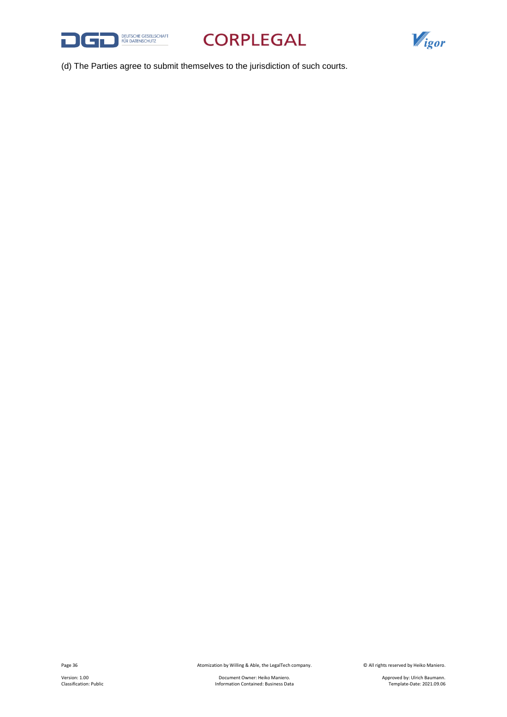



(d) The Parties agree to submit themselves to the jurisdiction of such courts.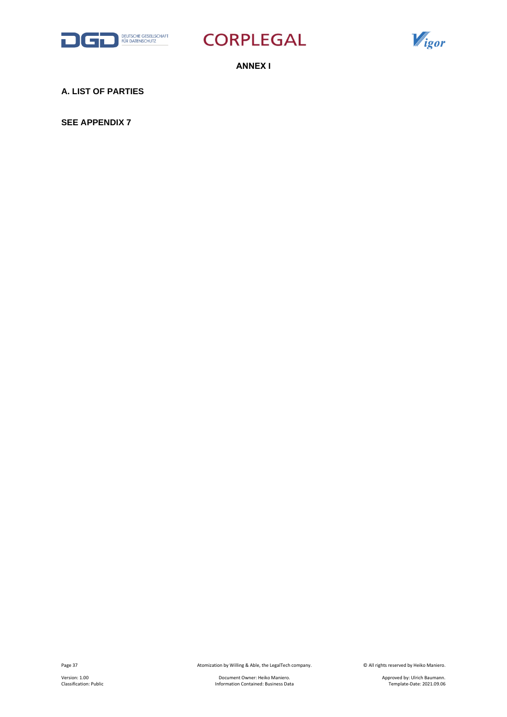



**ΑΝΝΕΧ I** 

**A. LIST OF PARTIES**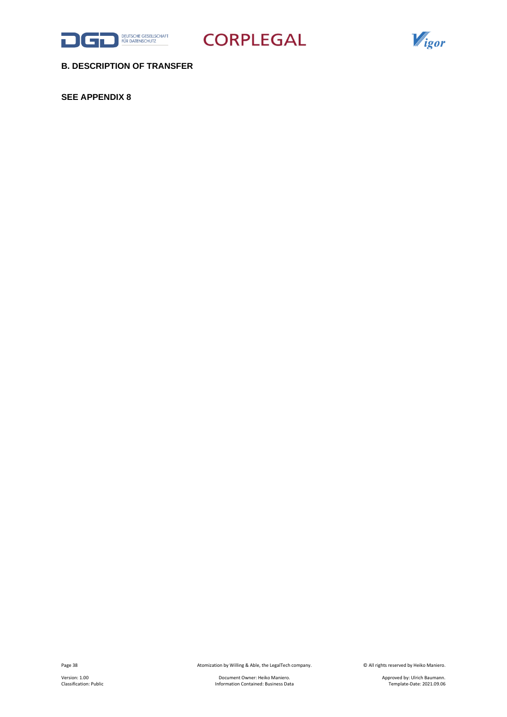



## **B. DESCRIPTION OF TRANSFER**

**SEE APPENDIX 8**

Page 38 Atomization b[y Willing & Able, the LegalTech company.](https://willing-able.com/) © All rights reserved b[y Heiko Maniero.](https://dg-datenschutz.de/)

Version: 1.00 Version: 1.00 Document Owner: Heiko Maniero.<br>Classification: Public **Classification: Public** Contained: Business Data Classification: Public Public Classification: Public Public Classification: Public Public Document Owner: Helio Maniero:<br>Information Contained: Business Data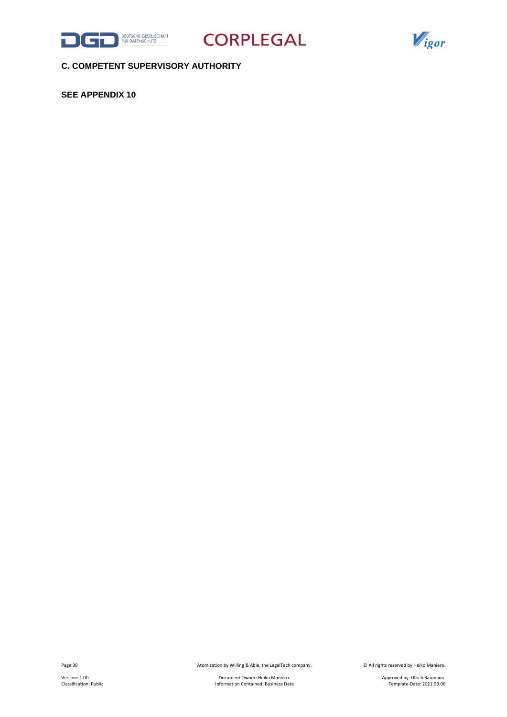



# **C. COMPETENT SUPERVISORY AUTHORITY**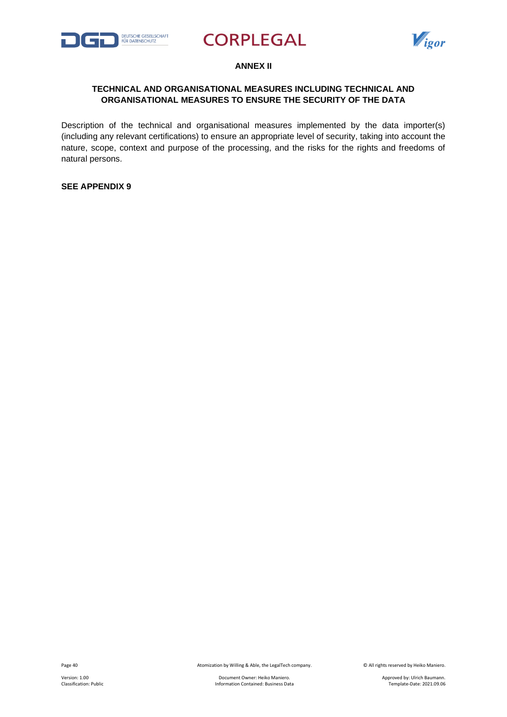



#### **ANNEX II**

# **TECHNICAL AND ORGANISATIONAL MEASURES INCLUDING TECHNICAL AND ORGANISATIONAL MEASURES TO ENSURE THE SECURITY OF THE DATA**

Description of the technical and organisational measures implemented by the data importer(s) (including any relevant certifications) to ensure an appropriate level of security, taking into account the nature, scope, context and purpose of the processing, and the risks for the rights and freedoms of natural persons.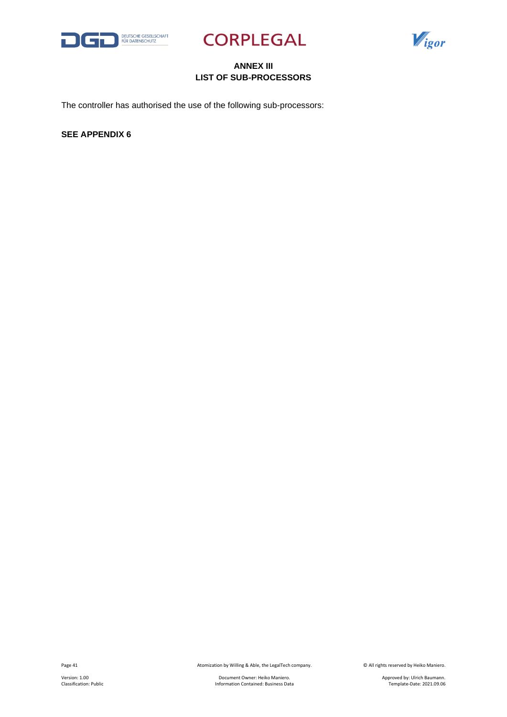



#### **ANNEX III LIST OF SUB-PROCESSORS**

The controller has authorised the use of the following sub-processors:

**SEE APPENDIX 6**

Page 41 **Atomization b[y Willing & Able, the LegalTech company.](https://willing-able.com/)** © All rights reserved b[y Heiko Maniero.](https://dg-datenschutz.de/)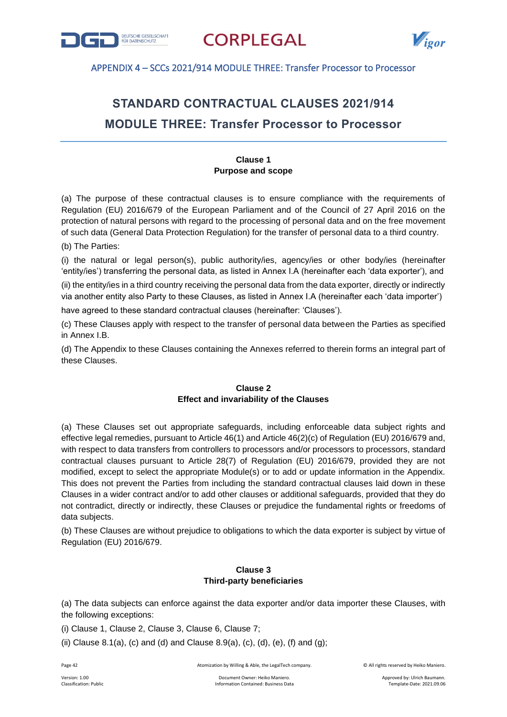



APPENDIX 4 – SCCs 2021/914 MODULE THREE: Transfer Processor to Processor

# **STANDARD CONTRACTUAL CLAUSES 2021/914 MODULE THREE: Transfer Processor to Processor**

#### **Clause 1 Purpose and scope**

(a) The purpose of these contractual clauses is to ensure compliance with the requirements of Regulation (EU) 2016/679 of the European Parliament and of the Council of 27 April 2016 on the protection of natural persons with regard to the processing of personal data and on the free movement of such data (General Data Protection Regulation) for the transfer of personal data to a third country.

(b) The Parties:

(i) the natural or legal person(s), public authority/ies, agency/ies or other body/ies (hereinafter 'entity/ies') transferring the personal data, as listed in Annex I.A (hereinafter each 'data exporter'), and (ii) the entity/ies in a third country receiving the personal data from the data exporter, directly or indirectly via another entity also Party to these Clauses, as listed in Annex I.A (hereinafter each 'data importer') have agreed to these standard contractual clauses (hereinafter: 'Clauses').

(c) These Clauses apply with respect to the transfer of personal data between the Parties as specified in Annex I.B.

(d) The Appendix to these Clauses containing the Annexes referred to therein forms an integral part of these Clauses.

# **Clause 2 Effect and invariability of the Clauses**

(a) These Clauses set out appropriate safeguards, including enforceable data subject rights and effective legal remedies, pursuant to Article 46(1) and Article 46(2)(c) of Regulation (EU) 2016/679 and, with respect to data transfers from controllers to processors and/or processors to processors, standard contractual clauses pursuant to Article 28(7) of Regulation (EU) 2016/679, provided they are not modified, except to select the appropriate Module(s) or to add or update information in the Appendix. This does not prevent the Parties from including the standard contractual clauses laid down in these Clauses in a wider contract and/or to add other clauses or additional safeguards, provided that they do not contradict, directly or indirectly, these Clauses or prejudice the fundamental rights or freedoms of data subjects.

(b) These Clauses are without prejudice to obligations to which the data exporter is subject by virtue of Regulation (EU) 2016/679.

# **Clause 3 Third-party beneficiaries**

(a) The data subjects can enforce against the data exporter and/or data importer these Clauses, with the following exceptions:

(i) Clause 1, Clause 2, Clause 3, Clause 6, Clause 7;

(ii) Clause 8.1(a), (c) and (d) and Clause 8.9(a), (c), (d), (e), (f) and (g);

Page 42 **Acomization b[y Willing & Able, the LegalTech company.](https://willing-able.com/)** Call rights reserved b[y Heiko Maniero.](https://dg-datenschutz.de/)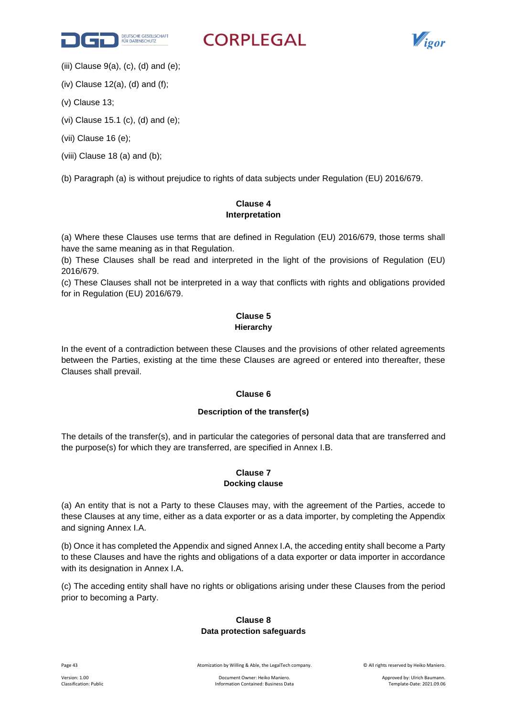



- (iii) Clause  $9(a)$ ,  $(c)$ ,  $(d)$  and  $(e)$ ;
- (iv) Clause 12(a), (d) and (f);
- (v) Clause 13;
- (vi) Clause 15.1 (c), (d) and (e);
- (vii) Clause 16 (e);
- (viii) Clause 18 (a) and (b);

(b) Paragraph (a) is without prejudice to rights of data subjects under Regulation (EU) 2016/679.

#### **Clause 4 Interpretation**

(a) Where these Clauses use terms that are defined in Regulation (EU) 2016/679, those terms shall have the same meaning as in that Regulation.

(b) These Clauses shall be read and interpreted in the light of the provisions of Regulation (EU) 2016/679.

(c) These Clauses shall not be interpreted in a way that conflicts with rights and obligations provided for in Regulation (EU) 2016/679.

# **Clause 5 Hierarchy**

In the event of a contradiction between these Clauses and the provisions of other related agreements between the Parties, existing at the time these Clauses are agreed or entered into thereafter, these Clauses shall prevail.

# **Clause 6**

#### **Description of the transfer(s)**

The details of the transfer(s), and in particular the categories of personal data that are transferred and the purpose(s) for which they are transferred, are specified in Annex I.B.

#### **Clause 7 Docking clause**

(a) An entity that is not a Party to these Clauses may, with the agreement of the Parties, accede to these Clauses at any time, either as a data exporter or as a data importer, by completing the Appendix and signing Annex I.A.

(b) Once it has completed the Appendix and signed Annex I.A, the acceding entity shall become a Party to these Clauses and have the rights and obligations of a data exporter or data importer in accordance with its designation in Annex I.A.

(c) The acceding entity shall have no rights or obligations arising under these Clauses from the period prior to becoming a Party.

#### **Clause 8 Data protection safeguards**

Page 43 **Atomization b[y Willing & Able, the LegalTech company.](https://willing-able.com/) Call rights reserved b[y Heiko Maniero.](https://dg-datenschutz.de/)** All rights reserved by Heiko Maniero.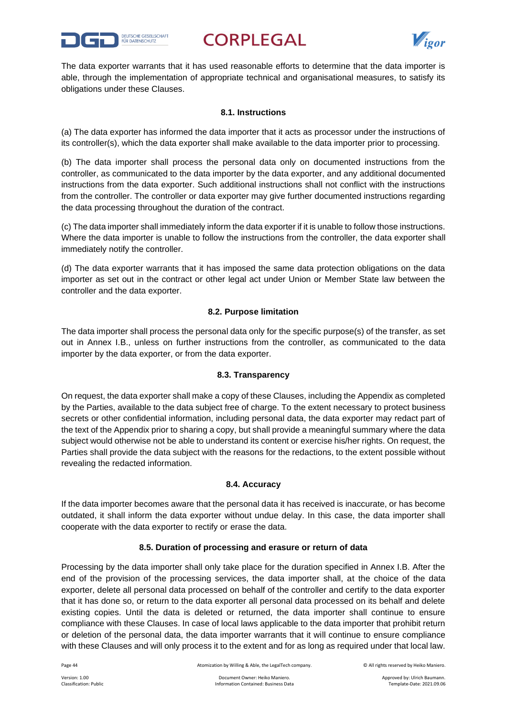



The data exporter warrants that it has used reasonable efforts to determine that the data importer is able, through the implementation of appropriate technical and organisational measures, to satisfy its obligations under these Clauses.

#### **8.1. Instructions**

(a) The data exporter has informed the data importer that it acts as processor under the instructions of its controller(s), which the data exporter shall make available to the data importer prior to processing.

(b) The data importer shall process the personal data only on documented instructions from the controller, as communicated to the data importer by the data exporter, and any additional documented instructions from the data exporter. Such additional instructions shall not conflict with the instructions from the controller. The controller or data exporter may give further documented instructions regarding the data processing throughout the duration of the contract.

(c) The data importer shall immediately inform the data exporter if it is unable to follow those instructions. Where the data importer is unable to follow the instructions from the controller, the data exporter shall immediately notify the controller.

(d) The data exporter warrants that it has imposed the same data protection obligations on the data importer as set out in the contract or other legal act under Union or Member State law between the controller and the data exporter.

#### **8.2. Purpose limitation**

The data importer shall process the personal data only for the specific purpose(s) of the transfer, as set out in Annex I.B., unless on further instructions from the controller, as communicated to the data importer by the data exporter, or from the data exporter.

#### **8.3. Transparency**

On request, the data exporter shall make a copy of these Clauses, including the Appendix as completed by the Parties, available to the data subject free of charge. To the extent necessary to protect business secrets or other confidential information, including personal data, the data exporter may redact part of the text of the Appendix prior to sharing a copy, but shall provide a meaningful summary where the data subject would otherwise not be able to understand its content or exercise his/her rights. On request, the Parties shall provide the data subject with the reasons for the redactions, to the extent possible without revealing the redacted information.

#### **8.4. Accuracy**

If the data importer becomes aware that the personal data it has received is inaccurate, or has become outdated, it shall inform the data exporter without undue delay. In this case, the data importer shall cooperate with the data exporter to rectify or erase the data.

#### **8.5. Duration of processing and erasure or return of data**

Processing by the data importer shall only take place for the duration specified in Annex I.B. After the end of the provision of the processing services, the data importer shall, at the choice of the data exporter, delete all personal data processed on behalf of the controller and certify to the data exporter that it has done so, or return to the data exporter all personal data processed on its behalf and delete existing copies. Until the data is deleted or returned, the data importer shall continue to ensure compliance with these Clauses. In case of local laws applicable to the data importer that prohibit return or deletion of the personal data, the data importer warrants that it will continue to ensure compliance with these Clauses and will only process it to the extent and for as long as required under that local law.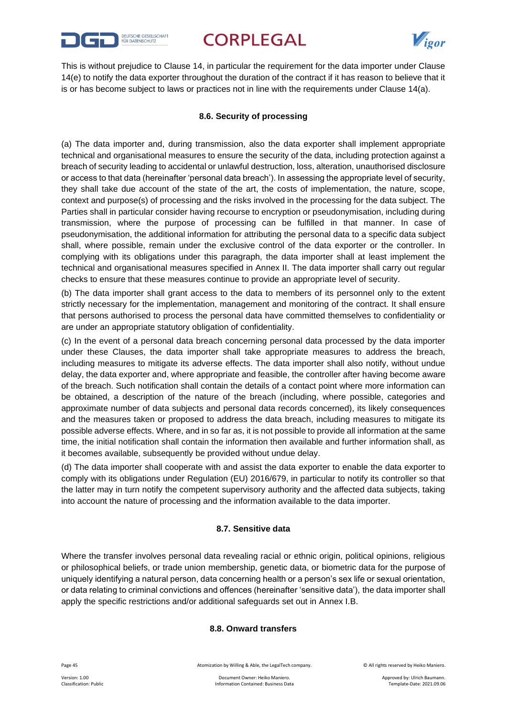



This is without prejudice to Clause 14, in particular the requirement for the data importer under Clause 14(e) to notify the data exporter throughout the duration of the contract if it has reason to believe that it is or has become subject to laws or practices not in line with the requirements under Clause 14(a).

#### **8.6. Security of processing**

(a) The data importer and, during transmission, also the data exporter shall implement appropriate technical and organisational measures to ensure the security of the data, including protection against a breach of security leading to accidental or unlawful destruction, loss, alteration, unauthorised disclosure or access to that data (hereinafter 'personal data breach'). In assessing the appropriate level of security, they shall take due account of the state of the art, the costs of implementation, the nature, scope, context and purpose(s) of processing and the risks involved in the processing for the data subject. The Parties shall in particular consider having recourse to encryption or pseudonymisation, including during transmission, where the purpose of processing can be fulfilled in that manner. In case of pseudonymisation, the additional information for attributing the personal data to a specific data subject shall, where possible, remain under the exclusive control of the data exporter or the controller. In complying with its obligations under this paragraph, the data importer shall at least implement the technical and organisational measures specified in Annex II. The data importer shall carry out regular checks to ensure that these measures continue to provide an appropriate level of security.

(b) The data importer shall grant access to the data to members of its personnel only to the extent strictly necessary for the implementation, management and monitoring of the contract. It shall ensure that persons authorised to process the personal data have committed themselves to confidentiality or are under an appropriate statutory obligation of confidentiality.

(c) In the event of a personal data breach concerning personal data processed by the data importer under these Clauses, the data importer shall take appropriate measures to address the breach, including measures to mitigate its adverse effects. The data importer shall also notify, without undue delay, the data exporter and, where appropriate and feasible, the controller after having become aware of the breach. Such notification shall contain the details of a contact point where more information can be obtained, a description of the nature of the breach (including, where possible, categories and approximate number of data subjects and personal data records concerned), its likely consequences and the measures taken or proposed to address the data breach, including measures to mitigate its possible adverse effects. Where, and in so far as, it is not possible to provide all information at the same time, the initial notification shall contain the information then available and further information shall, as it becomes available, subsequently be provided without undue delay.

(d) The data importer shall cooperate with and assist the data exporter to enable the data exporter to comply with its obligations under Regulation (EU) 2016/679, in particular to notify its controller so that the latter may in turn notify the competent supervisory authority and the affected data subjects, taking into account the nature of processing and the information available to the data importer.

#### **8.7. Sensitive data**

Where the transfer involves personal data revealing racial or ethnic origin, political opinions, religious or philosophical beliefs, or trade union membership, genetic data, or biometric data for the purpose of uniquely identifying a natural person, data concerning health or a person's sex life or sexual orientation, or data relating to criminal convictions and offences (hereinafter 'sensitive data'), the data importer shall apply the specific restrictions and/or additional safeguards set out in Annex I.B.

#### **8.8. Onward transfers**

Page 45 **Atomization b[y Willing & Able, the LegalTech company.](https://willing-able.com/)** Call rights reserved b[y Heiko Maniero.](https://dg-datenschutz.de/)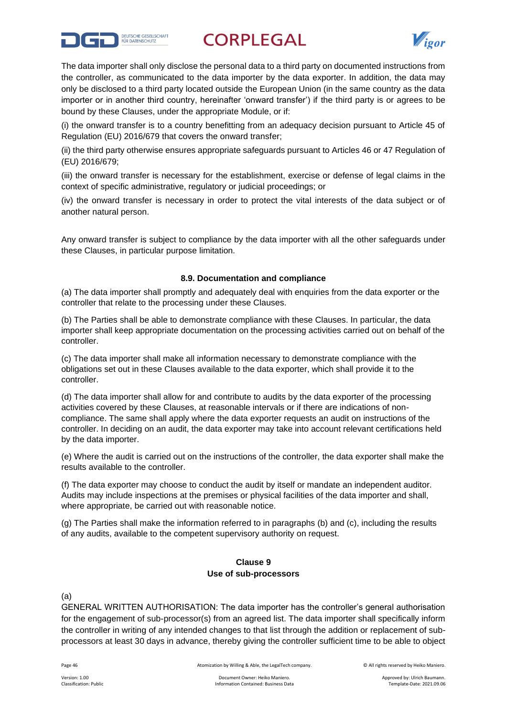



The data importer shall only disclose the personal data to a third party on documented instructions from the controller, as communicated to the data importer by the data exporter. In addition, the data may only be disclosed to a third party located outside the European Union (in the same country as the data importer or in another third country, hereinafter 'onward transfer') if the third party is or agrees to be bound by these Clauses, under the appropriate Module, or if:

(i) the onward transfer is to a country benefitting from an adequacy decision pursuant to Article 45 of Regulation (EU) 2016/679 that covers the onward transfer;

(ii) the third party otherwise ensures appropriate safeguards pursuant to Articles 46 or 47 Regulation of (EU) 2016/679;

(iii) the onward transfer is necessary for the establishment, exercise or defense of legal claims in the context of specific administrative, regulatory or judicial proceedings; or

(iv) the onward transfer is necessary in order to protect the vital interests of the data subject or of another natural person.

Any onward transfer is subject to compliance by the data importer with all the other safeguards under these Clauses, in particular purpose limitation.

#### **8.9. Documentation and compliance**

(a) The data importer shall promptly and adequately deal with enquiries from the data exporter or the controller that relate to the processing under these Clauses.

(b) The Parties shall be able to demonstrate compliance with these Clauses. In particular, the data importer shall keep appropriate documentation on the processing activities carried out on behalf of the controller.

(c) The data importer shall make all information necessary to demonstrate compliance with the obligations set out in these Clauses available to the data exporter, which shall provide it to the controller.

(d) The data importer shall allow for and contribute to audits by the data exporter of the processing activities covered by these Clauses, at reasonable intervals or if there are indications of noncompliance. The same shall apply where the data exporter requests an audit on instructions of the controller. In deciding on an audit, the data exporter may take into account relevant certifications held by the data importer.

(e) Where the audit is carried out on the instructions of the controller, the data exporter shall make the results available to the controller.

(f) The data exporter may choose to conduct the audit by itself or mandate an independent auditor. Audits may include inspections at the premises or physical facilities of the data importer and shall, where appropriate, be carried out with reasonable notice.

(g) The Parties shall make the information referred to in paragraphs (b) and (c), including the results of any audits, available to the competent supervisory authority on request.

#### **Clause 9 Use of sub-processors**

(a)

GENERAL WRITTEN AUTHORISATION: The data importer has the controller's general authorisation for the engagement of sub-processor(s) from an agreed list. The data importer shall specifically inform the controller in writing of any intended changes to that list through the addition or replacement of subprocessors at least 30 days in advance, thereby giving the controller sufficient time to be able to object

Page 46 **Atomization b[y Willing & Able, the LegalTech company.](https://willing-able.com/) Call rights reserved b[y Heiko Maniero.](https://dg-datenschutz.de/)** All rights reserved by Heiko Maniero.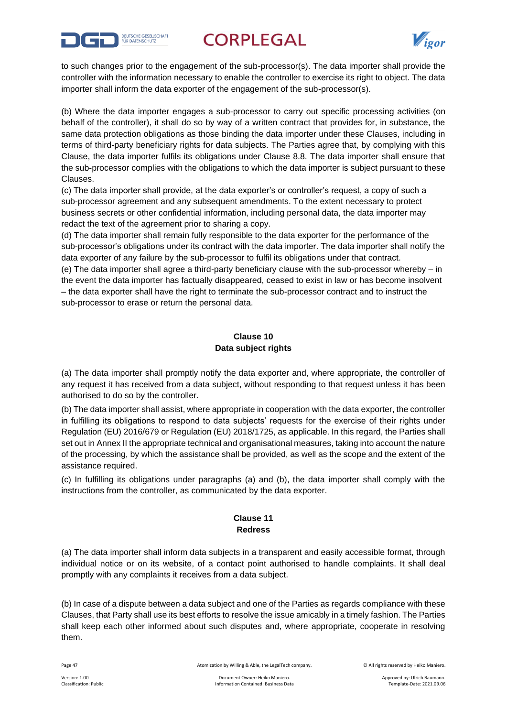

DEUTSCHE GESELLSCHAFT<br>FÜR DATENSCHUTZ



to such changes prior to the engagement of the sub-processor(s). The data importer shall provide the controller with the information necessary to enable the controller to exercise its right to object. The data importer shall inform the data exporter of the engagement of the sub-processor(s).

(b) Where the data importer engages a sub-processor to carry out specific processing activities (on behalf of the controller), it shall do so by way of a written contract that provides for, in substance, the same data protection obligations as those binding the data importer under these Clauses, including in terms of third-party beneficiary rights for data subjects. The Parties agree that, by complying with this Clause, the data importer fulfils its obligations under Clause 8.8. The data importer shall ensure that the sub-processor complies with the obligations to which the data importer is subject pursuant to these Clauses.

(c) The data importer shall provide, at the data exporter's or controller's request, a copy of such a sub-processor agreement and any subsequent amendments. To the extent necessary to protect business secrets or other confidential information, including personal data, the data importer may redact the text of the agreement prior to sharing a copy.

(d) The data importer shall remain fully responsible to the data exporter for the performance of the sub-processor's obligations under its contract with the data importer. The data importer shall notify the data exporter of any failure by the sub-processor to fulfil its obligations under that contract.

(e) The data importer shall agree a third-party beneficiary clause with the sub-processor whereby – in the event the data importer has factually disappeared, ceased to exist in law or has become insolvent – the data exporter shall have the right to terminate the sub-processor contract and to instruct the sub-processor to erase or return the personal data.

## **Clause 10 Data subject rights**

(a) The data importer shall promptly notify the data exporter and, where appropriate, the controller of any request it has received from a data subject, without responding to that request unless it has been authorised to do so by the controller.

(b) The data importer shall assist, where appropriate in cooperation with the data exporter, the controller in fulfilling its obligations to respond to data subjects' requests for the exercise of their rights under Regulation (EU) 2016/679 or Regulation (EU) 2018/1725, as applicable. In this regard, the Parties shall set out in Annex II the appropriate technical and organisational measures, taking into account the nature of the processing, by which the assistance shall be provided, as well as the scope and the extent of the assistance required.

(c) In fulfilling its obligations under paragraphs (a) and (b), the data importer shall comply with the instructions from the controller, as communicated by the data exporter.

#### **Clause 11 Redress**

(a) The data importer shall inform data subjects in a transparent and easily accessible format, through individual notice or on its website, of a contact point authorised to handle complaints. It shall deal promptly with any complaints it receives from a data subject.

(b) In case of a dispute between a data subject and one of the Parties as regards compliance with these Clauses, that Party shall use its best efforts to resolve the issue amicably in a timely fashion. The Parties shall keep each other informed about such disputes and, where appropriate, cooperate in resolving them.

Page 47 **Atomization b[y Willing & Able, the LegalTech company.](https://willing-able.com/)** Call rights reserved b[y Heiko Maniero.](https://dg-datenschutz.de/)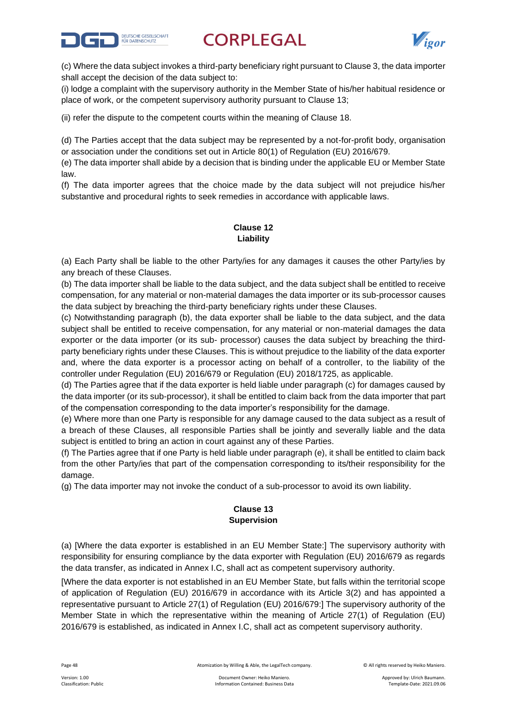



(c) Where the data subject invokes a third-party beneficiary right pursuant to Clause 3, the data importer shall accept the decision of the data subject to:

(i) lodge a complaint with the supervisory authority in the Member State of his/her habitual residence or place of work, or the competent supervisory authority pursuant to Clause 13;

(ii) refer the dispute to the competent courts within the meaning of Clause 18.

DEUTSCHE GESELLSCHAFT<br>FÜR DATENSCHUTZ

(d) The Parties accept that the data subject may be represented by a not-for-profit body, organisation or association under the conditions set out in Article 80(1) of Regulation (EU) 2016/679.

(e) The data importer shall abide by a decision that is binding under the applicable EU or Member State law.

(f) The data importer agrees that the choice made by the data subject will not prejudice his/her substantive and procedural rights to seek remedies in accordance with applicable laws.

# **Clause 12 Liability**

(a) Each Party shall be liable to the other Party/ies for any damages it causes the other Party/ies by any breach of these Clauses.

(b) The data importer shall be liable to the data subject, and the data subject shall be entitled to receive compensation, for any material or non-material damages the data importer or its sub-processor causes the data subject by breaching the third-party beneficiary rights under these Clauses.

(c) Notwithstanding paragraph (b), the data exporter shall be liable to the data subject, and the data subject shall be entitled to receive compensation, for any material or non-material damages the data exporter or the data importer (or its sub- processor) causes the data subject by breaching the thirdparty beneficiary rights under these Clauses. This is without prejudice to the liability of the data exporter and, where the data exporter is a processor acting on behalf of a controller, to the liability of the controller under Regulation (EU) 2016/679 or Regulation (EU) 2018/1725, as applicable.

(d) The Parties agree that if the data exporter is held liable under paragraph (c) for damages caused by the data importer (or its sub-processor), it shall be entitled to claim back from the data importer that part of the compensation corresponding to the data importer's responsibility for the damage.

(e) Where more than one Party is responsible for any damage caused to the data subject as a result of a breach of these Clauses, all responsible Parties shall be jointly and severally liable and the data subject is entitled to bring an action in court against any of these Parties.

(f) The Parties agree that if one Party is held liable under paragraph (e), it shall be entitled to claim back from the other Party/ies that part of the compensation corresponding to its/their responsibility for the damage.

(g) The data importer may not invoke the conduct of a sub-processor to avoid its own liability.

## **Clause 13 Supervision**

(a) [Where the data exporter is established in an EU Member State:] The supervisory authority with responsibility for ensuring compliance by the data exporter with Regulation (EU) 2016/679 as regards the data transfer, as indicated in Annex I.C, shall act as competent supervisory authority.

[Where the data exporter is not established in an EU Member State, but falls within the territorial scope of application of Regulation (EU) 2016/679 in accordance with its Article 3(2) and has appointed a representative pursuant to Article 27(1) of Regulation (EU) 2016/679:] The supervisory authority of the Member State in which the representative within the meaning of Article 27(1) of Regulation (EU) 2016/679 is established, as indicated in Annex I.C, shall act as competent supervisory authority.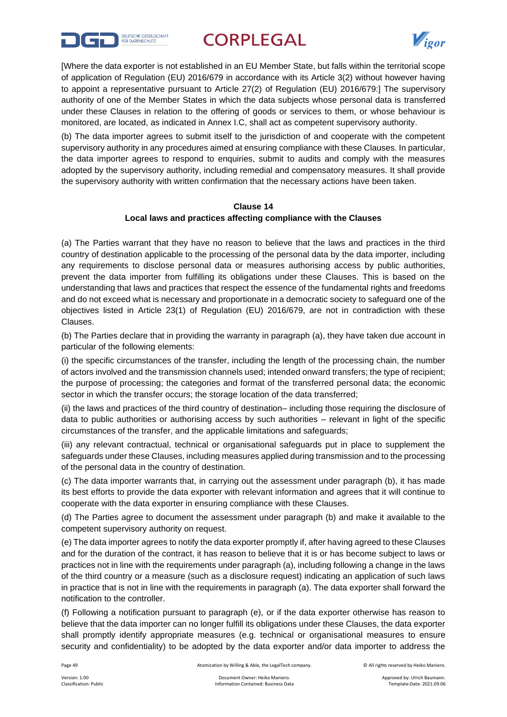

[Where the data exporter is not established in an EU Member State, but falls within the territorial scope of application of Regulation (EU) 2016/679 in accordance with its Article 3(2) without however having to appoint a representative pursuant to Article 27(2) of Regulation (EU) 2016/679:] The supervisory authority of one of the Member States in which the data subjects whose personal data is transferred under these Clauses in relation to the offering of goods or services to them, or whose behaviour is monitored, are located, as indicated in Annex I.C, shall act as competent supervisory authority.

(b) The data importer agrees to submit itself to the jurisdiction of and cooperate with the competent supervisory authority in any procedures aimed at ensuring compliance with these Clauses. In particular, the data importer agrees to respond to enquiries, submit to audits and comply with the measures adopted by the supervisory authority, including remedial and compensatory measures. It shall provide the supervisory authority with written confirmation that the necessary actions have been taken.

#### **Clause 14**

## **Local laws and practices affecting compliance with the Clauses**

(a) The Parties warrant that they have no reason to believe that the laws and practices in the third country of destination applicable to the processing of the personal data by the data importer, including any requirements to disclose personal data or measures authorising access by public authorities, prevent the data importer from fulfilling its obligations under these Clauses. This is based on the understanding that laws and practices that respect the essence of the fundamental rights and freedoms and do not exceed what is necessary and proportionate in a democratic society to safeguard one of the objectives listed in Article 23(1) of Regulation (EU) 2016/679, are not in contradiction with these Clauses.

(b) The Parties declare that in providing the warranty in paragraph (a), they have taken due account in particular of the following elements:

(i) the specific circumstances of the transfer, including the length of the processing chain, the number of actors involved and the transmission channels used; intended onward transfers; the type of recipient; the purpose of processing; the categories and format of the transferred personal data; the economic sector in which the transfer occurs; the storage location of the data transferred;

(ii) the laws and practices of the third country of destination– including those requiring the disclosure of data to public authorities or authorising access by such authorities – relevant in light of the specific circumstances of the transfer, and the applicable limitations and safeguards;

(iii) any relevant contractual, technical or organisational safeguards put in place to supplement the safeguards under these Clauses, including measures applied during transmission and to the processing of the personal data in the country of destination.

(c) The data importer warrants that, in carrying out the assessment under paragraph (b), it has made its best efforts to provide the data exporter with relevant information and agrees that it will continue to cooperate with the data exporter in ensuring compliance with these Clauses.

(d) The Parties agree to document the assessment under paragraph (b) and make it available to the competent supervisory authority on request.

(e) The data importer agrees to notify the data exporter promptly if, after having agreed to these Clauses and for the duration of the contract, it has reason to believe that it is or has become subject to laws or practices not in line with the requirements under paragraph (a), including following a change in the laws of the third country or a measure (such as a disclosure request) indicating an application of such laws in practice that is not in line with the requirements in paragraph (a). The data exporter shall forward the notification to the controller.

(f) Following a notification pursuant to paragraph (e), or if the data exporter otherwise has reason to believe that the data importer can no longer fulfill its obligations under these Clauses, the data exporter shall promptly identify appropriate measures (e.g. technical or organisational measures to ensure security and confidentiality) to be adopted by the data exporter and/or data importer to address the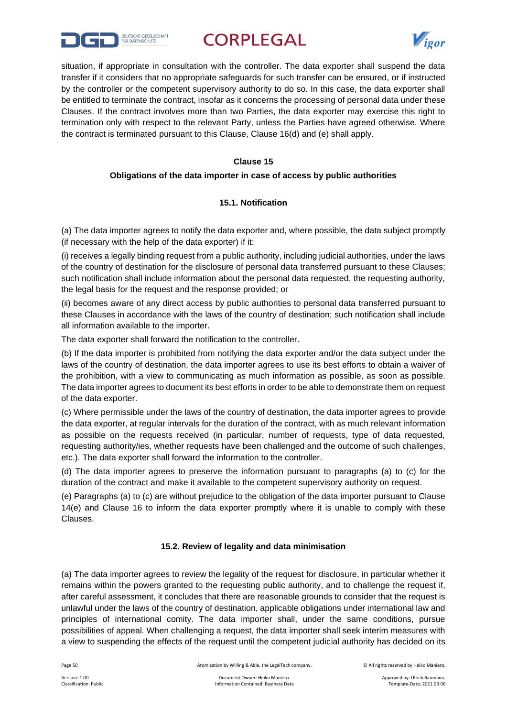



situation, if appropriate in consultation with the controller. The data exporter shall suspend the data transfer if it considers that no appropriate safeguards for such transfer can be ensured, or if instructed by the controller or the competent supervisory authority to do so. In this case, the data exporter shall be entitled to terminate the contract, insofar as it concerns the processing of personal data under these Clauses. If the contract involves more than two Parties, the data exporter may exercise this right to termination only with respect to the relevant Party, unless the Parties have agreed otherwise. Where the contract is terminated pursuant to this Clause, Clause 16(d) and (e) shall apply.

#### **Clause 15**

#### **Obligations of the data importer in case of access by public authorities**

## **15.1. Notification**

(a) The data importer agrees to notify the data exporter and, where possible, the data subject promptly (if necessary with the help of the data exporter) if it:

(i) receives a legally binding request from a public authority, including judicial authorities, under the laws of the country of destination for the disclosure of personal data transferred pursuant to these Clauses; such notification shall include information about the personal data requested, the requesting authority, the legal basis for the request and the response provided; or

(ii) becomes aware of any direct access by public authorities to personal data transferred pursuant to these Clauses in accordance with the laws of the country of destination; such notification shall include all information available to the importer.

The data exporter shall forward the notification to the controller.

(b) If the data importer is prohibited from notifying the data exporter and/or the data subject under the laws of the country of destination, the data importer agrees to use its best efforts to obtain a waiver of the prohibition, with a view to communicating as much information as possible, as soon as possible. The data importer agrees to document its best efforts in order to be able to demonstrate them on request of the data exporter.

(c) Where permissible under the laws of the country of destination, the data importer agrees to provide the data exporter, at regular intervals for the duration of the contract, with as much relevant information as possible on the requests received (in particular, number of requests, type of data requested, requesting authority/ies, whether requests have been challenged and the outcome of such challenges, etc.). The data exporter shall forward the information to the controller.

(d) The data importer agrees to preserve the information pursuant to paragraphs (a) to (c) for the duration of the contract and make it available to the competent supervisory authority on request.

(e) Paragraphs (a) to (c) are without prejudice to the obligation of the data importer pursuant to Clause 14(e) and Clause 16 to inform the data exporter promptly where it is unable to comply with these Clauses.

#### **15.2. Review of legality and data minimisation**

(a) The data importer agrees to review the legality of the request for disclosure, in particular whether it remains within the powers granted to the requesting public authority, and to challenge the request if, after careful assessment, it concludes that there are reasonable grounds to consider that the request is unlawful under the laws of the country of destination, applicable obligations under international law and principles of international comity. The data importer shall, under the same conditions, pursue possibilities of appeal. When challenging a request, the data importer shall seek interim measures with a view to suspending the effects of the request until the competent judicial authority has decided on its

Page 50 **Atomization b[y Willing & Able, the LegalTech company.](https://willing-able.com/) Call rights reserved b[y Heiko Maniero.](https://dg-datenschutz.de/)** All rights reserved by Heiko Maniero.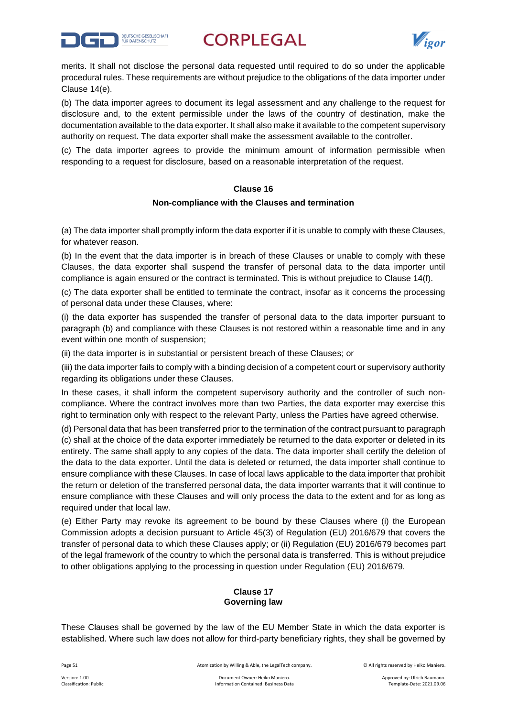

DEUTSCHE GESELLSCHAFT<br>FÜR DATENSCHUTZ



merits. It shall not disclose the personal data requested until required to do so under the applicable procedural rules. These requirements are without prejudice to the obligations of the data importer under Clause 14(e).

(b) The data importer agrees to document its legal assessment and any challenge to the request for disclosure and, to the extent permissible under the laws of the country of destination, make the documentation available to the data exporter. It shall also make it available to the competent supervisory authority on request. The data exporter shall make the assessment available to the controller.

(c) The data importer agrees to provide the minimum amount of information permissible when responding to a request for disclosure, based on a reasonable interpretation of the request.

#### **Clause 16**

#### **Non-compliance with the Clauses and termination**

(a) The data importer shall promptly inform the data exporter if it is unable to comply with these Clauses, for whatever reason.

(b) In the event that the data importer is in breach of these Clauses or unable to comply with these Clauses, the data exporter shall suspend the transfer of personal data to the data importer until compliance is again ensured or the contract is terminated. This is without prejudice to Clause 14(f).

(c) The data exporter shall be entitled to terminate the contract, insofar as it concerns the processing of personal data under these Clauses, where:

(i) the data exporter has suspended the transfer of personal data to the data importer pursuant to paragraph (b) and compliance with these Clauses is not restored within a reasonable time and in any event within one month of suspension;

(ii) the data importer is in substantial or persistent breach of these Clauses; or

(iii) the data importer fails to comply with a binding decision of a competent court or supervisory authority regarding its obligations under these Clauses.

In these cases, it shall inform the competent supervisory authority and the controller of such noncompliance. Where the contract involves more than two Parties, the data exporter may exercise this right to termination only with respect to the relevant Party, unless the Parties have agreed otherwise.

(d) Personal data that has been transferred prior to the termination of the contract pursuant to paragraph (c) shall at the choice of the data exporter immediately be returned to the data exporter or deleted in its entirety. The same shall apply to any copies of the data. The data importer shall certify the deletion of the data to the data exporter. Until the data is deleted or returned, the data importer shall continue to ensure compliance with these Clauses. In case of local laws applicable to the data importer that prohibit the return or deletion of the transferred personal data, the data importer warrants that it will continue to ensure compliance with these Clauses and will only process the data to the extent and for as long as required under that local law.

(e) Either Party may revoke its agreement to be bound by these Clauses where (i) the European Commission adopts a decision pursuant to Article 45(3) of Regulation (EU) 2016/679 that covers the transfer of personal data to which these Clauses apply; or (ii) Regulation (EU) 2016/679 becomes part of the legal framework of the country to which the personal data is transferred. This is without prejudice to other obligations applying to the processing in question under Regulation (EU) 2016/679.

#### **Clause 17 Governing law**

These Clauses shall be governed by the law of the EU Member State in which the data exporter is established. Where such law does not allow for third-party beneficiary rights, they shall be governed by

Page 51 **Atomization b[y Willing & Able, the LegalTech company.](https://willing-able.com/) Call rights reserved b[y Heiko Maniero.](https://dg-datenschutz.de/)** All rights reserved by Heiko Maniero.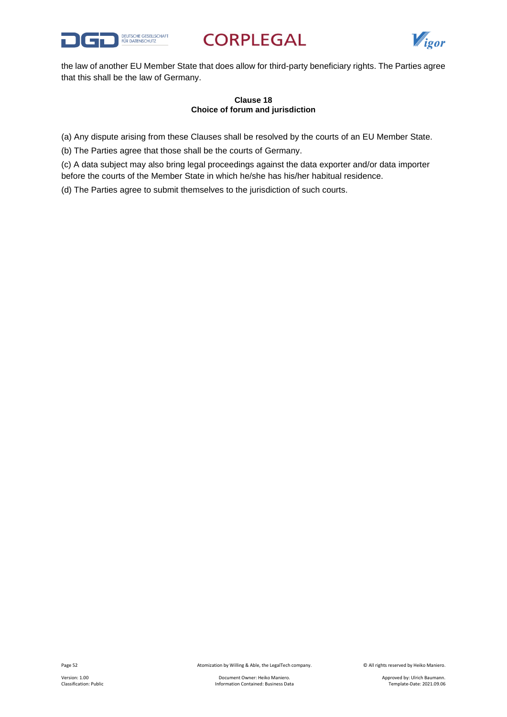



the law of another EU Member State that does allow for third-party beneficiary rights. The Parties agree that this shall be the law of Germany.

#### **Clause 18 Choice of forum and jurisdiction**

(a) Any dispute arising from these Clauses shall be resolved by the courts of an EU Member State.

(b) The Parties agree that those shall be the courts of Germany.

(c) A data subject may also bring legal proceedings against the data exporter and/or data importer before the courts of the Member State in which he/she has his/her habitual residence.

(d) The Parties agree to submit themselves to the jurisdiction of such courts.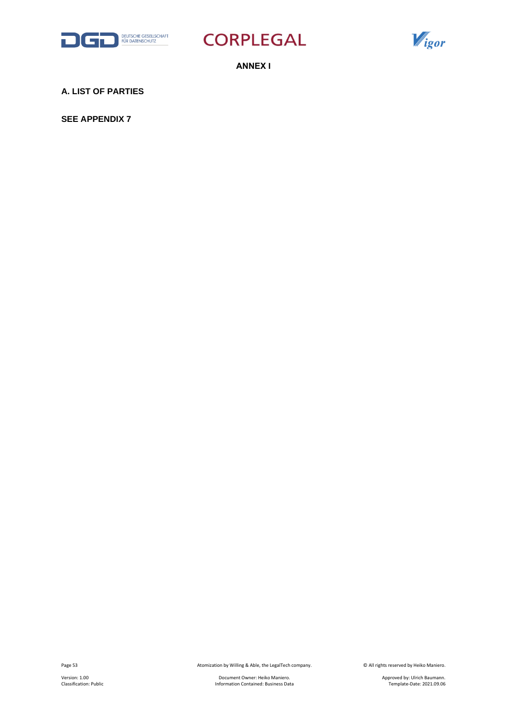



**ΑΝΝΕΧ I** 

**A. LIST OF PARTIES**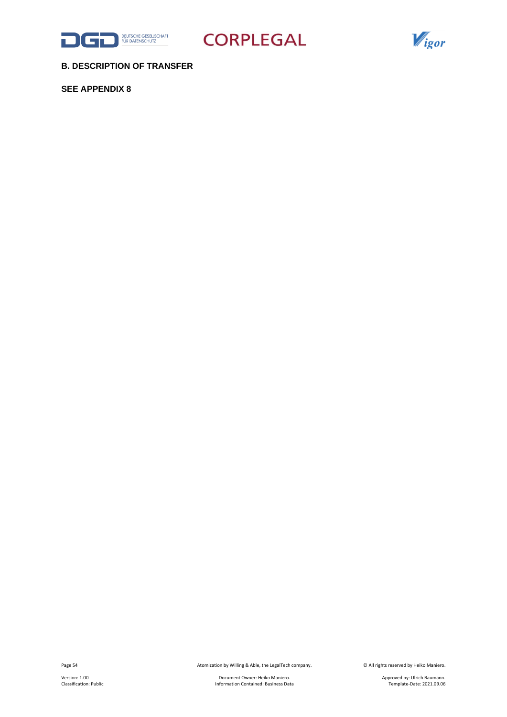



## **B. DESCRIPTION OF TRANSFER**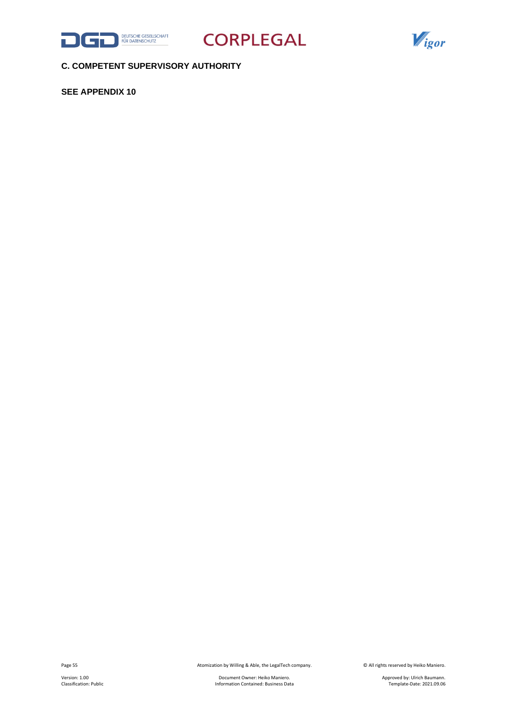



# **C. COMPETENT SUPERVISORY AUTHORITY**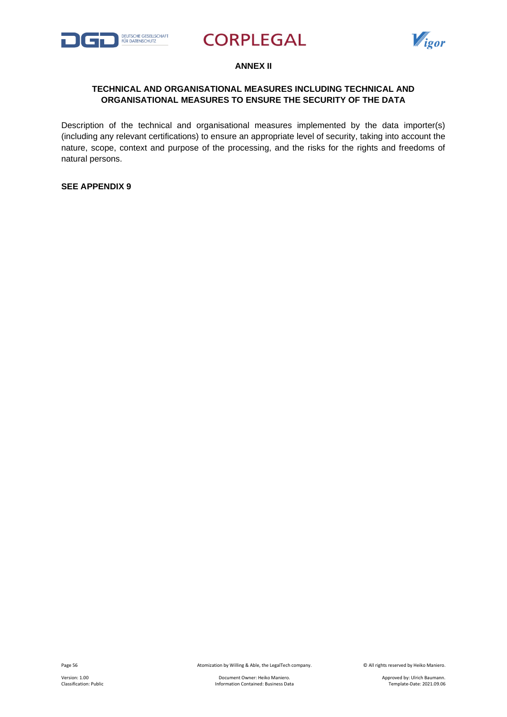



#### **ANNEX II**

# **TECHNICAL AND ORGANISATIONAL MEASURES INCLUDING TECHNICAL AND ORGANISATIONAL MEASURES TO ENSURE THE SECURITY OF THE DATA**

Description of the technical and organisational measures implemented by the data importer(s) (including any relevant certifications) to ensure an appropriate level of security, taking into account the nature, scope, context and purpose of the processing, and the risks for the rights and freedoms of natural persons.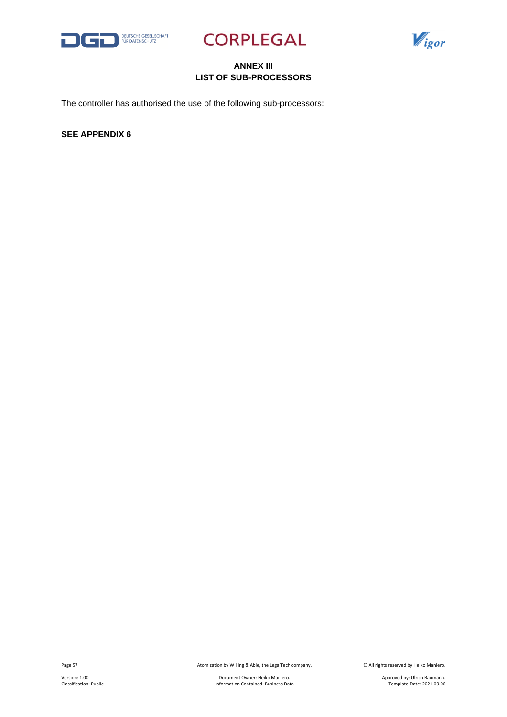



#### **ANNEX III LIST OF SUB-PROCESSORS**

The controller has authorised the use of the following sub-processors: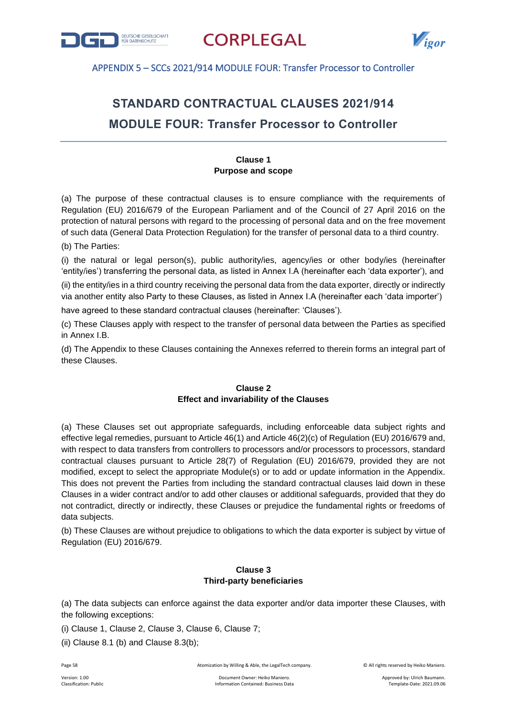



APPENDIX 5 – SCCs 2021/914 MODULE FOUR: Transfer Processor to Controller

# **STANDARD CONTRACTUAL CLAUSES 2021/914 MODULE FOUR: Transfer Processor to Controller**

#### **Clause 1 Purpose and scope**

(a) The purpose of these contractual clauses is to ensure compliance with the requirements of Regulation (EU) 2016/679 of the European Parliament and of the Council of 27 April 2016 on the protection of natural persons with regard to the processing of personal data and on the free movement of such data (General Data Protection Regulation) for the transfer of personal data to a third country.

(b) The Parties:

(i) the natural or legal person(s), public authority/ies, agency/ies or other body/ies (hereinafter 'entity/ies') transferring the personal data, as listed in Annex I.A (hereinafter each 'data exporter'), and (ii) the entity/ies in a third country receiving the personal data from the data exporter, directly or indirectly via another entity also Party to these Clauses, as listed in Annex I.A (hereinafter each 'data importer') have agreed to these standard contractual clauses (hereinafter: 'Clauses').

(c) These Clauses apply with respect to the transfer of personal data between the Parties as specified in Annex I.B.

(d) The Appendix to these Clauses containing the Annexes referred to therein forms an integral part of these Clauses.

# **Clause 2 Effect and invariability of the Clauses**

(a) These Clauses set out appropriate safeguards, including enforceable data subject rights and effective legal remedies, pursuant to Article 46(1) and Article 46(2)(c) of Regulation (EU) 2016/679 and, with respect to data transfers from controllers to processors and/or processors to processors, standard contractual clauses pursuant to Article 28(7) of Regulation (EU) 2016/679, provided they are not modified, except to select the appropriate Module(s) or to add or update information in the Appendix. This does not prevent the Parties from including the standard contractual clauses laid down in these Clauses in a wider contract and/or to add other clauses or additional safeguards, provided that they do not contradict, directly or indirectly, these Clauses or prejudice the fundamental rights or freedoms of data subjects.

(b) These Clauses are without prejudice to obligations to which the data exporter is subject by virtue of Regulation (EU) 2016/679.

## **Clause 3 Third-party beneficiaries**

(a) The data subjects can enforce against the data exporter and/or data importer these Clauses, with the following exceptions:

(i) Clause 1, Clause 2, Clause 3, Clause 6, Clause 7;

(ii) Clause  $8.1$  (b) and Clause  $8.3(b)$ ;

Page 58 **Atomization b[y Willing & Able, the LegalTech company.](https://willing-able.com/) Call rights reserved b[y Heiko Maniero.](https://dg-datenschutz.de/)** All rights reserved by Heiko Maniero.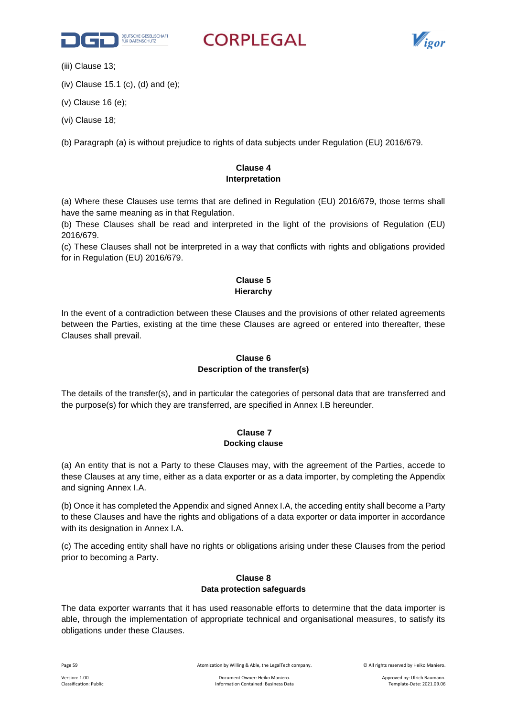



- (iii) Clause 13;
- (iv) Clause 15.1 (c), (d) and (e);
- (v) Clause 16 (e);
- (vi) Clause 18;

(b) Paragraph (a) is without prejudice to rights of data subjects under Regulation (EU) 2016/679.

## **Clause 4 Interpretation**

(a) Where these Clauses use terms that are defined in Regulation (EU) 2016/679, those terms shall have the same meaning as in that Regulation.

(b) These Clauses shall be read and interpreted in the light of the provisions of Regulation (EU) 2016/679.

(c) These Clauses shall not be interpreted in a way that conflicts with rights and obligations provided for in Regulation (EU) 2016/679.

## **Clause 5 Hierarchy**

In the event of a contradiction between these Clauses and the provisions of other related agreements between the Parties, existing at the time these Clauses are agreed or entered into thereafter, these Clauses shall prevail.

**Clause 6 Description of the transfer(s)**

The details of the transfer(s), and in particular the categories of personal data that are transferred and the purpose(s) for which they are transferred, are specified in Annex I.B hereunder.

# **Clause 7 Docking clause**

(a) An entity that is not a Party to these Clauses may, with the agreement of the Parties, accede to these Clauses at any time, either as a data exporter or as a data importer, by completing the Appendix and signing Annex I.A.

(b) Once it has completed the Appendix and signed Annex I.A, the acceding entity shall become a Party to these Clauses and have the rights and obligations of a data exporter or data importer in accordance with its designation in Annex I.A.

(c) The acceding entity shall have no rights or obligations arising under these Clauses from the period prior to becoming a Party.

#### **Clause 8 Data protection safeguards**

The data exporter warrants that it has used reasonable efforts to determine that the data importer is able, through the implementation of appropriate technical and organisational measures, to satisfy its obligations under these Clauses.

Page 59 **Atomization b[y Willing & Able, the LegalTech company.](https://willing-able.com/) Call rights reserved b[y Heiko Maniero.](https://dg-datenschutz.de/)** All rights reserved by Heiko Maniero.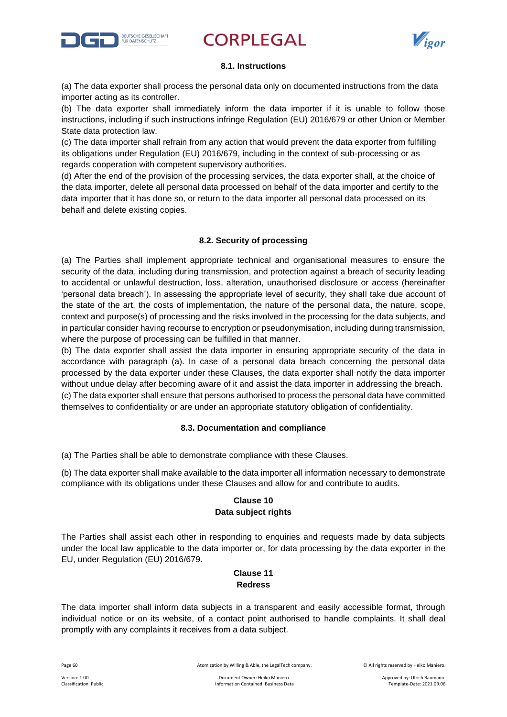



*Vigor* 

#### **8.1. Instructions**

(a) The data exporter shall process the personal data only on documented instructions from the data importer acting as its controller.

(b) The data exporter shall immediately inform the data importer if it is unable to follow those instructions, including if such instructions infringe Regulation (EU) 2016/679 or other Union or Member State data protection law.

(c) The data importer shall refrain from any action that would prevent the data exporter from fulfilling its obligations under Regulation (EU) 2016/679, including in the context of sub-processing or as regards cooperation with competent supervisory authorities.

(d) After the end of the provision of the processing services, the data exporter shall, at the choice of the data importer, delete all personal data processed on behalf of the data importer and certify to the data importer that it has done so, or return to the data importer all personal data processed on its behalf and delete existing copies.

## **8.2. Security of processing**

(a) The Parties shall implement appropriate technical and organisational measures to ensure the security of the data, including during transmission, and protection against a breach of security leading to accidental or unlawful destruction, loss, alteration, unauthorised disclosure or access (hereinafter 'personal data breach'). In assessing the appropriate level of security, they shall take due account of the state of the art, the costs of implementation, the nature of the personal data, the nature, scope, context and purpose(s) of processing and the risks involved in the processing for the data subjects, and in particular consider having recourse to encryption or pseudonymisation, including during transmission, where the purpose of processing can be fulfilled in that manner.

(b) The data exporter shall assist the data importer in ensuring appropriate security of the data in accordance with paragraph (a). In case of a personal data breach concerning the personal data processed by the data exporter under these Clauses, the data exporter shall notify the data importer without undue delay after becoming aware of it and assist the data importer in addressing the breach. (c) The data exporter shall ensure that persons authorised to process the personal data have committed themselves to confidentiality or are under an appropriate statutory obligation of confidentiality.

#### **8.3. Documentation and compliance**

(a) The Parties shall be able to demonstrate compliance with these Clauses.

(b) The data exporter shall make available to the data importer all information necessary to demonstrate compliance with its obligations under these Clauses and allow for and contribute to audits.

#### **Clause 10 Data subject rights**

The Parties shall assist each other in responding to enquiries and requests made by data subjects under the local law applicable to the data importer or, for data processing by the data exporter in the EU, under Regulation (EU) 2016/679.

#### **Clause 11 Redress**

The data importer shall inform data subjects in a transparent and easily accessible format, through individual notice or on its website, of a contact point authorised to handle complaints. It shall deal promptly with any complaints it receives from a data subject.

Page 60 **Atomization b[y Willing & Able, the LegalTech company.](https://willing-able.com/) Call rights reserved b[y Heiko Maniero.](https://dg-datenschutz.de/)** All rights reserved by Heiko Maniero.

Version: 1.00 **Approved by[: Ulrich Baumann.](https://corplegal.de/)**<br>1.00 Document Owner: Heiko Maniero. **Approved by: Ulrich Baumann.**<br>1.0201.09.06 Template-Date: 2021.09.06 וformation Contained: Business Data Information Contained: Business Data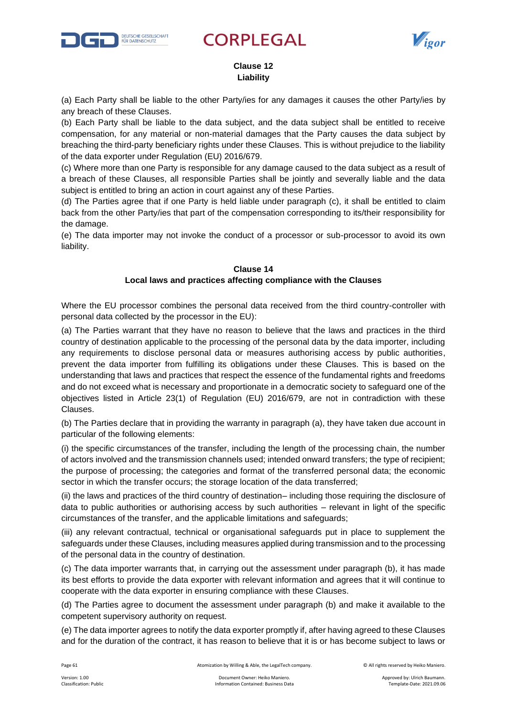





## **Clause 12 Liability**

(a) Each Party shall be liable to the other Party/ies for any damages it causes the other Party/ies by any breach of these Clauses.

(b) Each Party shall be liable to the data subject, and the data subject shall be entitled to receive compensation, for any material or non-material damages that the Party causes the data subject by breaching the third-party beneficiary rights under these Clauses. This is without prejudice to the liability of the data exporter under Regulation (EU) 2016/679.

(c) Where more than one Party is responsible for any damage caused to the data subject as a result of a breach of these Clauses, all responsible Parties shall be jointly and severally liable and the data subject is entitled to bring an action in court against any of these Parties.

(d) The Parties agree that if one Party is held liable under paragraph (c), it shall be entitled to claim back from the other Party/ies that part of the compensation corresponding to its/their responsibility for the damage.

(e) The data importer may not invoke the conduct of a processor or sub-processor to avoid its own liability.

## **Clause 14 Local laws and practices affecting compliance with the Clauses**

Where the EU processor combines the personal data received from the third country-controller with personal data collected by the processor in the EU):

(a) The Parties warrant that they have no reason to believe that the laws and practices in the third country of destination applicable to the processing of the personal data by the data importer, including any requirements to disclose personal data or measures authorising access by public authorities, prevent the data importer from fulfilling its obligations under these Clauses. This is based on the understanding that laws and practices that respect the essence of the fundamental rights and freedoms and do not exceed what is necessary and proportionate in a democratic society to safeguard one of the objectives listed in Article 23(1) of Regulation (EU) 2016/679, are not in contradiction with these Clauses.

(b) The Parties declare that in providing the warranty in paragraph (a), they have taken due account in particular of the following elements:

(i) the specific circumstances of the transfer, including the length of the processing chain, the number of actors involved and the transmission channels used; intended onward transfers; the type of recipient; the purpose of processing; the categories and format of the transferred personal data; the economic sector in which the transfer occurs; the storage location of the data transferred;

(ii) the laws and practices of the third country of destination– including those requiring the disclosure of data to public authorities or authorising access by such authorities – relevant in light of the specific circumstances of the transfer, and the applicable limitations and safeguards;

(iii) any relevant contractual, technical or organisational safeguards put in place to supplement the safeguards under these Clauses, including measures applied during transmission and to the processing of the personal data in the country of destination.

(c) The data importer warrants that, in carrying out the assessment under paragraph (b), it has made its best efforts to provide the data exporter with relevant information and agrees that it will continue to cooperate with the data exporter in ensuring compliance with these Clauses.

(d) The Parties agree to document the assessment under paragraph (b) and make it available to the competent supervisory authority on request.

(e) The data importer agrees to notify the data exporter promptly if, after having agreed to these Clauses and for the duration of the contract, it has reason to believe that it is or has become subject to laws or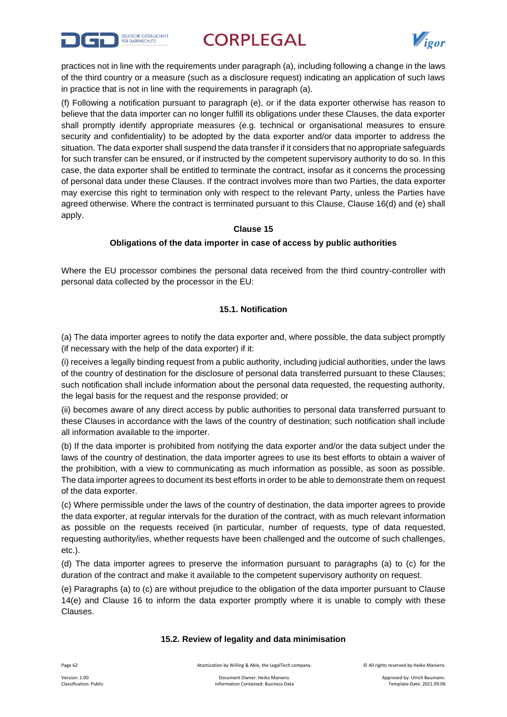DEUTSCHE GESELLSCHAFT<br>FÜR DATENSCHUTZ



practices not in line with the requirements under paragraph (a), including following a change in the laws of the third country or a measure (such as a disclosure request) indicating an application of such laws in practice that is not in line with the requirements in paragraph (a).

(f) Following a notification pursuant to paragraph (e), or if the data exporter otherwise has reason to believe that the data importer can no longer fulfill its obligations under these Clauses, the data exporter shall promptly identify appropriate measures (e.g. technical or organisational measures to ensure security and confidentiality) to be adopted by the data exporter and/or data importer to address the situation. The data exporter shall suspend the data transfer if it considers that no appropriate safeguards for such transfer can be ensured, or if instructed by the competent supervisory authority to do so. In this case, the data exporter shall be entitled to terminate the contract, insofar as it concerns the processing of personal data under these Clauses. If the contract involves more than two Parties, the data exporter may exercise this right to termination only with respect to the relevant Party, unless the Parties have agreed otherwise. Where the contract is terminated pursuant to this Clause, Clause 16(d) and (e) shall apply.

## **Clause 15**

## **Obligations of the data importer in case of access by public authorities**

Where the EU processor combines the personal data received from the third country-controller with personal data collected by the processor in the EU:

## **15.1. Notification**

(a) The data importer agrees to notify the data exporter and, where possible, the data subject promptly (if necessary with the help of the data exporter) if it:

(i) receives a legally binding request from a public authority, including judicial authorities, under the laws of the country of destination for the disclosure of personal data transferred pursuant to these Clauses; such notification shall include information about the personal data requested, the requesting authority, the legal basis for the request and the response provided; or

(ii) becomes aware of any direct access by public authorities to personal data transferred pursuant to these Clauses in accordance with the laws of the country of destination; such notification shall include all information available to the importer.

(b) If the data importer is prohibited from notifying the data exporter and/or the data subject under the laws of the country of destination, the data importer agrees to use its best efforts to obtain a waiver of the prohibition, with a view to communicating as much information as possible, as soon as possible. The data importer agrees to document its best efforts in order to be able to demonstrate them on request of the data exporter.

(c) Where permissible under the laws of the country of destination, the data importer agrees to provide the data exporter, at regular intervals for the duration of the contract, with as much relevant information as possible on the requests received (in particular, number of requests, type of data requested, requesting authority/ies, whether requests have been challenged and the outcome of such challenges, etc.).

(d) The data importer agrees to preserve the information pursuant to paragraphs (a) to (c) for the duration of the contract and make it available to the competent supervisory authority on request.

(e) Paragraphs (a) to (c) are without prejudice to the obligation of the data importer pursuant to Clause 14(e) and Clause 16 to inform the data exporter promptly where it is unable to comply with these Clauses.

#### **15.2. Review of legality and data minimisation**

Page 62 **Atomization b[y Willing & Able, the LegalTech company.](https://willing-able.com/) Call rights reserved b[y Heiko Maniero.](https://dg-datenschutz.de/)** A page of the Able, the LegalTech company.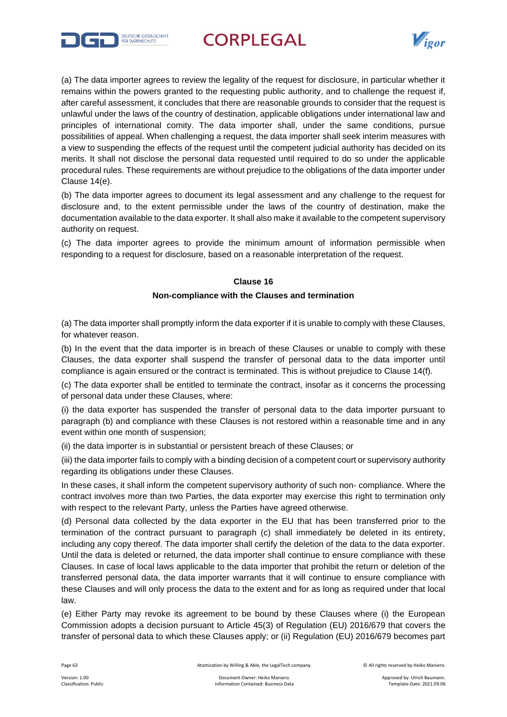



(a) The data importer agrees to review the legality of the request for disclosure, in particular whether it remains within the powers granted to the requesting public authority, and to challenge the request if, after careful assessment, it concludes that there are reasonable grounds to consider that the request is unlawful under the laws of the country of destination, applicable obligations under international law and principles of international comity. The data importer shall, under the same conditions, pursue possibilities of appeal. When challenging a request, the data importer shall seek interim measures with a view to suspending the effects of the request until the competent judicial authority has decided on its merits. It shall not disclose the personal data requested until required to do so under the applicable procedural rules. These requirements are without prejudice to the obligations of the data importer under Clause 14(e).

(b) The data importer agrees to document its legal assessment and any challenge to the request for disclosure and, to the extent permissible under the laws of the country of destination, make the documentation available to the data exporter. It shall also make it available to the competent supervisory authority on request.

(c) The data importer agrees to provide the minimum amount of information permissible when responding to a request for disclosure, based on a reasonable interpretation of the request.

#### **Clause 16**

## **Non-compliance with the Clauses and termination**

(a) The data importer shall promptly inform the data exporter if it is unable to comply with these Clauses, for whatever reason.

(b) In the event that the data importer is in breach of these Clauses or unable to comply with these Clauses, the data exporter shall suspend the transfer of personal data to the data importer until compliance is again ensured or the contract is terminated. This is without prejudice to Clause 14(f).

(c) The data exporter shall be entitled to terminate the contract, insofar as it concerns the processing of personal data under these Clauses, where:

(i) the data exporter has suspended the transfer of personal data to the data importer pursuant to paragraph (b) and compliance with these Clauses is not restored within a reasonable time and in any event within one month of suspension;

(ii) the data importer is in substantial or persistent breach of these Clauses; or

(iii) the data importer fails to comply with a binding decision of a competent court or supervisory authority regarding its obligations under these Clauses.

In these cases, it shall inform the competent supervisory authority of such non- compliance. Where the contract involves more than two Parties, the data exporter may exercise this right to termination only with respect to the relevant Party, unless the Parties have agreed otherwise.

(d) Personal data collected by the data exporter in the EU that has been transferred prior to the termination of the contract pursuant to paragraph (c) shall immediately be deleted in its entirety, including any copy thereof. The data importer shall certify the deletion of the data to the data exporter. Until the data is deleted or returned, the data importer shall continue to ensure compliance with these Clauses. In case of local laws applicable to the data importer that prohibit the return or deletion of the transferred personal data, the data importer warrants that it will continue to ensure compliance with these Clauses and will only process the data to the extent and for as long as required under that local law.

(e) Either Party may revoke its agreement to be bound by these Clauses where (i) the European Commission adopts a decision pursuant to Article 45(3) of Regulation (EU) 2016/679 that covers the transfer of personal data to which these Clauses apply; or (ii) Regulation (EU) 2016/679 becomes part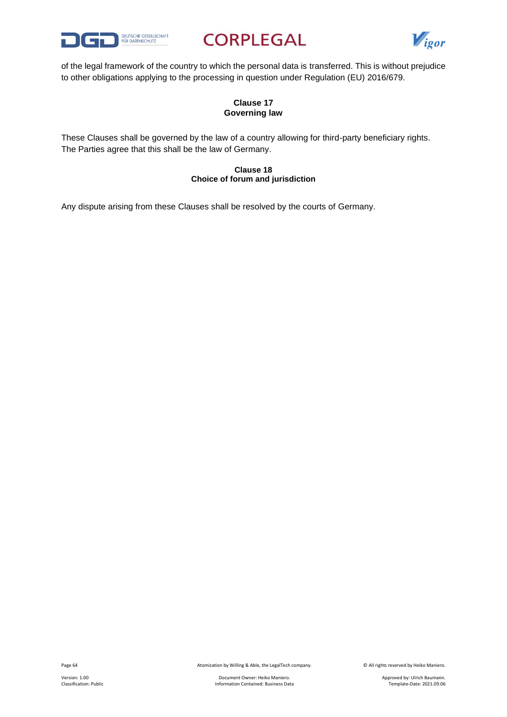



of the legal framework of the country to which the personal data is transferred. This is without prejudice to other obligations applying to the processing in question under Regulation (EU) 2016/679.

# **Clause 17 Governing law**

These Clauses shall be governed by the law of a country allowing for third-party beneficiary rights. The Parties agree that this shall be the law of Germany.

#### **Clause 18 Choice of forum and jurisdiction**

Any dispute arising from these Clauses shall be resolved by the courts of Germany.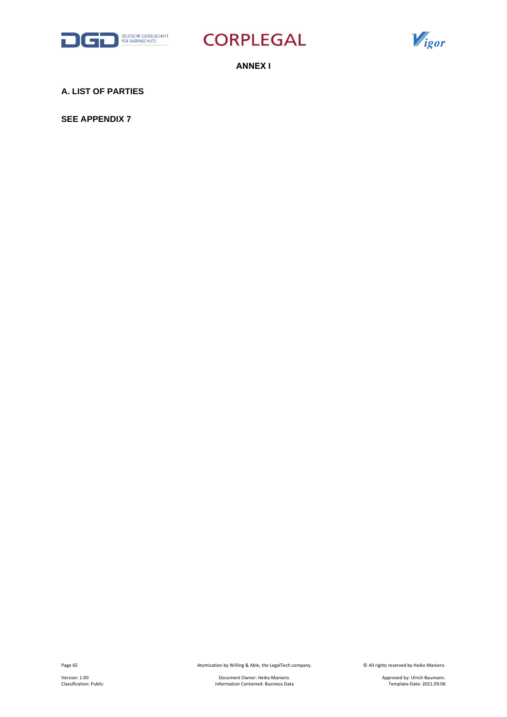



**ΑΝΝΕΧ I** 

**A. LIST OF PARTIES**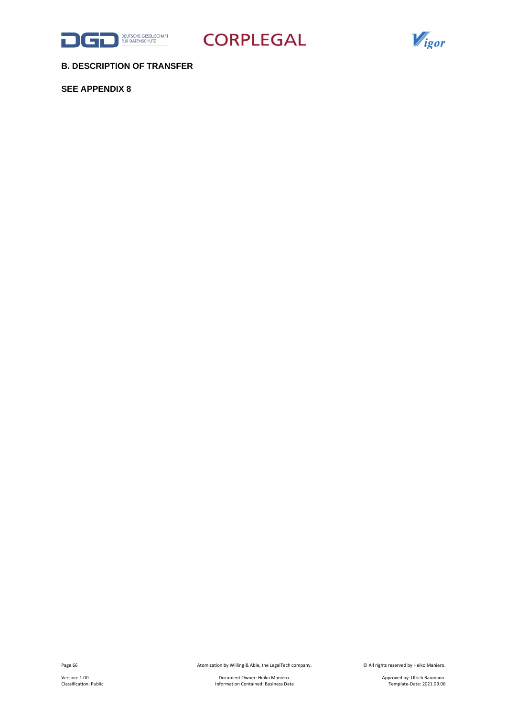



# **B. DESCRIPTION OF TRANSFER**

**SEE APPENDIX 8**

Page 66 **Atomization b[y Willing & Able, the LegalTech company.](https://willing-able.com/)** © All rights reserved b[y Heiko Maniero.](https://dg-datenschutz.de/)

Version: 1.00 Document Owner: Heiko Maniero.<br>Classification: Public Classification: Public Classification: Public Classification: Public Classification: P<br>Classification: Public Classification: Public Classification: Publi Document Owner: Helio Maniero:<br>Information Contained: Business Data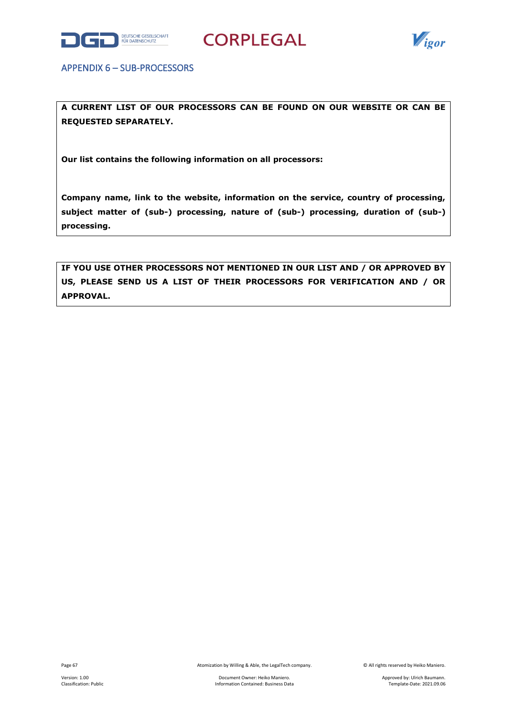



# APPENDIX 6 – SUB-PROCESSORS

**A CURRENT LIST OF OUR PROCESSORS CAN BE FOUND ON OUR WEBSITE OR CAN BE REQUESTED SEPARATELY.**

**Our list contains the following information on all processors:**

**Company name, link to the website, information on the service, country of processing, subject matter of (sub-) processing, nature of (sub-) processing, duration of (sub-) processing.**

**IF YOU USE OTHER PROCESSORS NOT MENTIONED IN OUR LIST AND / OR APPROVED BY US, PLEASE SEND US A LIST OF THEIR PROCESSORS FOR VERIFICATION AND / OR APPROVAL.**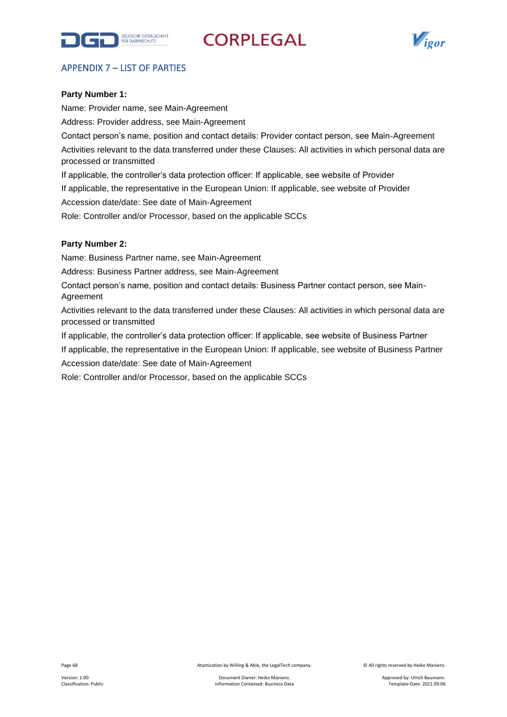



# APPENDIX 7 – LIST OF PARTIES

## **Party Number 1:**

Name: Provider name, see Main-Agreement Address: Provider address, see Main-Agreement Contact person's name, position and contact details: Provider contact person, see Main-Agreement

Activities relevant to the data transferred under these Clauses: All activities in which personal data are processed or transmitted

If applicable, the controller's data protection officer: If applicable, see website of Provider

If applicable, the representative in the European Union: If applicable, see website of Provider

Accession date/date: See date of Main-Agreement

Role: Controller and/or Processor, based on the applicable SCCs

# **Party Number 2:**

Name: Business Partner name, see Main-Agreement

Address: Business Partner address, see Main-Agreement

Contact person's name, position and contact details: Business Partner contact person, see Main-Agreement

Activities relevant to the data transferred under these Clauses: All activities in which personal data are processed or transmitted

If applicable, the controller's data protection officer: If applicable, see website of Business Partner

If applicable, the representative in the European Union: If applicable, see website of Business Partner

Accession date/date: See date of Main-Agreement

Role: Controller and/or Processor, based on the applicable SCCs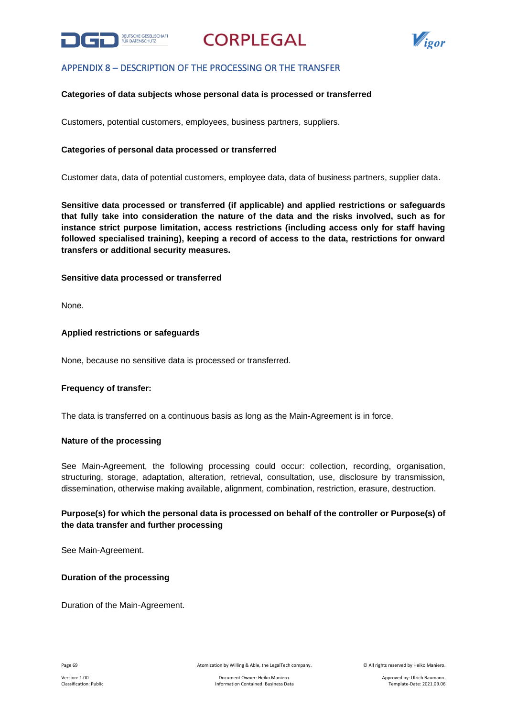



# APPENDIX 8 – DESCRIPTION OF THE PROCESSING OR THE TRANSFER

#### **Categories of data subjects whose personal data is processed or transferred**

Customers, potential customers, employees, business partners, suppliers.

#### **Categories of personal data processed or transferred**

Customer data, data of potential customers, employee data, data of business partners, supplier data.

**Sensitive data processed or transferred (if applicable) and applied restrictions or safeguards that fully take into consideration the nature of the data and the risks involved, such as for instance strict purpose limitation, access restrictions (including access only for staff having followed specialised training), keeping a record of access to the data, restrictions for onward transfers or additional security measures.**

#### **Sensitive data processed or transferred**

None.

#### **Applied restrictions or safeguards**

None, because no sensitive data is processed or transferred.

#### **Frequency of transfer:**

The data is transferred on a continuous basis as long as the Main-Agreement is in force.

#### **Nature of the processing**

See Main-Agreement, the following processing could occur: collection, recording, organisation, structuring, storage, adaptation, alteration, retrieval, consultation, use, disclosure by transmission, dissemination, otherwise making available, alignment, combination, restriction, erasure, destruction.

## **Purpose(s) for which the personal data is processed on behalf of the controller or Purpose(s) of the data transfer and further processing**

See Main-Agreement.

#### **Duration of the processing**

Duration of the Main-Agreement.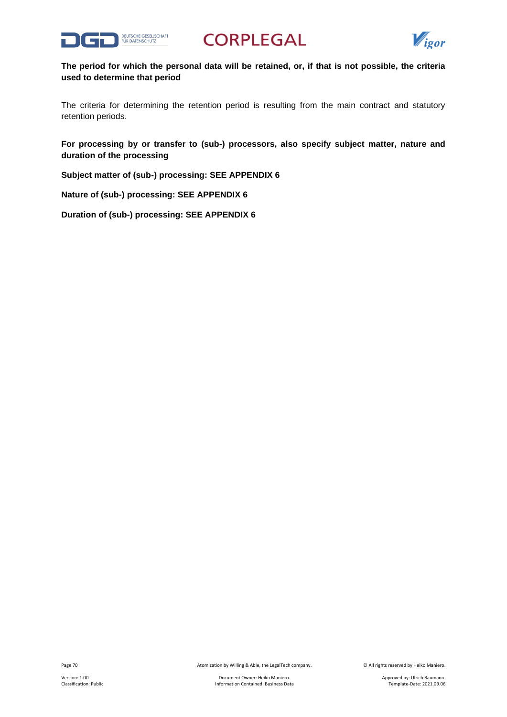



**The period for which the personal data will be retained, or, if that is not possible, the criteria used to determine that period**

The criteria for determining the retention period is resulting from the main contract and statutory retention periods.

**For processing by or transfer to (sub-) processors, also specify subject matter, nature and duration of the processing**

**Subject matter of (sub-) processing: SEE APPENDIX 6**

**Nature of (sub-) processing: SEE APPENDIX 6**

**Duration of (sub-) processing: SEE APPENDIX 6**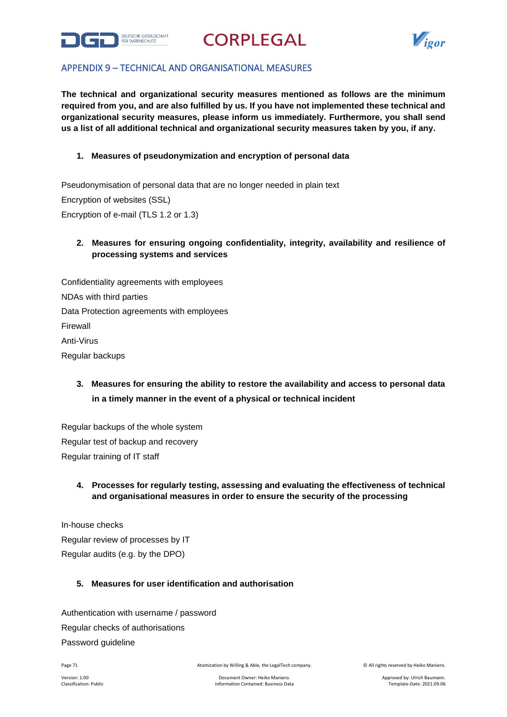



# APPENDIX 9 – TECHNICAL AND ORGANISATIONAL MEASURES

**The technical and organizational security measures mentioned as follows are the minimum required from you, and are also fulfilled by us. If you have not implemented these technical and organizational security measures, please inform us immediately. Furthermore, you shall send us a list of all additional technical and organizational security measures taken by you, if any.**

**1. Measures of pseudonymization and encryption of personal data**

Pseudonymisation of personal data that are no longer needed in plain text Encryption of websites (SSL) Encryption of e-mail (TLS 1.2 or 1.3)

**2. Measures for ensuring ongoing confidentiality, integrity, availability and resilience of processing systems and services**

Confidentiality agreements with employees NDAs with third parties Data Protection agreements with employees Firewall Anti-Virus Regular backups

**3. Measures for ensuring the ability to restore the availability and access to personal data in a timely manner in the event of a physical or technical incident**

Regular backups of the whole system Regular test of backup and recovery Regular training of IT staff

## **4. Processes for regularly testing, assessing and evaluating the effectiveness of technical and organisational measures in order to ensure the security of the processing**

In-house checks Regular review of processes by IT Regular audits (e.g. by the DPO)

# **5. Measures for user identification and authorisation**

Authentication with username / password Regular checks of authorisations Password guideline

Page 71 **Atomization b[y Willing & Able, the LegalTech company.](https://willing-able.com/)** Call rights reserved b[y Heiko Maniero.](https://dg-datenschutz.de/)

Version: 1.00 **Approved by[: Ulrich Baumann.](https://corplegal.de/)**<br>Classification: Public **Classification: Public** Communical Durich Baumann. Classification: Public **Classification: Public** Classification: Public **Classification: Public** Classi Information Contained: Business Data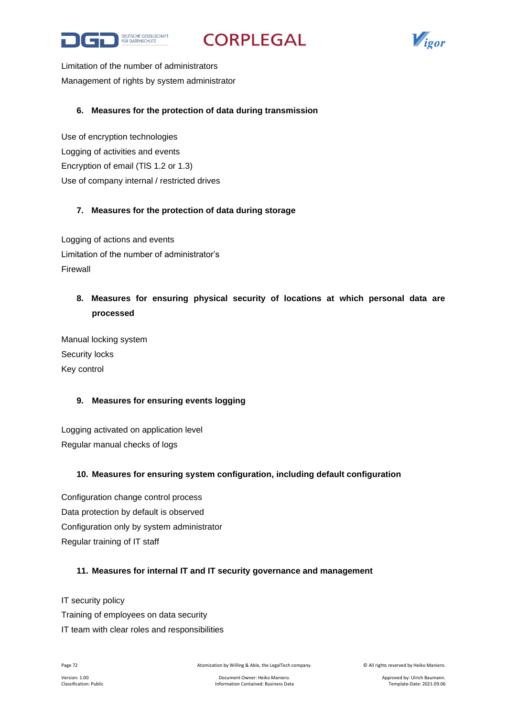



Limitation of the number of administrators Management of rights by system administrator

# **6. Measures for the protection of data during transmission**

Use of encryption technologies Logging of activities and events Encryption of email (TlS 1.2 or 1.3) Use of company internal / restricted drives

# **7. Measures for the protection of data during storage**

Logging of actions and events Limitation of the number of administrator's Firewall

# **8. Measures for ensuring physical security of locations at which personal data are processed**

Manual locking system Security locks Key control

# **9. Measures for ensuring events logging**

Logging activated on application level Regular manual checks of logs

# **10. Measures for ensuring system configuration, including default configuration**

Configuration change control process Data protection by default is observed Configuration only by system administrator Regular training of IT staff

# **11. Measures for internal IT and IT security governance and management**

IT security policy Training of employees on data security IT team with clear roles and responsibilities

Page 72 **Atomization b[y Willing & Able, the LegalTech company.](https://willing-able.com/)** Call rights reserved b[y Heiko Maniero.](https://dg-datenschutz.de/)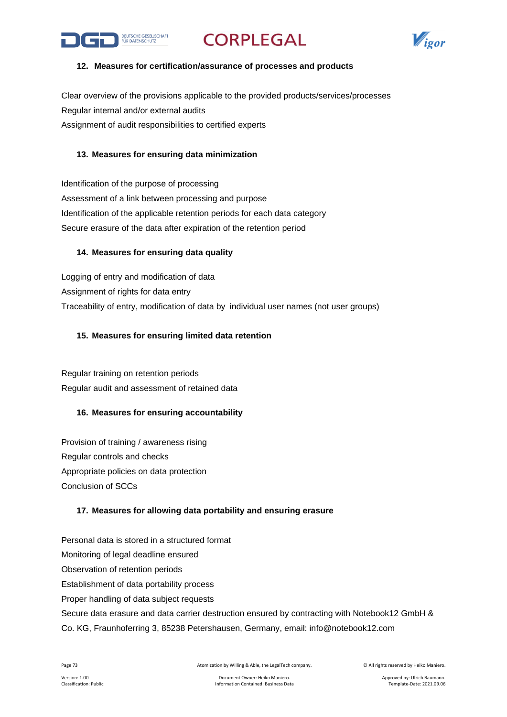

**CORPLEGAL** 



#### **12. Measures for certification/assurance of processes and products**

Clear overview of the provisions applicable to the provided products/services/processes Regular internal and/or external audits Assignment of audit responsibilities to certified experts

## **13. Measures for ensuring data minimization**

Identification of the purpose of processing Assessment of a link between processing and purpose Identification of the applicable retention periods for each data category Secure erasure of the data after expiration of the retention period

## **14. Measures for ensuring data quality**

Logging of entry and modification of data Assignment of rights for data entry Traceability of entry, modification of data by individual user names (not user groups)

## **15. Measures for ensuring limited data retention**

Regular training on retention periods Regular audit and assessment of retained data

## **16. Measures for ensuring accountability**

Provision of training / awareness rising Regular controls and checks Appropriate policies on data protection Conclusion of SCCs

## **17. Measures for allowing data portability and ensuring erasure**

Personal data is stored in a structured format Monitoring of legal deadline ensured Observation of retention periods Establishment of data portability process Proper handling of data subject requests Secure data [erasure and data carrier destruction](https://www.notebook12.com/) ensured by contracting with Notebook12 GmbH & Co. KG, Fraunhoferring 3, 85238 Petershausen, Germany, email: info@notebook12.com

Page 73 **Atomization b[y Willing & Able, the LegalTech company.](https://willing-able.com/)** Call rights reserved b[y Heiko Maniero.](https://dg-datenschutz.de/)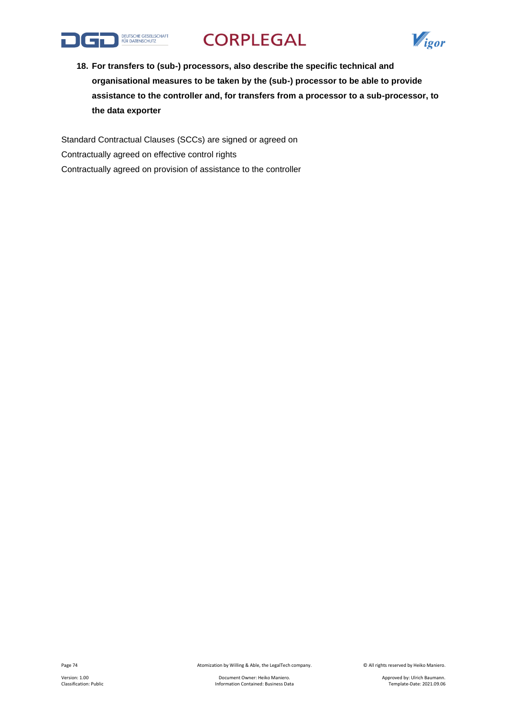



**18. For transfers to (sub-) processors, also describe the specific technical and organisational measures to be taken by the (sub-) processor to be able to provide assistance to the controller and, for transfers from a processor to a sub-processor, to the data exporter**

Standard Contractual Clauses (SCCs) are signed or agreed on Contractually agreed on effective control rights Contractually agreed on provision of assistance to the controller

DEUTSCHE GESELLSCHAFT<br>FÜR DATENSCHUTZ

**G**